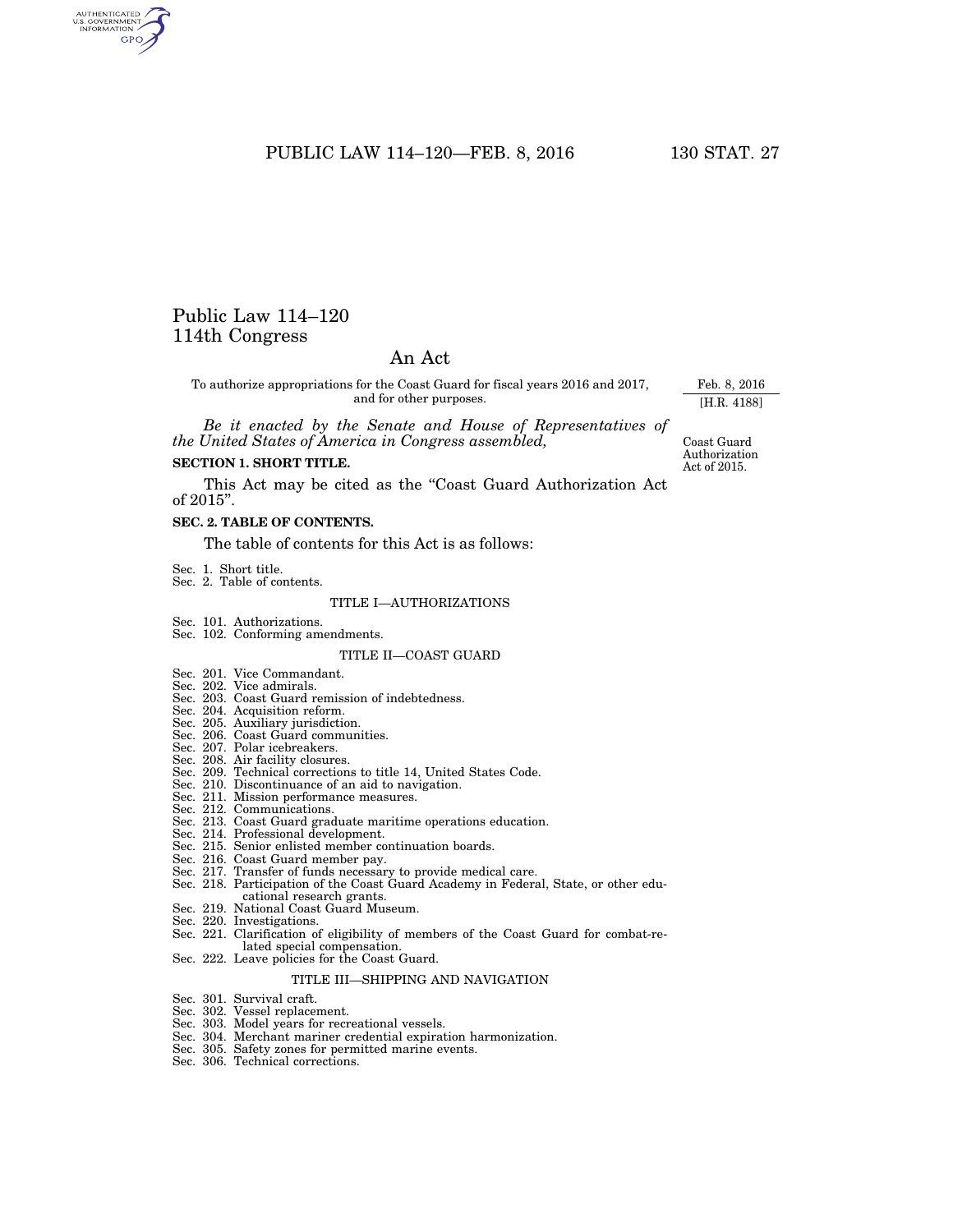# PUBLIC LAW 114-120-FEB. 8, 2016 130 STAT. 27

# Public Law 114–120 114th Congress

# An Act

To authorize appropriations for the Coast Guard for fiscal years 2016 and 2017, and for other purposes.

*Be it enacted by the Senate and House of Representatives of the United States of America in Congress assembled,* 

# **SECTION 1. SHORT TITLE.**

This Act may be cited as the "Coast Guard Authorization Act of 2015''.

## **SEC. 2. TABLE OF CONTENTS.**

The table of contents for this Act is as follows:

- Sec. 1. Short title. Sec. 2. Table of contents.
- 

#### TITLE I—AUTHORIZATIONS

- 
- Sec. 101. Authorizations. Sec. 102. Conforming amendments.

### TITLE II—COAST GUARD

- Sec. 201. Vice Commandant.
- Sec. 202. Vice admirals.
- Sec. 203. Coast Guard remission of indebtedness. Sec. 204. Acquisition reform.
- 
- Sec. 205. Auxiliary jurisdiction. Sec. 206. Coast Guard communities.
- 
- Sec. 207. Polar icebreakers. Sec. 208. Air facility closures.
- 
- Sec. 209. Technical corrections to title 14, United States Code. Sec. 210. Discontinuance of an aid to navigation.
- 
- Sec. 211. Mission performance measures. Sec. 212. Communications.
- Sec. 213. Coast Guard graduate maritime operations education.
- Sec. 214. Professional development.
- Sec. 215. Senior enlisted member continuation boards.
- Sec. 216. Coast Guard member pay.
- Sec. 217. Transfer of funds necessary to provide medical care.
- Sec. 218. Participation of the Coast Guard Academy in Federal, State, or other educational research grants.
- Sec. 219. National Coast Guard Museum.
- Sec. 220. Investigations.
- Sec. 221. Clarification of eligibility of members of the Coast Guard for combat-related special compensation.
- Sec. 222. Leave policies for the Coast Guard.

#### TITLE III—SHIPPING AND NAVIGATION

- Sec. 301. Survival craft.
- Sec. 302. Vessel replacement.
- Sec. 303. Model years for recreational vessels.
- Sec. 304. Merchant mariner credential expiration harmonization.
- Sec. 305. Safety zones for permitted marine events.
- Sec. 306. Technical corrections.

Coast Guard Authorization Act of 2015.

Feb. 8, 2016 [H.R. 4188]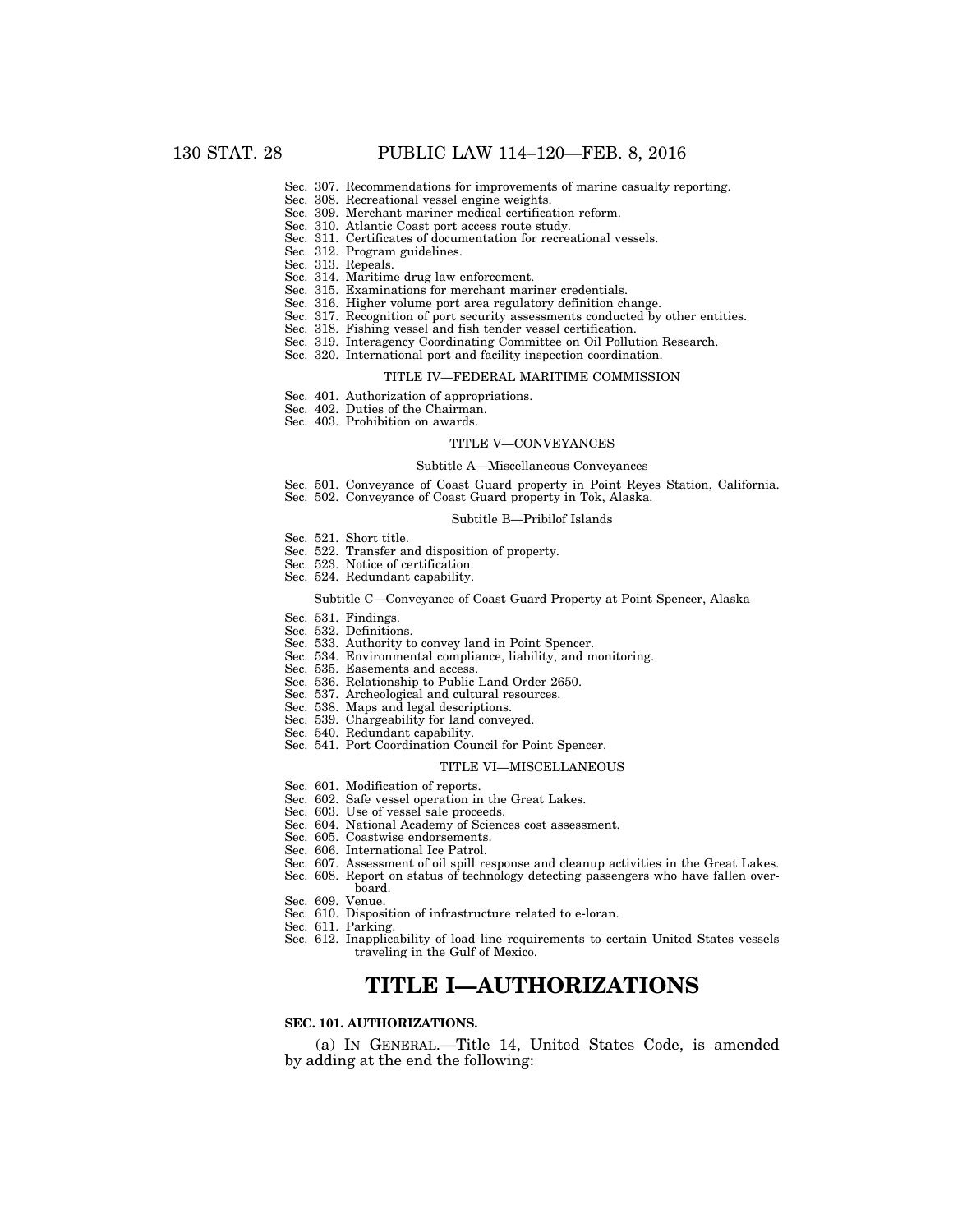- Sec. 307. Recommendations for improvements of marine casualty reporting.
- Sec. 308. Recreational vessel engine weights.
- Sec. 309. Merchant mariner medical certification reform.
- Sec. 310. Atlantic Coast port access route study. Sec. 311. Certificates of documentation for recreational vessels.
- Sec. 312. Program guidelines.
- Sec. 313. Repeals.
- Sec. 314. Maritime drug law enforcement.
- Sec. 315. Examinations for merchant mariner credentials.
- Sec. 316. Higher volume port area regulatory definition change.
- Sec. 317. Recognition of port security assessments conducted by other entities.
- Sec. 318. Fishing vessel and fish tender vessel certification.
- Sec. 319. Interagency Coordinating Committee on Oil Pollution Research.
- Sec. 320. International port and facility inspection coordination.

#### TITLE IV—FEDERAL MARITIME COMMISSION

- Sec. 401. Authorization of appropriations.
- Sec. 402. Duties of the Chairman.
- Sec. 403. Prohibition on awards.

#### TITLE V—CONVEYANCES

#### Subtitle A—Miscellaneous Conveyances

- Sec. 501. Conveyance of Coast Guard property in Point Reyes Station, California.
- Sec. 502. Conveyance of Coast Guard property in Tok, Alaska.

#### Subtitle B—Pribilof Islands

- Sec. 521. Short title.
- Sec. 522. Transfer and disposition of property.
- Sec. 523. Notice of certification.
- Sec. 524. Redundant capability.

#### Subtitle C—Conveyance of Coast Guard Property at Point Spencer, Alaska

- Sec. 531. Findings.
- Sec. 532. Definitions.
- Sec. 533. Authority to convey land in Point Spencer.
- Sec. 534. Environmental compliance, liability, and monitoring.
- Sec. 535. Easements and access.
- Sec. 536. Relationship to Public Land Order 2650.
- Sec. 537. Archeological and cultural resources.
- Sec. 538. Maps and legal descriptions.
- Sec. 539. Chargeability for land conveyed.
- Sec. 540. Redundant capability.
- Sec. 541. Port Coordination Council for Point Spencer.

#### TITLE VI—MISCELLANEOUS

- Sec. 601. Modification of reports.
- Sec. 602. Safe vessel operation in the Great Lakes.
- Sec. 603. Use of vessel sale proceeds.
- Sec. 604. National Academy of Sciences cost assessment.
- Sec. 605. Coastwise endorsements.
- Sec. 606. International Ice Patrol.
- Sec. 607. Assessment of oil spill response and cleanup activities in the Great Lakes.
- Sec. 608. Report on status of technology detecting passengers who have fallen overboard.
- Sec. 609. Venue.
- Sec. 610. Disposition of infrastructure related to e-loran.
- Sec. 611. Parking.
- Sec. 612. Inapplicability of load line requirements to certain United States vessels traveling in the Gulf of Mexico.

# **TITLE I—AUTHORIZATIONS**

## **SEC. 101. AUTHORIZATIONS.**

(a) IN GENERAL.—Title 14, United States Code, is amended by adding at the end the following: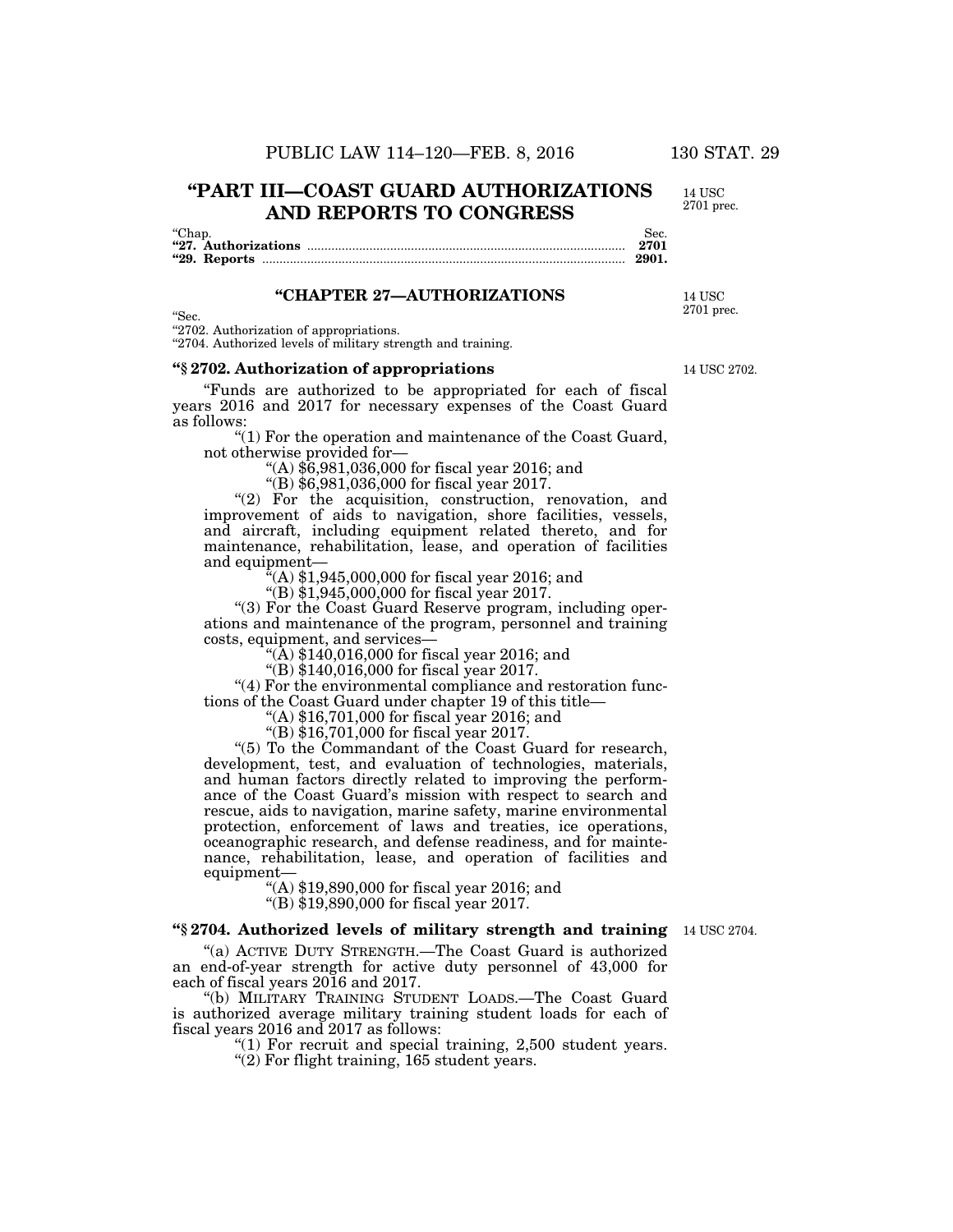# **''PART III—COAST GUARD AUTHORIZATIONS AND REPORTS TO CONGRESS**

''Chap. Sec. **''27. Authorizations** ............................................................................................ **2701 ''29. Reports** ......................................................................................................... **2901.** 

# **''CHAPTER 27—AUTHORIZATIONS**

''Sec.

''2702. Authorization of appropriations.

"2704. Authorized levels of military strength and training.

## **''§ 2702. Authorization of appropriations**

''Funds are authorized to be appropriated for each of fiscal years 2016 and 2017 for necessary expenses of the Coast Guard as follows:

''(1) For the operation and maintenance of the Coast Guard, not otherwise provided for—

''(A) \$6,981,036,000 for fiscal year 2016; and

''(B) \$6,981,036,000 for fiscal year 2017.

"(2) For the acquisition, construction, renovation, and improvement of aids to navigation, shore facilities, vessels, and aircraft, including equipment related thereto, and for maintenance, rehabilitation, lease, and operation of facilities and equipment—

 $f(A)$  \$1,945,000,000 for fiscal year 2016; and

 $!(B)$  \$1,945,000,000 for fiscal year 2017.

''(3) For the Coast Guard Reserve program, including operations and maintenance of the program, personnel and training costs, equipment, and services—

 $($ A) \$140,016,000 for fiscal year 2016; and

 $\sqrt{\text{B}}$ ) \$140,016,000 for fiscal year 2017.

"(4) For the environmental compliance and restoration functions of the Coast Guard under chapter 19 of this title—

''(A) \$16,701,000 for fiscal year 2016; and

''(B) \$16,701,000 for fiscal year 2017.

''(5) To the Commandant of the Coast Guard for research, development, test, and evaluation of technologies, materials, and human factors directly related to improving the performance of the Coast Guard's mission with respect to search and rescue, aids to navigation, marine safety, marine environmental protection, enforcement of laws and treaties, ice operations, oceanographic research, and defense readiness, and for maintenance, rehabilitation, lease, and operation of facilities and equipment—

''(A) \$19,890,000 for fiscal year 2016; and "(B) \$19,890,000 for fiscal year 2017.

## **''§ 2704. Authorized levels of military strength and training**  14 USC 2704.

''(a) ACTIVE DUTY STRENGTH.—The Coast Guard is authorized an end-of-year strength for active duty personnel of 43,000 for each of fiscal years 2016 and 2017.

''(b) MILITARY TRAINING STUDENT LOADS.—The Coast Guard is authorized average military training student loads for each of fiscal years 2016 and 2017 as follows:

" $(1)$  For recruit and special training, 2,500 student years.

 $''(2)$  For flight training, 165 student years.

14 USC 2702.

14 USC 2701 prec.

14 USC 2701 prec.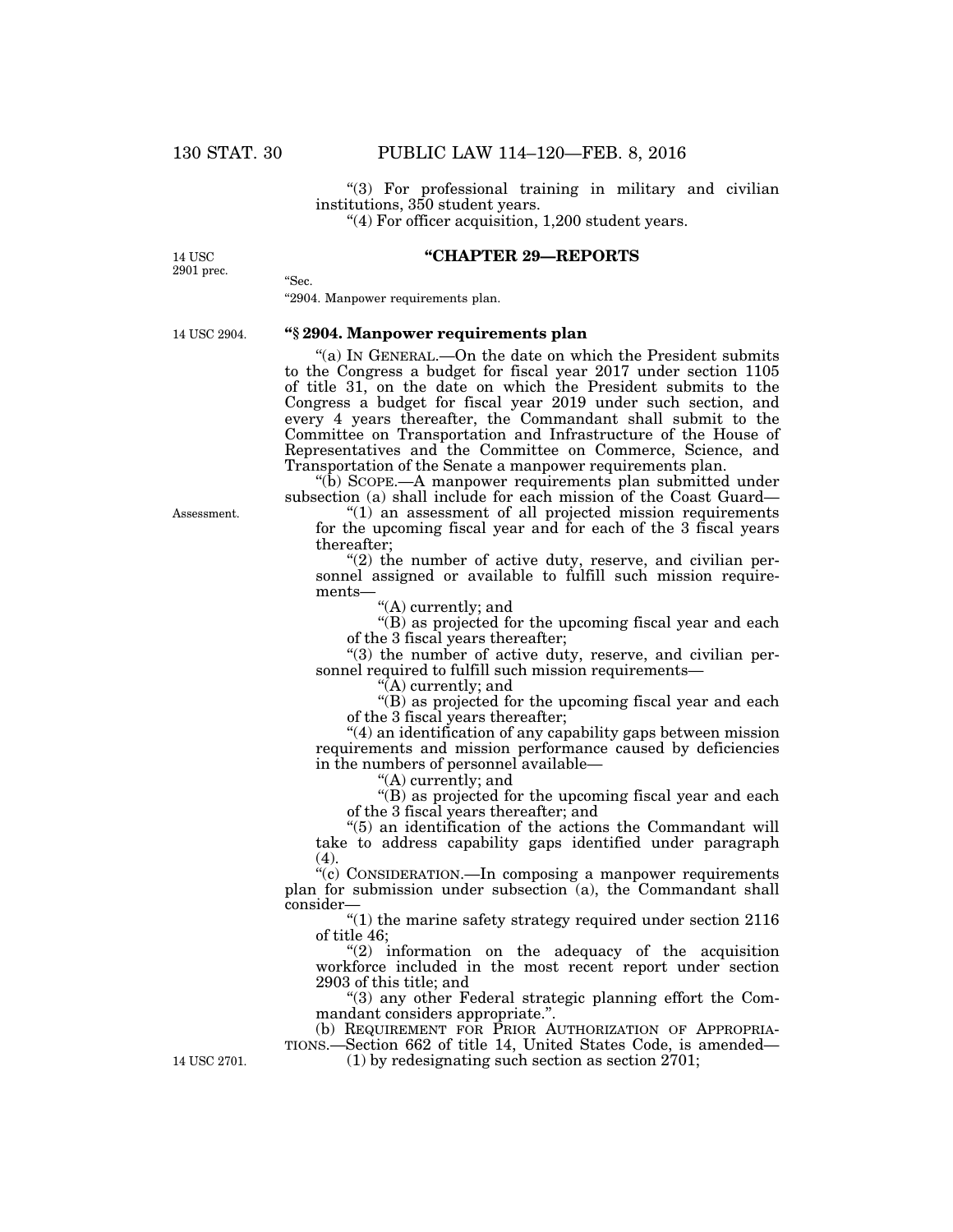"(3) For professional training in military and civilian institutions, 350 student years.

''(4) For officer acquisition, 1,200 student years.

**''CHAPTER 29—REPORTS** 

''Sec.

### 14 USC 2901 prec.

#### "2904. Manpower requirements plan.

14 USC 2904.

# **''§ 2904. Manpower requirements plan**

''(a) IN GENERAL.—On the date on which the President submits to the Congress a budget for fiscal year 2017 under section 1105 of title 31, on the date on which the President submits to the Congress a budget for fiscal year 2019 under such section, and every 4 years thereafter, the Commandant shall submit to the Committee on Transportation and Infrastructure of the House of Representatives and the Committee on Commerce, Science, and Transportation of the Senate a manpower requirements plan.

''(b) SCOPE.—A manpower requirements plan submitted under subsection (a) shall include for each mission of the Coast Guard—

 $''(1)$  an assessment of all projected mission requirements for the upcoming fiscal year and for each of the 3 fiscal years thereafter;

" $(2)$  the number of active duty, reserve, and civilian personnel assigned or available to fulfill such mission requirements—

"(A) currently; and

"(B) as projected for the upcoming fiscal year and each of the 3 fiscal years thereafter;

 $(3)$  the number of active duty, reserve, and civilian personnel required to fulfill such mission requirements-

''(A) currently; and

"(B) as projected for the upcoming fiscal year and each of the 3 fiscal years thereafter;

''(4) an identification of any capability gaps between mission requirements and mission performance caused by deficiencies in the numbers of personnel available—

''(A) currently; and

"(B) as projected for the upcoming fiscal year and each of the 3 fiscal years thereafter; and

''(5) an identification of the actions the Commandant will take to address capability gaps identified under paragraph (4).

''(c) CONSIDERATION.—In composing a manpower requirements plan for submission under subsection  $(a)$ , the Commandant shall consider—

 $"(1)$  the marine safety strategy required under section  $2116$ of title 46;

 $(2)$  information on the adequacy of the acquisition workforce included in the most recent report under section 2903 of this title; and

''(3) any other Federal strategic planning effort the Commandant considers appropriate.''.

(b) REQUIREMENT FOR PRIOR AUTHORIZATION OF APPROPRIA-TIONS.—Section 662 of title 14, United States Code, is amended— 14 USC 2701. (1) by redesignating such section as section 2701;

Assessment.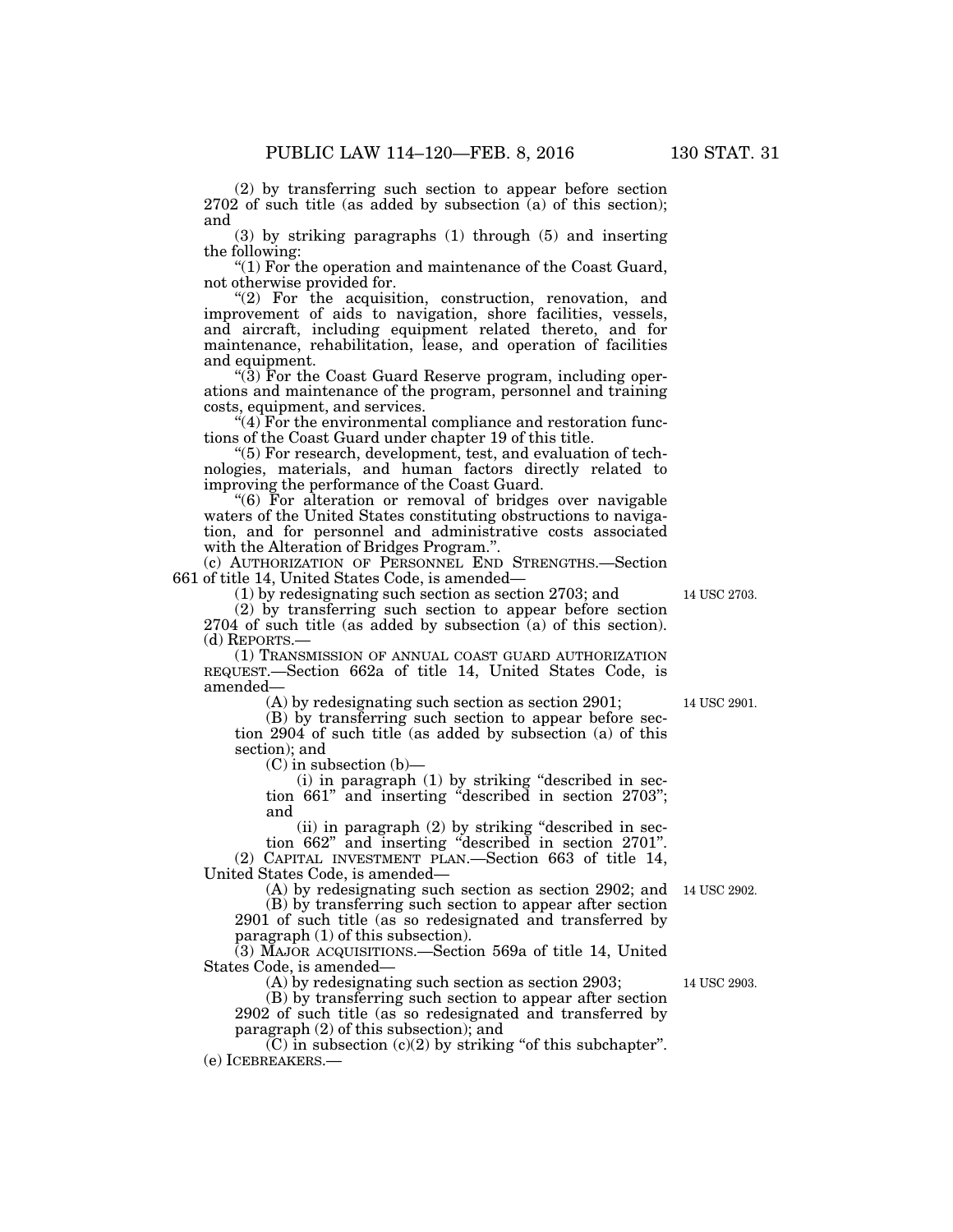(2) by transferring such section to appear before section 2702 of such title (as added by subsection (a) of this section); and

(3) by striking paragraphs (1) through (5) and inserting the following:

''(1) For the operation and maintenance of the Coast Guard, not otherwise provided for.

"(2) For the acquisition, construction, renovation, and improvement of aids to navigation, shore facilities, vessels, and aircraft, including equipment related thereto, and for maintenance, rehabilitation, lease, and operation of facilities and equipment.

''(3) For the Coast Guard Reserve program, including operations and maintenance of the program, personnel and training costs, equipment, and services.

" $(4)$  For the environmental compliance and restoration functions of the Coast Guard under chapter 19 of this title.

''(5) For research, development, test, and evaluation of technologies, materials, and human factors directly related to improving the performance of the Coast Guard.

''(6) For alteration or removal of bridges over navigable waters of the United States constituting obstructions to navigation, and for personnel and administrative costs associated with the Alteration of Bridges Program.''.

(c) AUTHORIZATION OF PERSONNEL END STRENGTHS.—Section 661 of title 14, United States Code, is amended—

(1) by redesignating such section as section 2703; and

(2) by transferring such section to appear before section 2704 of such title (as added by subsection (a) of this section). (d) REPORTS.—

(1) TRANSMISSION OF ANNUAL COAST GUARD AUTHORIZATION REQUEST.—Section 662a of title 14, United States Code, is amended—

(A) by redesignating such section as section 2901;

(B) by transferring such section to appear before section 2904 of such title (as added by subsection (a) of this section); and

(C) in subsection (b)—

(i) in paragraph (1) by striking ''described in section 661'' and inserting ''described in section 2703''; and

(ii) in paragraph (2) by striking "described in section 662'' and inserting ''described in section 2701''. (2) CAPITAL INVESTMENT PLAN.—Section 663 of title 14, United States Code, is amended—

(A) by redesignating such section as section 2902; and 14 USC 2902. (B) by transferring such section to appear after section 2901 of such title (as so redesignated and transferred by

paragraph (1) of this subsection).

(3) MAJOR ACQUISITIONS.—Section 569a of title 14, United States Code, is amended—

(A) by redesignating such section as section 2903;

(B) by transferring such section to appear after section 2902 of such title (as so redesignated and transferred by paragraph (2) of this subsection); and

 $(C)$  in subsection  $(c)(2)$  by striking "of this subchapter". (e) ICEBREAKERS.—

14 USC 2703.

14 USC 2901.

14 USC 2903.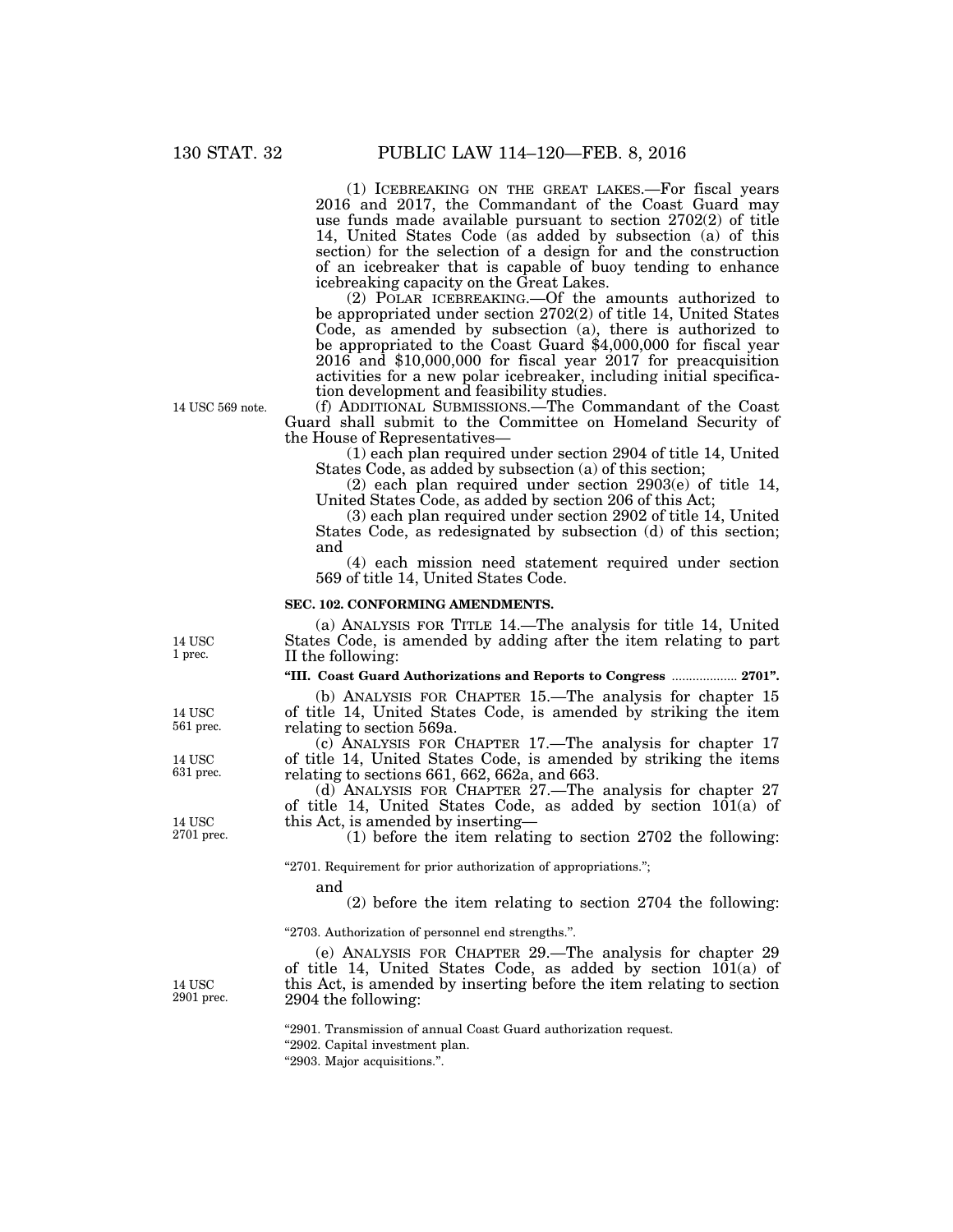(1) ICEBREAKING ON THE GREAT LAKES.—For fiscal years 2016 and 2017, the Commandant of the Coast Guard may use funds made available pursuant to section 2702(2) of title 14, United States Code (as added by subsection (a) of this section) for the selection of a design for and the construction of an icebreaker that is capable of buoy tending to enhance icebreaking capacity on the Great Lakes.

(2) POLAR ICEBREAKING.—Of the amounts authorized to be appropriated under section 2702(2) of title 14, United States Code, as amended by subsection (a), there is authorized to be appropriated to the Coast Guard \$4,000,000 for fiscal year 2016 and \$10,000,000 for fiscal year 2017 for preacquisition activities for a new polar icebreaker, including initial specification development and feasibility studies.

(f) ADDITIONAL SUBMISSIONS.—The Commandant of the Coast Guard shall submit to the Committee on Homeland Security of the House of Representatives—

(1) each plan required under section 2904 of title 14, United States Code, as added by subsection (a) of this section;

(2) each plan required under section 2903(e) of title 14, United States Code, as added by section 206 of this Act;

(3) each plan required under section 2902 of title 14, United States Code, as redesignated by subsection (d) of this section; and

(4) each mission need statement required under section 569 of title 14, United States Code.

### **SEC. 102. CONFORMING AMENDMENTS.**

(a) ANALYSIS FOR TITLE 14.—The analysis for title 14, United States Code, is amended by adding after the item relating to part II the following:

**''III. Coast Guard Authorizations and Reports to Congress** ................... **2701''.** 

(b) ANALYSIS FOR CHAPTER 15.—The analysis for chapter 15 of title 14, United States Code, is amended by striking the item relating to section 569a.

(c) ANALYSIS FOR CHAPTER 17.—The analysis for chapter 17 of title 14, United States Code, is amended by striking the items relating to sections 661, 662, 662a, and 663.

(d) ANALYSIS FOR CHAPTER 27.—The analysis for chapter 27 of title 14, United States Code, as added by section  $10(1a)$  of this Act, is amended by inserting—

(1) before the item relating to section 2702 the following:

"2701. Requirement for prior authorization of appropriations.";

and

(2) before the item relating to section 2704 the following:

''2703. Authorization of personnel end strengths.''.

(e) ANALYSIS FOR CHAPTER 29.—The analysis for chapter 29 of title 14, United States Code, as added by section  $10(1a)$  of this Act, is amended by inserting before the item relating to section 2904 the following:

''2901. Transmission of annual Coast Guard authorization request.

''2902. Capital investment plan.

''2903. Major acquisitions.''.

14 USC 1 prec.

14 USC 561 prec.

14 USC 631 prec.

14 USC 2701 prec.

14 USC 2901 prec.

14 USC 569 note.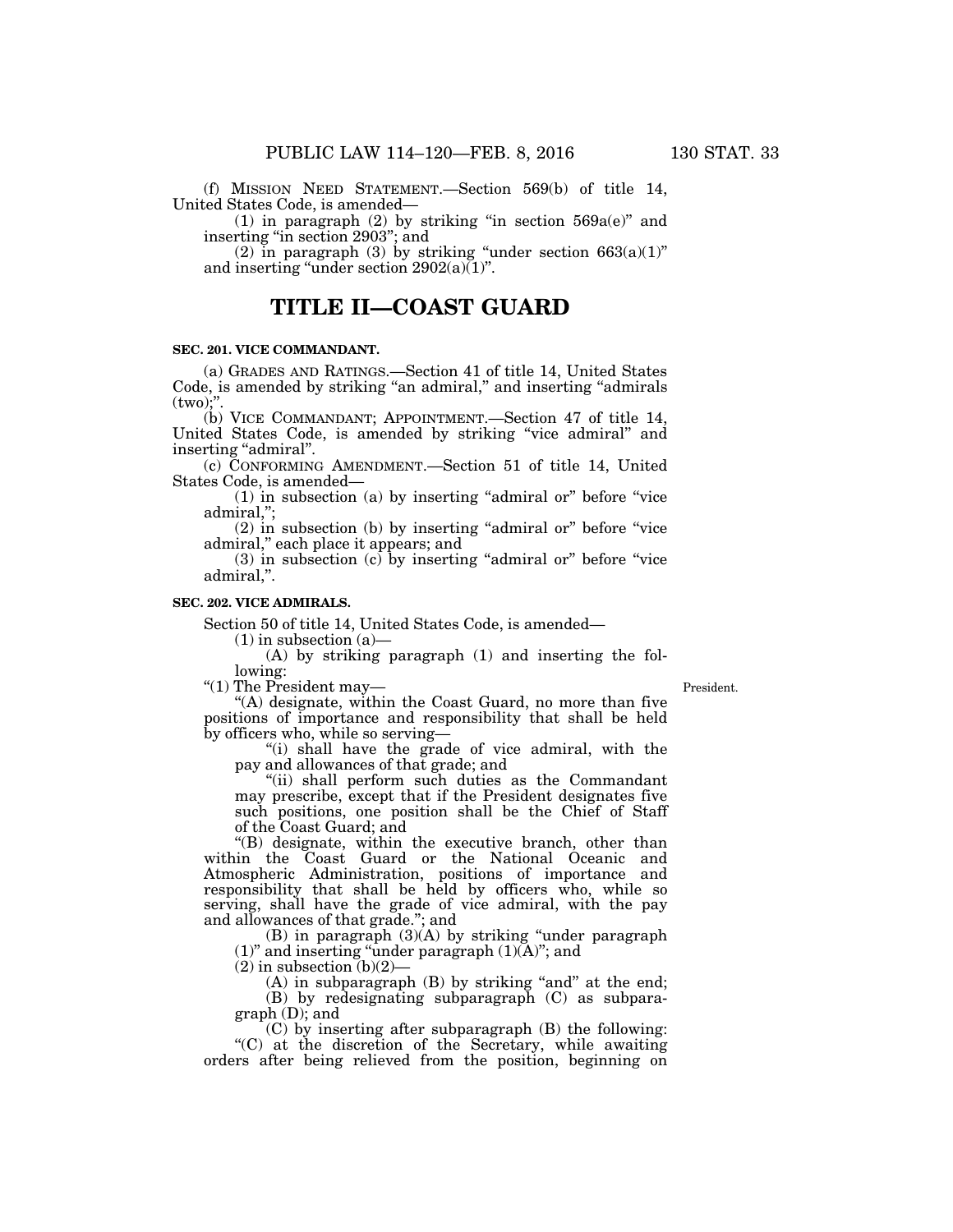(f) MISSION NEED STATEMENT.—Section 569(b) of title 14, United States Code, is amended—

(1) in paragraph (2) by striking "in section  $569a(e)$ " and inserting ''in section 2903''; and

(2) in paragraph (3) by striking "under section  $663(a)(1)$ " and inserting "under section  $2902(a)(1)$ ".

# **TITLE II—COAST GUARD**

## **SEC. 201. VICE COMMANDANT.**

(a) GRADES AND RATINGS.—Section 41 of title 14, United States Code, is amended by striking ''an admiral,'' and inserting ''admirals  $(two)$ ;"

(b) VICE COMMANDANT; APPOINTMENT.—Section 47 of title 14, United States Code, is amended by striking ''vice admiral'' and inserting "admiral".

(c) CONFORMING AMENDMENT.—Section 51 of title 14, United States Code, is amended—

 $(1)$  in subsection  $(a)$  by inserting "admiral or" before "vice admiral,'';

 $(2)$  in subsection  $(b)$  by inserting "admiral or" before "vice admiral,'' each place it appears; and

 $(3)$  in subsection  $(c)$  by inserting "admiral or" before "vice admiral,''.

## **SEC. 202. VICE ADMIRALS.**

Section 50 of title 14, United States Code, is amended—

 $(1)$  in subsection  $(a)$ —

(A) by striking paragraph (1) and inserting the following:

''(1) The President may—

President.

''(A) designate, within the Coast Guard, no more than five positions of importance and responsibility that shall be held by officers who, while so serving—

"(i) shall have the grade of vice admiral, with the pay and allowances of that grade; and

"(ii) shall perform such duties as the Commandant may prescribe, except that if the President designates five such positions, one position shall be the Chief of Staff of the Coast Guard; and

''(B) designate, within the executive branch, other than within the Coast Guard or the National Oceanic and Atmospheric Administration, positions of importance and responsibility that shall be held by officers who, while so serving, shall have the grade of vice admiral, with the pay and allowances of that grade.''; and

 $(B)$  in paragraph  $(3)(A)$  by striking "under paragraph  $(1)$ " and inserting "under paragraph  $(1)(A)$ "; and

 $(2)$  in subsection  $(b)(2)$ —

 $(A)$  in subparagraph  $(B)$  by striking "and" at the end; (B) by redesignating subparagraph (C) as subparagraph (D); and

(C) by inserting after subparagraph (B) the following: ''(C) at the discretion of the Secretary, while awaiting orders after being relieved from the position, beginning on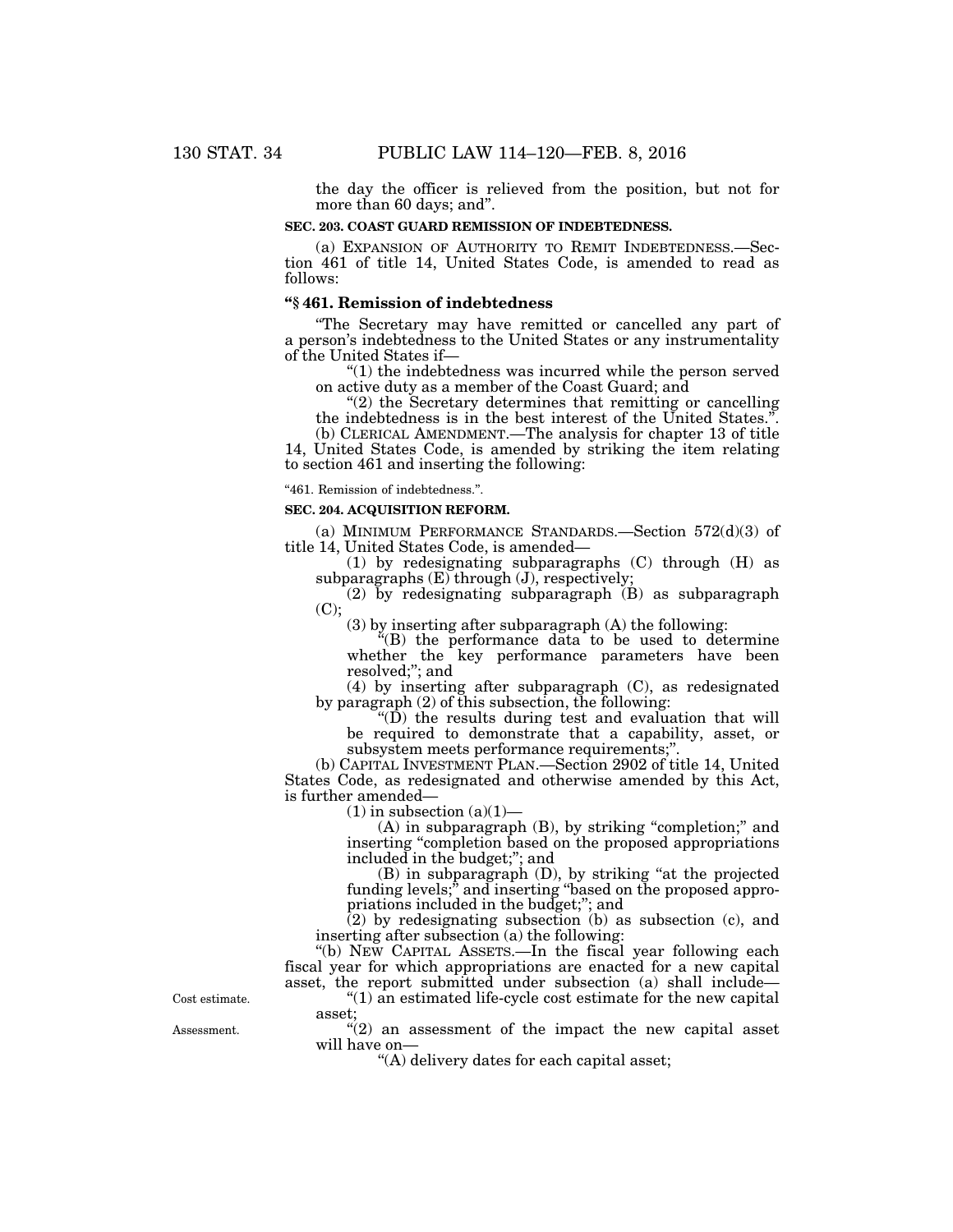the day the officer is relieved from the position, but not for more than 60 days; and''.

## **SEC. 203. COAST GUARD REMISSION OF INDEBTEDNESS.**

(a) EXPANSION OF AUTHORITY TO REMIT INDEBTEDNESS.—Section 461 of title 14, United States Code, is amended to read as follows:

# **''§ 461. Remission of indebtedness**

''The Secretary may have remitted or cancelled any part of a person's indebtedness to the United States or any instrumentality of the United States if—

''(1) the indebtedness was incurred while the person served on active duty as a member of the Coast Guard; and

" $(2)$  the Secretary determines that remitting or cancelling the indebtedness is in the best interest of the United States.''.

(b) CLERICAL AMENDMENT.—The analysis for chapter 13 of title 14, United States Code, is amended by striking the item relating to section 461 and inserting the following:

''461. Remission of indebtedness.''.

## **SEC. 204. ACQUISITION REFORM.**

(a) MINIMUM PERFORMANCE STANDARDS.—Section 572(d)(3) of title 14, United States Code, is amended—

(1) by redesignating subparagraphs (C) through (H) as subparagraphs  $(E)$  through  $(J)$ , respectively;

 $(2)$  by redesignating subparagraph  $(B)$  as subparagraph (C);

(3) by inserting after subparagraph (A) the following:

''(B) the performance data to be used to determine whether the key performance parameters have been resolved;''; and

(4) by inserting after subparagraph (C), as redesignated by paragraph (2) of this subsection, the following:

" $(D)$  the results during test and evaluation that will be required to demonstrate that a capability, asset, or subsystem meets performance requirements;''.

(b) CAPITAL INVESTMENT PLAN.—Section 2902 of title 14, United States Code, as redesignated and otherwise amended by this Act, is further amended—

 $(1)$  in subsection  $(a)(1)$ —

(A) in subparagraph (B), by striking "completion;" and inserting "completion based on the proposed appropriations" included in the budget;''; and

(B) in subparagraph (D), by striking ''at the projected funding levels;" and inserting "based on the proposed appropriations included in the budget;''; and

 $(2)$  by redesignating subsection (b) as subsection (c), and inserting after subsection (a) the following:

''(b) NEW CAPITAL ASSETS.—In the fiscal year following each fiscal year for which appropriations are enacted for a new capital asset, the report submitted under subsection (a) shall include—

 $''(1)$  an estimated life-cycle cost estimate for the new capital asset;

 $'(2)$  an assessment of the impact the new capital asset will have on—

''(A) delivery dates for each capital asset;

Assessment. Cost estimate.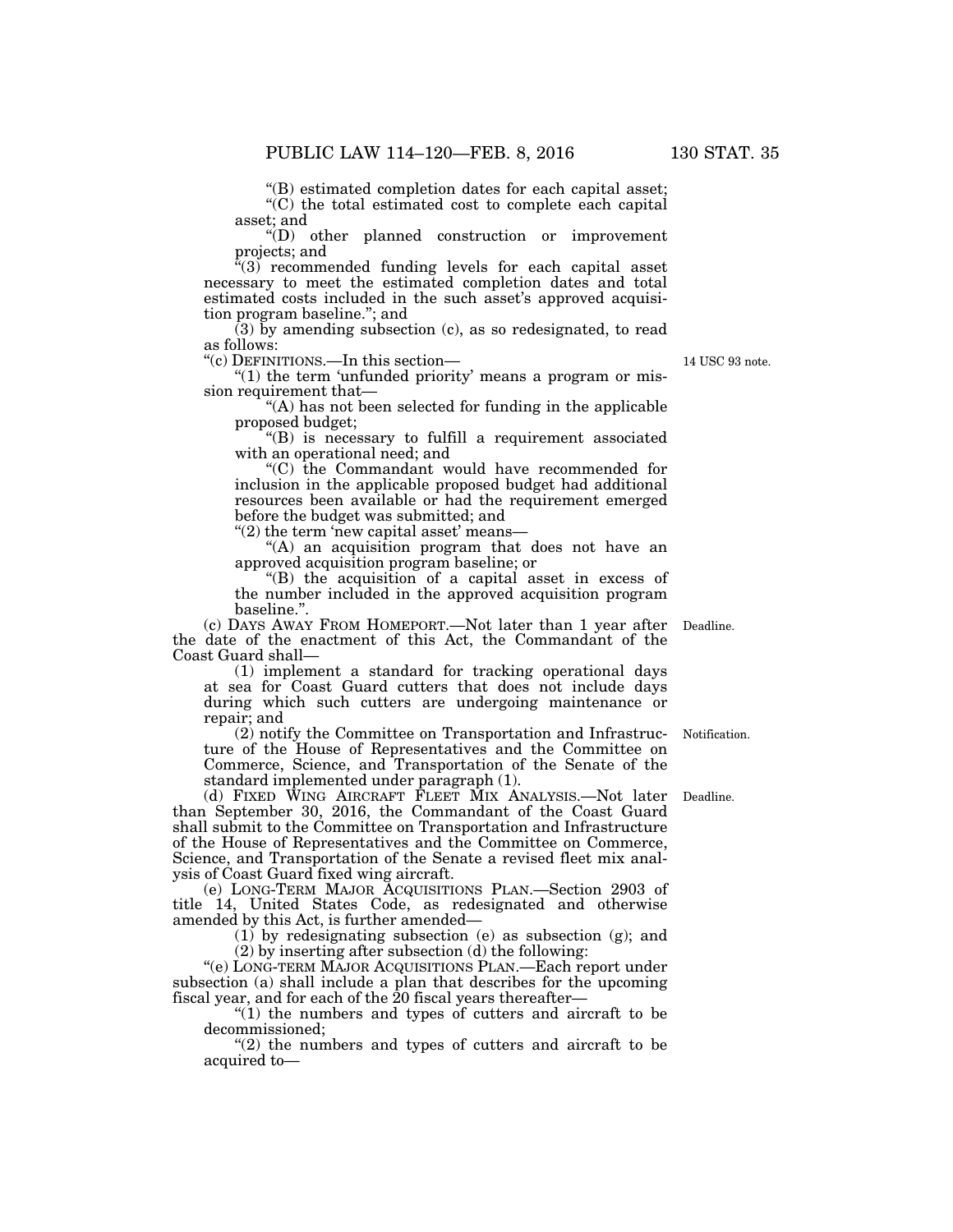''(B) estimated completion dates for each capital asset;

"(C) the total estimated cost to complete each capital asset; and

''(D) other planned construction or improvement projects; and

 $\sqrt{a(3)}$  recommended funding levels for each capital asset necessary to meet the estimated completion dates and total estimated costs included in the such asset's approved acquisition program baseline.''; and

(3) by amending subsection (c), as so redesignated, to read as follows:

''(c) DEFINITIONS.—In this section—

" $(1)$  the term 'unfunded priority' means a program or mission requirement that—

 $f(A)$  has not been selected for funding in the applicable proposed budget;

''(B) is necessary to fulfill a requirement associated with an operational need; and

''(C) the Commandant would have recommended for inclusion in the applicable proposed budget had additional resources been available or had the requirement emerged before the budget was submitted; and

"(2) the term 'new capital asset' means-

''(A) an acquisition program that does not have an approved acquisition program baseline; or

''(B) the acquisition of a capital asset in excess of the number included in the approved acquisition program baseline.''.

(c) DAYS AWAY FROM HOMEPORT.—Not later than 1 year after the date of the enactment of this Act, the Commandant of the Coast Guard shall—

(1) implement a standard for tracking operational days at sea for Coast Guard cutters that does not include days during which such cutters are undergoing maintenance or repair; and

(2) notify the Committee on Transportation and Infrastructure of the House of Representatives and the Committee on Commerce, Science, and Transportation of the Senate of the standard implemented under paragraph (1).

(d) FIXED WING AIRCRAFT FLEET MIX ANALYSIS.—Not later than September 30, 2016, the Commandant of the Coast Guard shall submit to the Committee on Transportation and Infrastructure of the House of Representatives and the Committee on Commerce, Science, and Transportation of the Senate a revised fleet mix analysis of Coast Guard fixed wing aircraft.

(e) LONG-TERM MAJOR ACQUISITIONS PLAN.—Section 2903 of title 14, United States Code, as redesignated and otherwise amended by this Act, is further amended—

(1) by redesignating subsection (e) as subsection (g); and (2) by inserting after subsection (d) the following:

''(e) LONG-TERM MAJOR ACQUISITIONS PLAN.—Each report under subsection (a) shall include a plan that describes for the upcoming fiscal year, and for each of the 20 fiscal years thereafter—

 $''(1)$  the numbers and types of cutters and aircraft to be decommissioned;

 $(2)$  the numbers and types of cutters and aircraft to be acquired to—

Deadline.

Notification.

14 USC 93 note.

Deadline.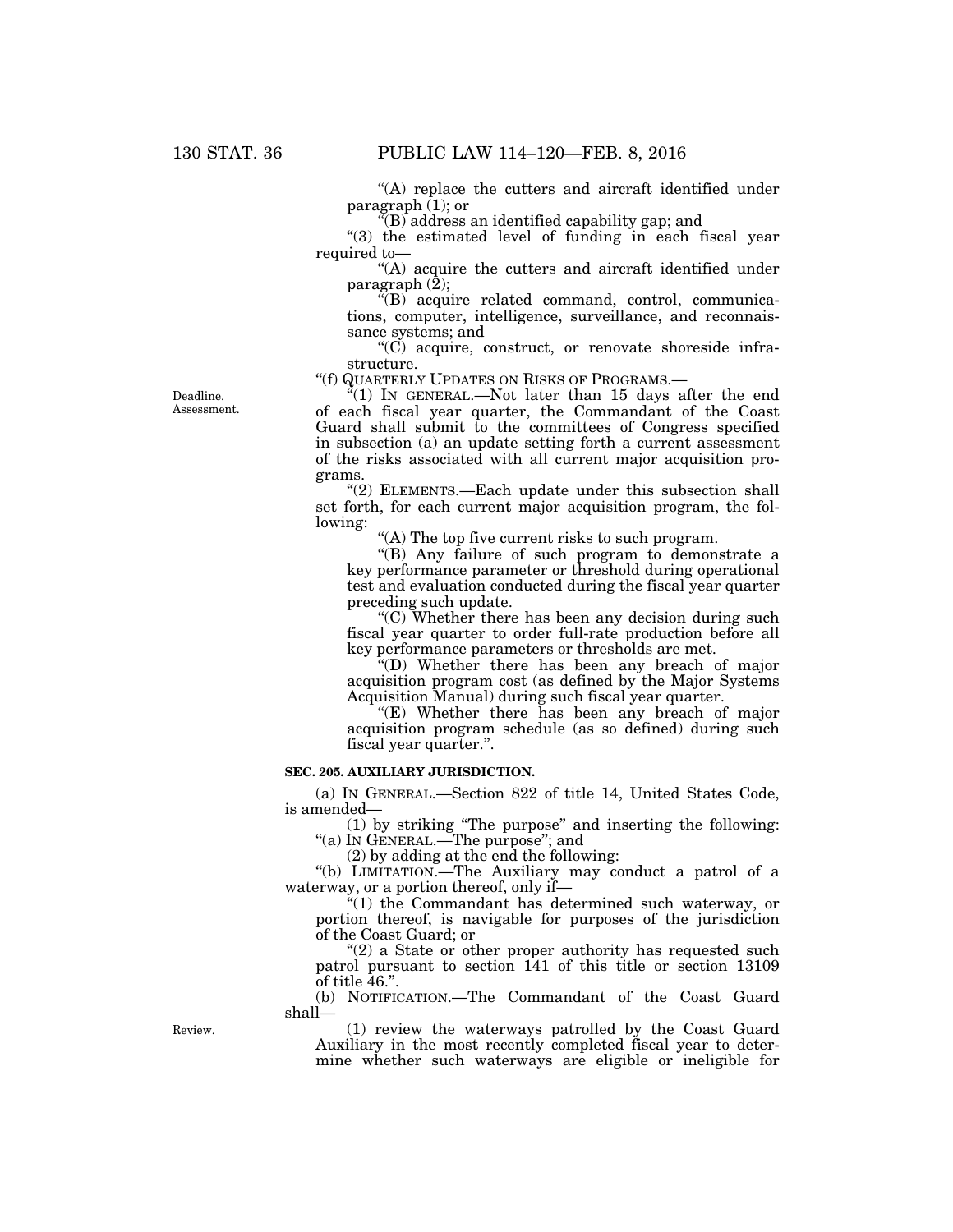"(A) replace the cutters and aircraft identified under paragraph  $(1)$ ; or

 $\widetilde{H}(B)$  address an identified capability gap; and

" $(3)$  the estimated level of funding in each fiscal year required to—

"(A) acquire the cutters and aircraft identified under paragraph  $(\overline{2})$ ;

 $\sqrt[G]{(B)}$  acquire related command, control, communications, computer, intelligence, surveillance, and reconnaissance systems; and

''(C) acquire, construct, or renovate shoreside infrastructure.

''(f) QUARTERLY UPDATES ON RISKS OF PROGRAMS.—

 $\cdot$ <sup>2</sup>(1) In GENERAL.—Not later than 15 days after the end of each fiscal year quarter, the Commandant of the Coast Guard shall submit to the committees of Congress specified in subsection (a) an update setting forth a current assessment of the risks associated with all current major acquisition programs.

"(2) ELEMENTS.—Each update under this subsection shall set forth, for each current major acquisition program, the following:

''(A) The top five current risks to such program.

''(B) Any failure of such program to demonstrate a key performance parameter or threshold during operational test and evaluation conducted during the fiscal year quarter preceding such update.

" $(C)$  Whether there has been any decision during such fiscal year quarter to order full-rate production before all key performance parameters or thresholds are met.

''(D) Whether there has been any breach of major acquisition program cost (as defined by the Major Systems Acquisition Manual) during such fiscal year quarter.

''(E) Whether there has been any breach of major acquisition program schedule (as so defined) during such fiscal year quarter.''.

## **SEC. 205. AUXILIARY JURISDICTION.**

(a) IN GENERAL.—Section 822 of title 14, United States Code, is amended—

(1) by striking ''The purpose'' and inserting the following: ''(a) IN GENERAL.—The purpose''; and

 $(2)$  by adding at the end the following:

"(b) LIMITATION.—The Auxiliary may conduct a patrol of a waterway, or a portion thereof, only if—

''(1) the Commandant has determined such waterway, or portion thereof, is navigable for purposes of the jurisdiction of the Coast Guard; or

" $(2)$  a State or other proper authority has requested such patrol pursuant to section 141 of this title or section 13109 of title 46.''.

(b) NOTIFICATION.—The Commandant of the Coast Guard shall—

Review.

(1) review the waterways patrolled by the Coast Guard Auxiliary in the most recently completed fiscal year to determine whether such waterways are eligible or ineligible for

Deadline. Assessment.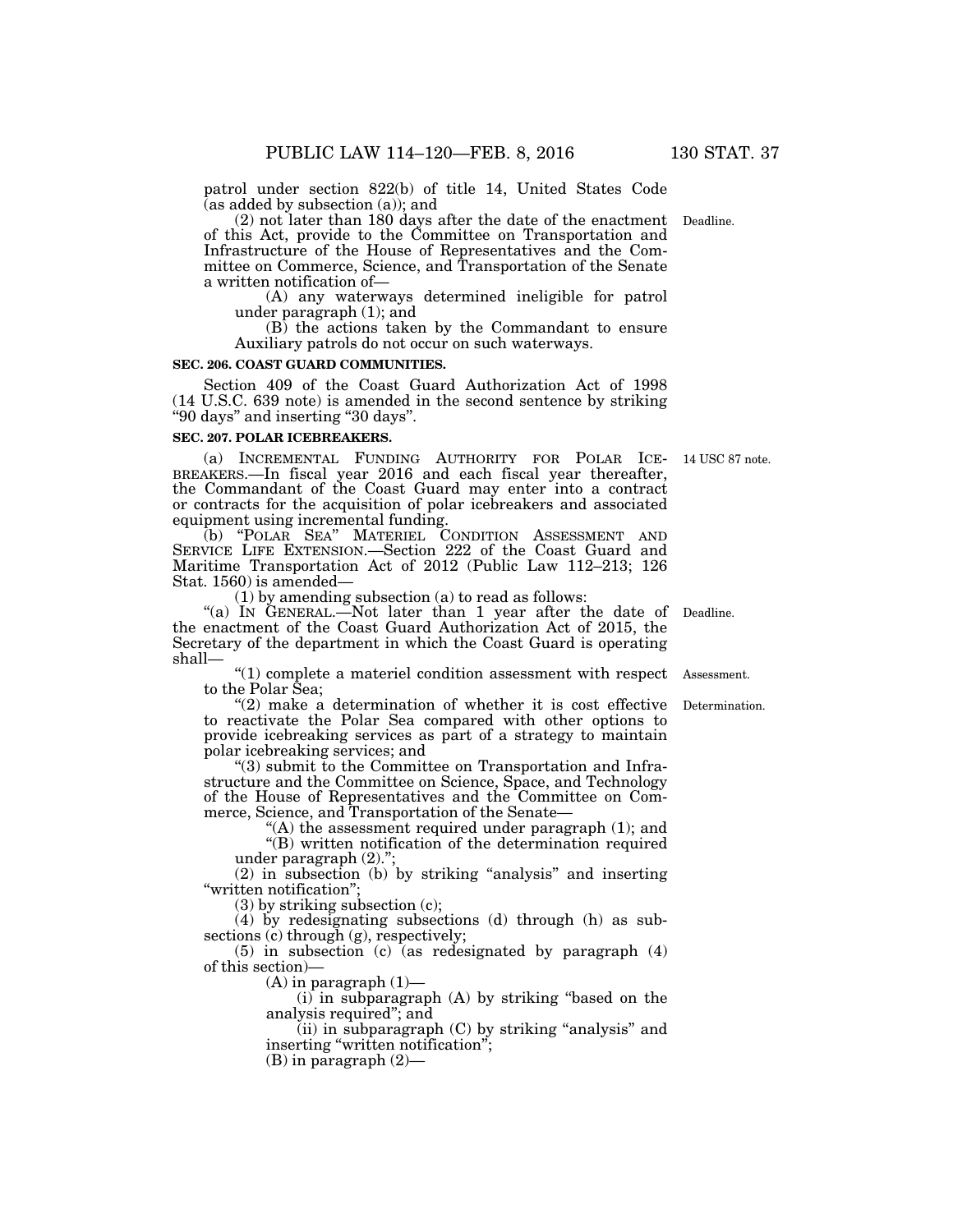patrol under section 822(b) of title 14, United States Code  $(a)$  as added by subsection  $(a)$ ; and

(2) not later than 180 days after the date of the enactment Deadline. of this Act, provide to the Committee on Transportation and Infrastructure of the House of Representatives and the Committee on Commerce, Science, and Transportation of the Senate a written notification of—

(A) any waterways determined ineligible for patrol under paragraph (1); and

(B) the actions taken by the Commandant to ensure Auxiliary patrols do not occur on such waterways.

#### **SEC. 206. COAST GUARD COMMUNITIES.**

Section 409 of the Coast Guard Authorization Act of 1998 (14 U.S.C. 639 note) is amended in the second sentence by striking ''90 days'' and inserting ''30 days''.

#### **SEC. 207. POLAR ICEBREAKERS.**

(a) INCREMENTAL FUNDING AUTHORITY FOR POLAR ICE-<br>BREAKERS.—In fiscal year 2016 and each fiscal year thereafter, the Commandant of the Coast Guard may enter into a contract or contracts for the acquisition of polar icebreakers and associated equipment using incremental funding. (a) INCREMENTAL FUNDING AUTHORITY FOR POLAR ICE- 14 USC 87 note.

(b) ''POLAR SEA'' MATERIEL CONDITION ASSESSMENT AND SERVICE LIFE EXTENSION.—Section 222 of the Coast Guard and Maritime Transportation Act of 2012 (Public Law 112–213; 126 Stat. 1560) is amended—

(1) by amending subsection (a) to read as follows:

"(a) In GENERAL.—Not later than 1 year after the date of Deadline. the enactment of the Coast Guard Authorization Act of 2015, the Secretary of the department in which the Coast Guard is operating shall—

''(1) complete a materiel condition assessment with respect Assessment. to the Polar Sea;

 $''(2)$  make a determination of whether it is cost effective to reactivate the Polar Sea compared with other options to provide icebreaking services as part of a strategy to maintain polar icebreaking services; and

''(3) submit to the Committee on Transportation and Infrastructure and the Committee on Science, Space, and Technology of the House of Representatives and the Committee on Commerce, Science, and Transportation of the Senate—

 $(A)$  the assessment required under paragraph  $(1)$ ; and

''(B) written notification of the determination required under paragraph (2).'';

(2) in subsection (b) by striking ''analysis'' and inserting "written notification";

(3) by striking subsection (c);

(4) by redesignating subsections (d) through (h) as subsections (c) through (g), respectively;

(5) in subsection (c) (as redesignated by paragraph (4) of this section)—

 $(A)$  in paragraph  $(1)$ —

(i) in subparagraph (A) by striking ''based on the analysis required''; and

 $(ii)$  in subparagraph  $(C)$  by striking "analysis" and inserting "written notification";

(B) in paragraph (2)—

Determination.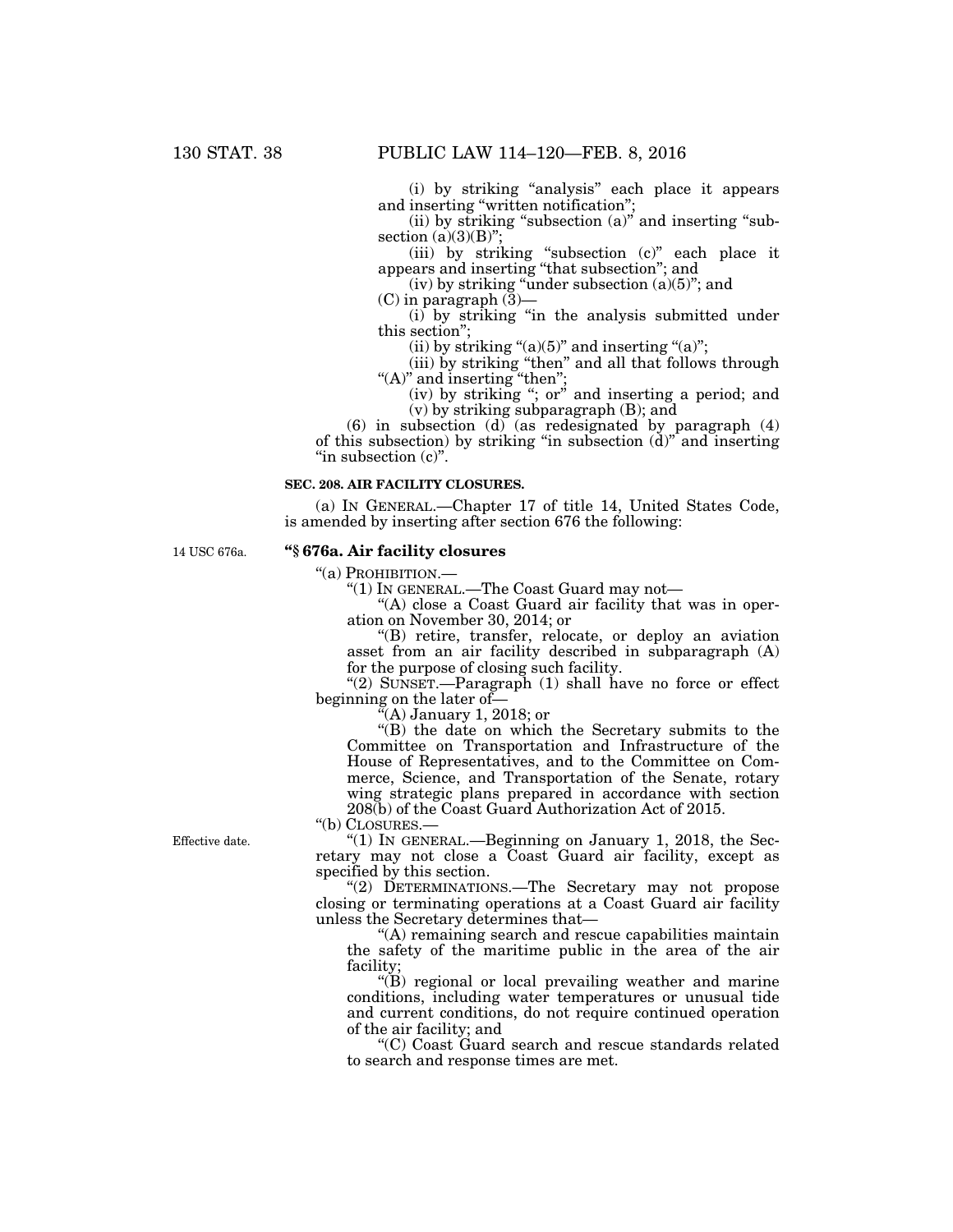(i) by striking ''analysis'' each place it appears and inserting ''written notification'';

(ii) by striking "subsection (a)" and inserting "subsection  $(a)(3)(B)$ ";

(iii) by striking ''subsection (c)'' each place it appears and inserting ''that subsection''; and

(iv) by striking "under subsection  $(a)(5)$ "; and

 $(C)$  in paragraph  $(\bar{3})$ —

(i) by striking ''in the analysis submitted under this section'';

(ii) by striking " $(a)(5)$ " and inserting " $(a)$ ";

(iii) by striking ''then'' and all that follows through "(A)" and inserting "then";

(iv) by striking ''; or'' and inserting a period; and (v) by striking subparagraph (B); and

(6) in subsection (d) (as redesignated by paragraph (4) of this subsection) by striking ''in subsection (d)'' and inserting "in subsection  $(c)$ ".

#### **SEC. 208. AIR FACILITY CLOSURES.**

(a) IN GENERAL.—Chapter 17 of title 14, United States Code, is amended by inserting after section 676 the following:

14 USC 676a.

## **''§ 676a. Air facility closures**

''(a) PROHIBITION.—

''(1) IN GENERAL.—The Coast Guard may not—

"(A) close a Coast Guard air facility that was in operation on November 30, 2014; or

''(B) retire, transfer, relocate, or deploy an aviation asset from an air facility described in subparagraph (A) for the purpose of closing such facility.

" $(2)$  SUNSET.—Paragraph  $(1)$  shall have no force or effect beginning on the later of—

 $\tilde{f}(A)$  January 1, 2018; or

''(B) the date on which the Secretary submits to the Committee on Transportation and Infrastructure of the House of Representatives, and to the Committee on Commerce, Science, and Transportation of the Senate, rotary wing strategic plans prepared in accordance with section 208(b) of the Coast Guard Authorization Act of 2015.

''(b) CLOSURES.—

" $(1)$  In GENERAL.—Beginning on January 1, 2018, the Secretary may not close a Coast Guard air facility, except as specified by this section.

''(2) DETERMINATIONS.—The Secretary may not propose closing or terminating operations at a Coast Guard air facility unless the Secretary determines that—

''(A) remaining search and rescue capabilities maintain the safety of the maritime public in the area of the air facility;

''(B) regional or local prevailing weather and marine conditions, including water temperatures or unusual tide and current conditions, do not require continued operation of the air facility; and

''(C) Coast Guard search and rescue standards related to search and response times are met.

Effective date.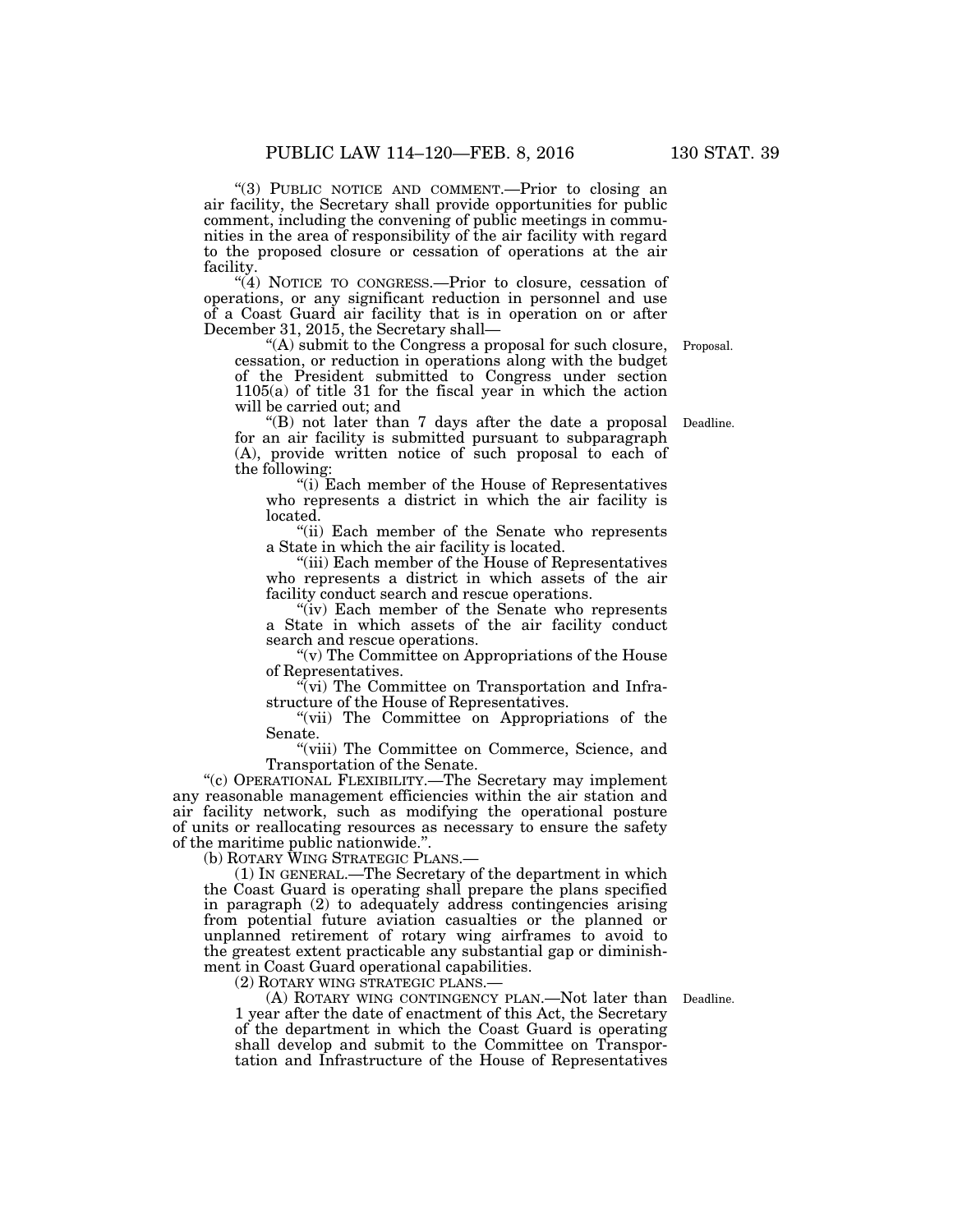"(3) PUBLIC NOTICE AND COMMENT.—Prior to closing an air facility, the Secretary shall provide opportunities for public comment, including the convening of public meetings in communities in the area of responsibility of the air facility with regard to the proposed closure or cessation of operations at the air facility.

"(4) NOTICE TO CONGRESS.—Prior to closure, cessation of operations, or any significant reduction in personnel and use of a Coast Guard air facility that is in operation on or after December 31, 2015, the Secretary shall—

''(A) submit to the Congress a proposal for such closure, cessation, or reduction in operations along with the budget of the President submitted to Congress under section 1105(a) of title 31 for the fiscal year in which the action will be carried out; and Proposal.

''(B) not later than 7 days after the date a proposal Deadline. for an air facility is submitted pursuant to subparagraph (A), provide written notice of such proposal to each of the following:

 $(i)$  Each member of the House of Representatives who represents a district in which the air facility is located.

''(ii) Each member of the Senate who represents a State in which the air facility is located.

''(iii) Each member of the House of Representatives who represents a district in which assets of the air facility conduct search and rescue operations.

"(iv) Each member of the Senate who represents a State in which assets of the air facility conduct search and rescue operations.

''(v) The Committee on Appropriations of the House of Representatives.

 $\sqrt[n]{v}$  (vi) The Committee on Transportation and Infrastructure of the House of Representatives.

"(vii) The Committee on Appropriations of the Senate.

''(viii) The Committee on Commerce, Science, and Transportation of the Senate.

''(c) OPERATIONAL FLEXIBILITY.—The Secretary may implement any reasonable management efficiencies within the air station and air facility network, such as modifying the operational posture of units or reallocating resources as necessary to ensure the safety of the maritime public nationwide.''.

(b) ROTARY WING STRATEGIC PLANS.—

(1) IN GENERAL.—The Secretary of the department in which the Coast Guard is operating shall prepare the plans specified in paragraph (2) to adequately address contingencies arising from potential future aviation casualties or the planned or unplanned retirement of rotary wing airframes to avoid to the greatest extent practicable any substantial gap or diminishment in Coast Guard operational capabilities.

(2) ROTARY WING STRATEGIC PLANS.—

(A) ROTARY WING CONTINGENCY PLAN.—Not later than Deadline. 1 year after the date of enactment of this Act, the Secretary of the department in which the Coast Guard is operating shall develop and submit to the Committee on Transportation and Infrastructure of the House of Representatives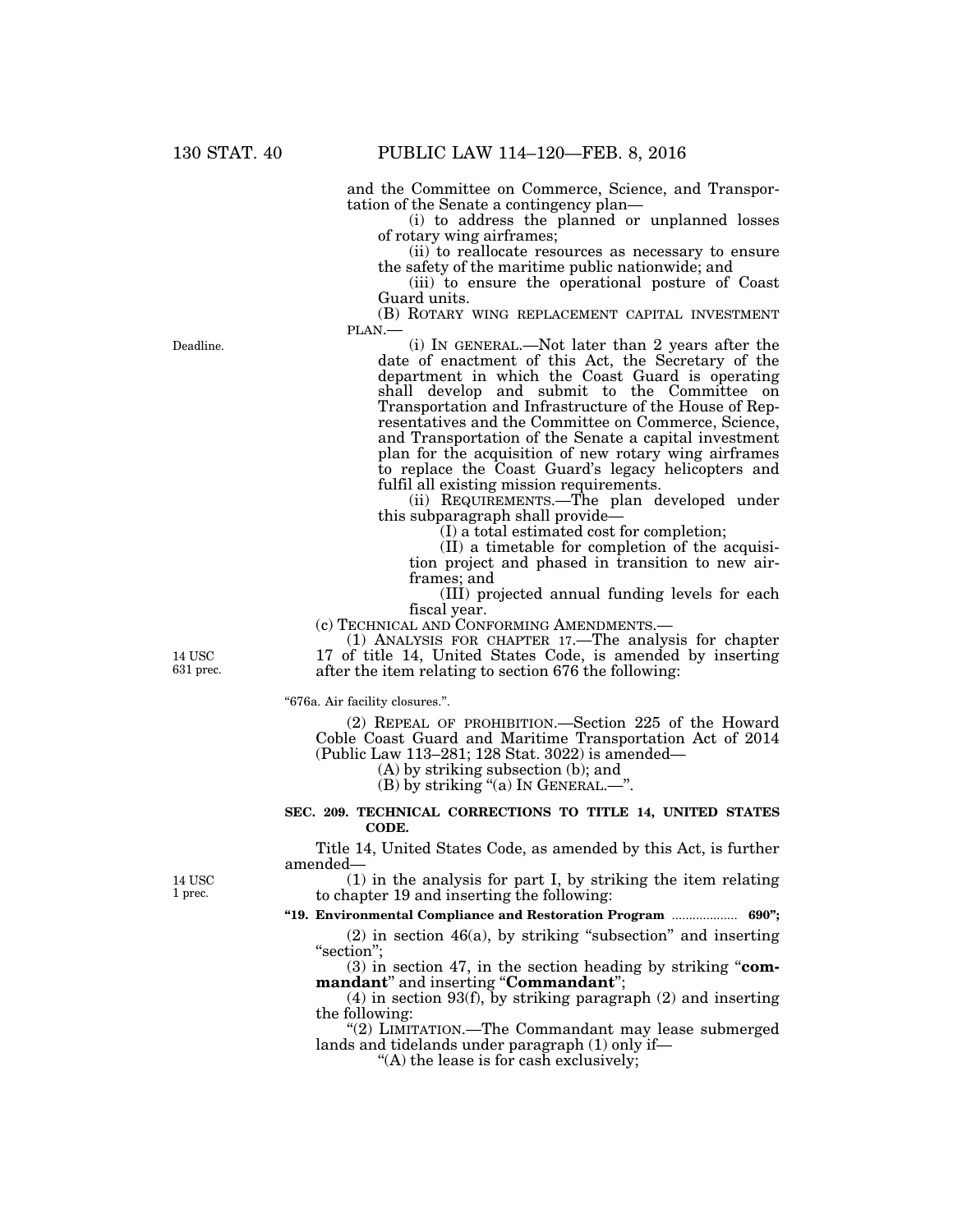and the Committee on Commerce, Science, and Transportation of the Senate a contingency plan—

(i) to address the planned or unplanned losses of rotary wing airframes;

(ii) to reallocate resources as necessary to ensure the safety of the maritime public nationwide; and

(iii) to ensure the operational posture of Coast Guard units.

(B) ROTARY WING REPLACEMENT CAPITAL INVESTMENT

PLAN.— (i) IN GENERAL.—Not later than 2 years after the date of enactment of this Act, the Secretary of the department in which the Coast Guard is operating shall develop and submit to the Committee on Transportation and Infrastructure of the House of Representatives and the Committee on Commerce, Science, and Transportation of the Senate a capital investment plan for the acquisition of new rotary wing airframes to replace the Coast Guard's legacy helicopters and fulfil all existing mission requirements.

(ii) REQUIREMENTS.—The plan developed under this subparagraph shall provide—

(I) a total estimated cost for completion;

(II) a timetable for completion of the acquisition project and phased in transition to new airframes; and

(III) projected annual funding levels for each fiscal year.

(c) TECHNICAL AND CONFORMING AMENDMENTS.—

(1) ANALYSIS FOR CHAPTER 17.—The analysis for chapter 17 of title 14, United States Code, is amended by inserting after the item relating to section 676 the following:

''676a. Air facility closures.''.

(2) REPEAL OF PROHIBITION.—Section 225 of the Howard Coble Coast Guard and Maritime Transportation Act of 2014 (Public Law 113–281; 128 Stat. 3022) is amended—

(A) by striking subsection (b); and

(B) by striking "(a) In GENERAL.—".

## **SEC. 209. TECHNICAL CORRECTIONS TO TITLE 14, UNITED STATES CODE.**

Title 14, United States Code, as amended by this Act, is further amended—

14 USC 1 prec.

14 USC 631 prec.

> (1) in the analysis for part I, by striking the item relating to chapter 19 and inserting the following:

**''19. Environmental Compliance and Restoration Program** ................... **690'';** 

 $(2)$  in section 46 $(a)$ , by striking "subsection" and inserting "section";

(3) in section 47, in the section heading by striking ''**com**mandant" and inserting "Commandant";

(4) in section 93(f), by striking paragraph (2) and inserting the following:

"(2) LIMITATION.—The Commandant may lease submerged lands and tidelands under paragraph (1) only if—

''(A) the lease is for cash exclusively;

Deadline.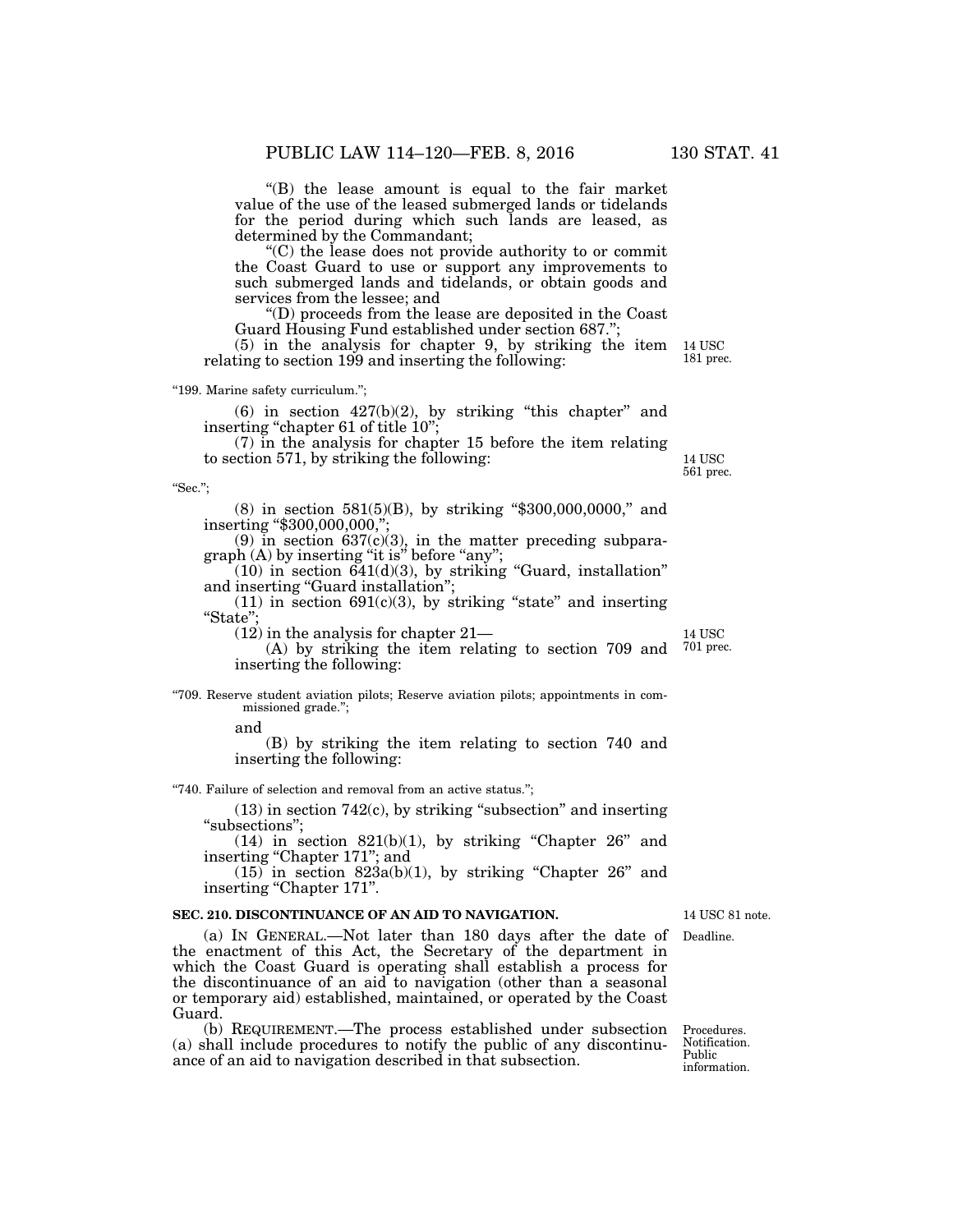''(B) the lease amount is equal to the fair market value of the use of the leased submerged lands or tidelands for the period during which such lands are leased, as determined by the Commandant;

''(C) the lease does not provide authority to or commit the Coast Guard to use or support any improvements to such submerged lands and tidelands, or obtain goods and services from the lessee; and

''(D) proceeds from the lease are deposited in the Coast Guard Housing Fund established under section 687.'';

(5) in the analysis for chapter 9, by striking the item relating to section 199 and inserting the following:

''199. Marine safety curriculum.'';

 $(6)$  in section  $427(b)(2)$ , by striking "this chapter" and inserting "chapter 61 of title 10";

(7) in the analysis for chapter 15 before the item relating to section 571, by striking the following:

''Sec.'';

 $(8)$  in section 581(5)(B), by striking "\$300,000,0000," and inserting "\$300,000,000,"

(9) in section  $637(c)(3)$ , in the matter preceding subparagraph (A) by inserting "it is" before "any";

 $(10)$  in section  $641(d)(3)$ , by striking "Guard, installation" and inserting "Guard installation";

 $(11)$  in section 691 $(c)(3)$ , by striking "state" and inserting "State"

(12) in the analysis for chapter 21—

(A) by striking the item relating to section 709 and inserting the following:

''709. Reserve student aviation pilots; Reserve aviation pilots; appointments in commissioned grade.'';

and

(B) by striking the item relating to section 740 and inserting the following:

''740. Failure of selection and removal from an active status.'';

 $(13)$  in section 742 $(c)$ , by striking "subsection" and inserting ''subsections'';

 $(14)$  in section  $821(b)(1)$ , by striking "Chapter 26" and inserting "Chapter 171"; and

 $(15)$  in section 823a(b)(1), by striking "Chapter 26" and inserting "Chapter 171".

## **SEC. 210. DISCONTINUANCE OF AN AID TO NAVIGATION.**

(a) IN GENERAL.—Not later than 180 days after the date of the enactment of this Act, the Secretary of the department in which the Coast Guard is operating shall establish a process for the discontinuance of an aid to navigation (other than a seasonal or temporary aid) established, maintained, or operated by the Coast Guard.

(b) REQUIREMENT.—The process established under subsection (a) shall include procedures to notify the public of any discontinuance of an aid to navigation described in that subsection.

14 USC 81 note.

Deadline.

14 USC 561 prec.

14 USC 181 prec.

Procedures. Notification. Public information.

14 USC 701 prec.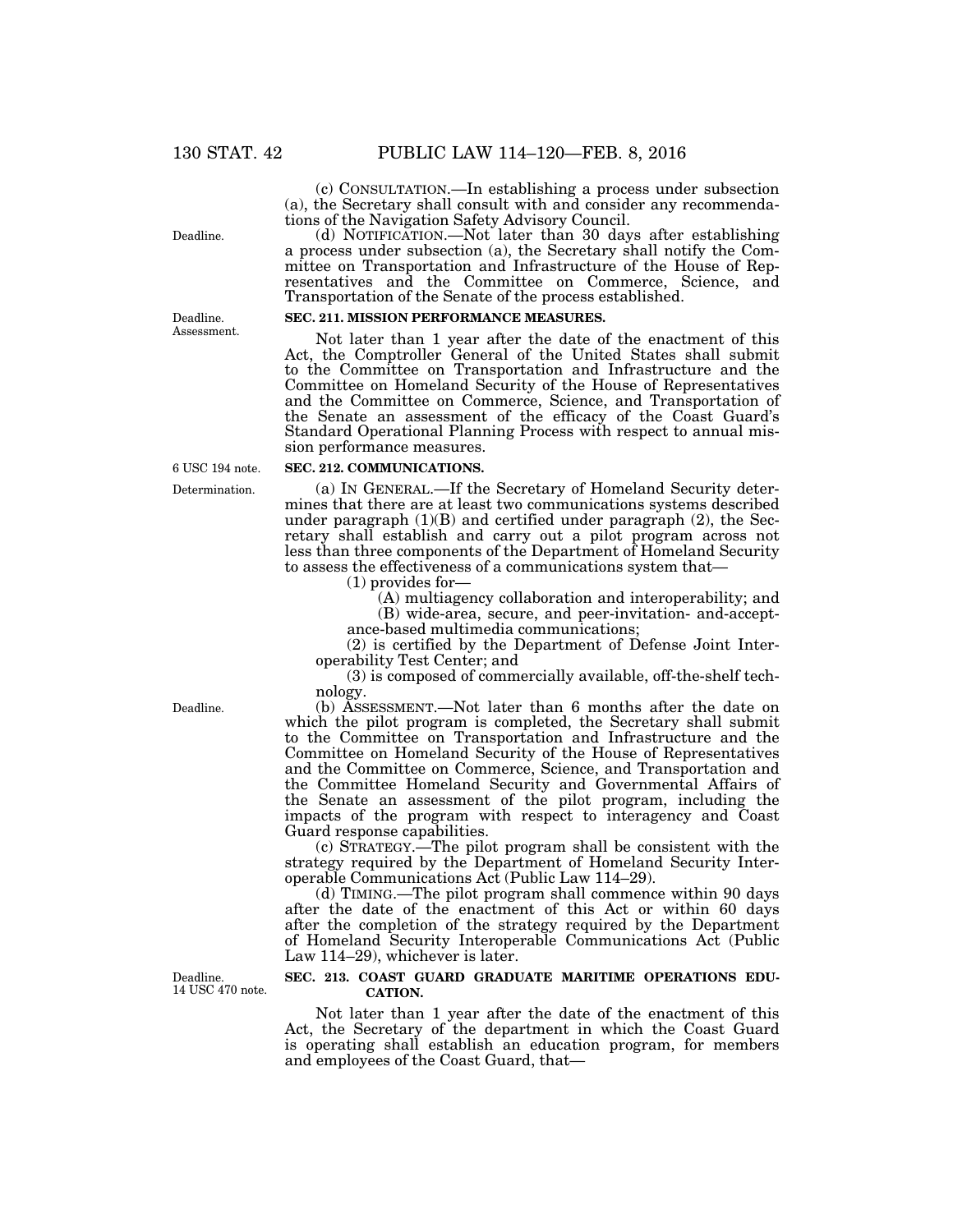(c) CONSULTATION.—In establishing a process under subsection (a), the Secretary shall consult with and consider any recommendations of the Navigation Safety Advisory Council.

(d) NOTIFICATION.—Not later than 30 days after establishing a process under subsection (a), the Secretary shall notify the Committee on Transportation and Infrastructure of the House of Representatives and the Committee on Commerce, Science, and Transportation of the Senate of the process established.

# **SEC. 211. MISSION PERFORMANCE MEASURES.**

Not later than 1 year after the date of the enactment of this Act, the Comptroller General of the United States shall submit to the Committee on Transportation and Infrastructure and the Committee on Homeland Security of the House of Representatives and the Committee on Commerce, Science, and Transportation of the Senate an assessment of the efficacy of the Coast Guard's Standard Operational Planning Process with respect to annual mission performance measures.

#### **SEC. 212. COMMUNICATIONS.**

(a) IN GENERAL.—If the Secretary of Homeland Security determines that there are at least two communications systems described under paragraph  $(1)(B)$  and certified under paragraph  $(2)$ , the Secretary shall establish and carry out a pilot program across not less than three components of the Department of Homeland Security to assess the effectiveness of a communications system that—

(1) provides for—

(A) multiagency collaboration and interoperability; and (B) wide-area, secure, and peer-invitation- and-acceptance-based multimedia communications;

(2) is certified by the Department of Defense Joint Interoperability Test Center; and

(3) is composed of commercially available, off-the-shelf technology.

(b) ASSESSMENT.—Not later than 6 months after the date on which the pilot program is completed, the Secretary shall submit to the Committee on Transportation and Infrastructure and the Committee on Homeland Security of the House of Representatives and the Committee on Commerce, Science, and Transportation and the Committee Homeland Security and Governmental Affairs of the Senate an assessment of the pilot program, including the impacts of the program with respect to interagency and Coast Guard response capabilities.

(c) STRATEGY.—The pilot program shall be consistent with the strategy required by the Department of Homeland Security Interoperable Communications Act (Public Law 114–29).

(d) TIMING.—The pilot program shall commence within 90 days after the date of the enactment of this Act or within 60 days after the completion of the strategy required by the Department of Homeland Security Interoperable Communications Act (Public Law 114–29), whichever is later.

## **SEC. 213. COAST GUARD GRADUATE MARITIME OPERATIONS EDU-CATION.**

Not later than 1 year after the date of the enactment of this Act, the Secretary of the department in which the Coast Guard is operating shall establish an education program, for members and employees of the Coast Guard, that—

Deadline.

Deadline. Assessment.

6 USC 194 note.

Determination.

Deadline.

Deadline. 14 USC 470 note.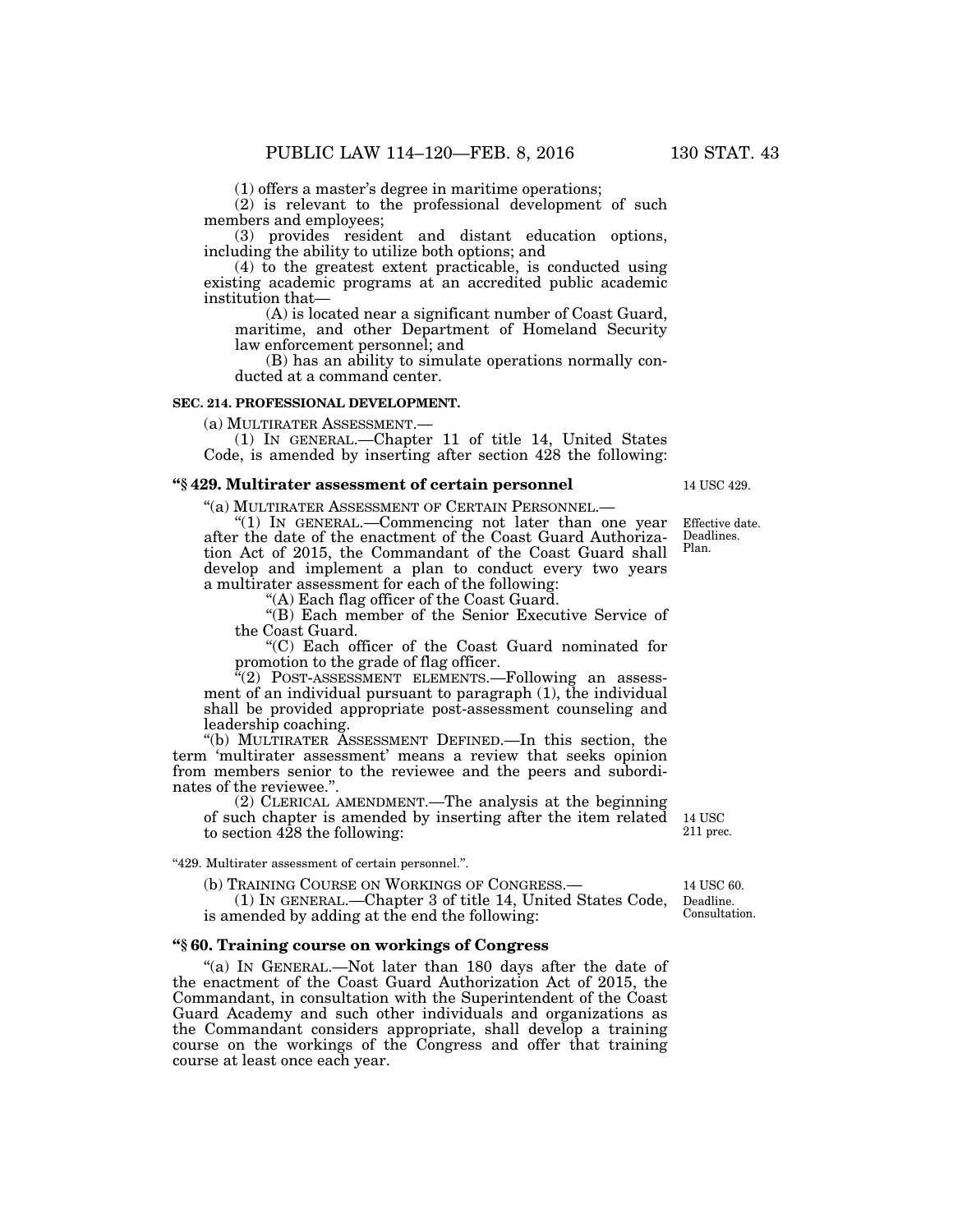(1) offers a master's degree in maritime operations;

(2) is relevant to the professional development of such members and employees;

(3) provides resident and distant education options, including the ability to utilize both options; and

(4) to the greatest extent practicable, is conducted using existing academic programs at an accredited public academic institution that—

(A) is located near a significant number of Coast Guard, maritime, and other Department of Homeland Security law enforcement personnel; and

(B) has an ability to simulate operations normally conducted at a command center.

## **SEC. 214. PROFESSIONAL DEVELOPMENT.**

(a) MULTIRATER ASSESSMENT.— (1) IN GENERAL.—Chapter 11 of title 14, United States Code, is amended by inserting after section 428 the following:

## **''§ 429. Multirater assessment of certain personnel**

''(a) MULTIRATER ASSESSMENT OF CERTAIN PERSONNEL.—

''(1) IN GENERAL.—Commencing not later than one year after the date of the enactment of the Coast Guard Authorization Act of 2015, the Commandant of the Coast Guard shall develop and implement a plan to conduct every two years a multirater assessment for each of the following:

'(A) Each flag officer of the Coast Guard.

''(B) Each member of the Senior Executive Service of the Coast Guard.

''(C) Each officer of the Coast Guard nominated for promotion to the grade of flag officer.

"(2) POST-ASSESSMENT ELEMENTS.—Following an assessment of an individual pursuant to paragraph (1), the individual shall be provided appropriate post-assessment counseling and leadership coaching.

''(b) MULTIRATER ASSESSMENT DEFINED.—In this section, the term 'multirater assessment' means a review that seeks opinion from members senior to the reviewee and the peers and subordinates of the reviewee.''.

(2) CLERICAL AMENDMENT.—The analysis at the beginning of such chapter is amended by inserting after the item related to section 428 the following:

''429. Multirater assessment of certain personnel.''.

(b) TRAINING COURSE ON WORKINGS OF CONGRESS.— (1) IN GENERAL.—Chapter 3 of title 14, United States Code, is amended by adding at the end the following:

## **''§ 60. Training course on workings of Congress**

"(a) IN GENERAL.—Not later than 180 days after the date of the enactment of the Coast Guard Authorization Act of 2015, the Commandant, in consultation with the Superintendent of the Coast Guard Academy and such other individuals and organizations as the Commandant considers appropriate, shall develop a training course on the workings of the Congress and offer that training course at least once each year.

14 USC 429.

Effective date. Deadlines. Plan.

14 USC 211 prec.

Deadline. Consultation. 14 USC 60.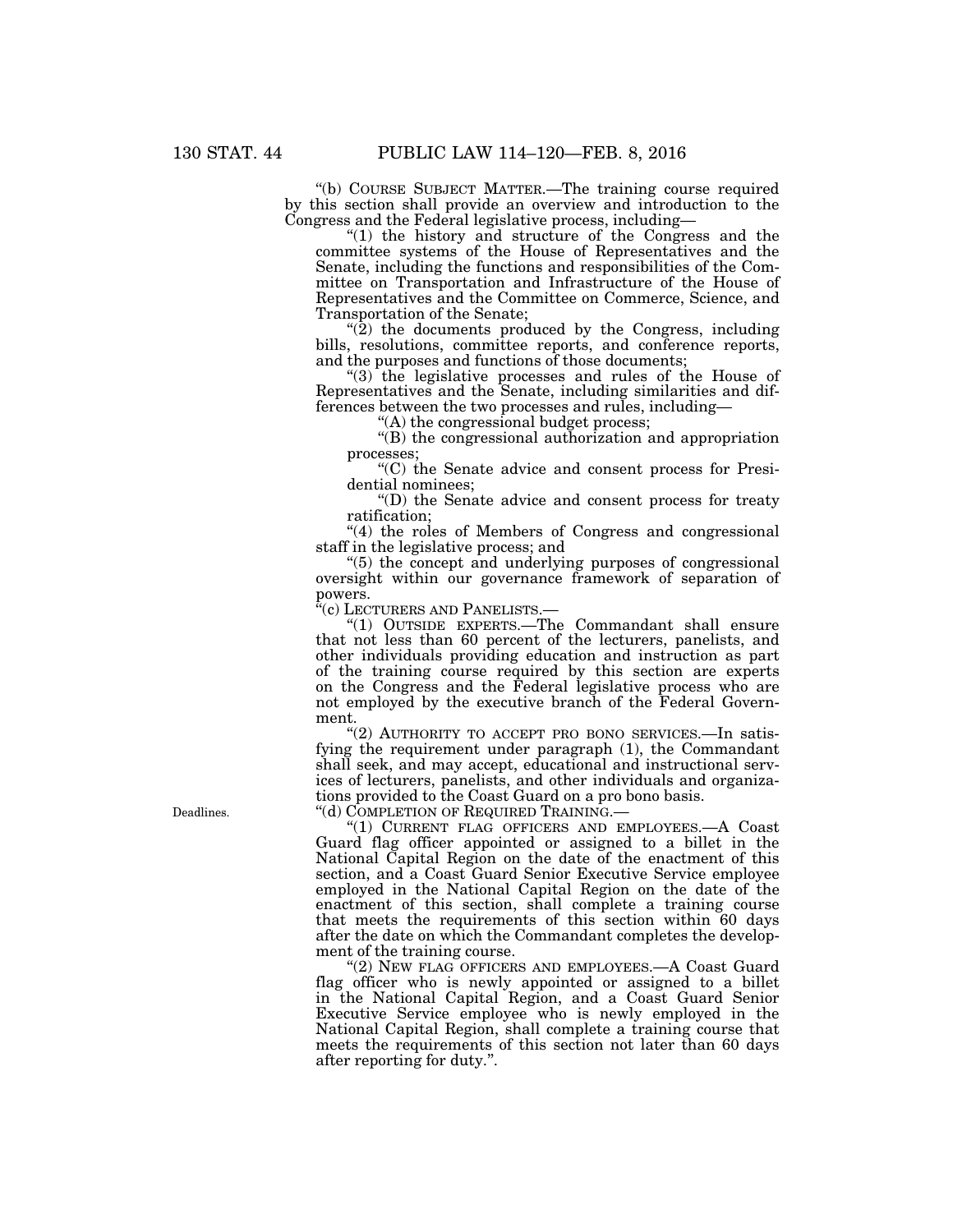''(b) COURSE SUBJECT MATTER.—The training course required by this section shall provide an overview and introduction to the Congress and the Federal legislative process, including—

''(1) the history and structure of the Congress and the committee systems of the House of Representatives and the Senate, including the functions and responsibilities of the Committee on Transportation and Infrastructure of the House of Representatives and the Committee on Commerce, Science, and Transportation of the Senate;

 $\cdot$ (2) the documents produced by the Congress, including bills, resolutions, committee reports, and conference reports, and the purposes and functions of those documents;

" $(3)$  the legislative processes and rules of the House of Representatives and the Senate, including similarities and differences between the two processes and rules, including—

''(A) the congressional budget process;

''(B) the congressional authorization and appropriation processes;

''(C) the Senate advice and consent process for Presidential nominees;

''(D) the Senate advice and consent process for treaty ratification;

"(4) the roles of Members of Congress and congressional staff in the legislative process; and

''(5) the concept and underlying purposes of congressional oversight within our governance framework of separation of powers.

''(c) LECTURERS AND PANELISTS.—

''(1) OUTSIDE EXPERTS.—The Commandant shall ensure that not less than 60 percent of the lecturers, panelists, and other individuals providing education and instruction as part of the training course required by this section are experts on the Congress and the Federal legislative process who are not employed by the executive branch of the Federal Government.

"(2) AUTHORITY TO ACCEPT PRO BONO SERVICES.-In satisfying the requirement under paragraph (1), the Commandant shall seek, and may accept, educational and instructional services of lecturers, panelists, and other individuals and organizations provided to the Coast Guard on a pro bono basis.

''(d) COMPLETION OF REQUIRED TRAINING.—

''(1) CURRENT FLAG OFFICERS AND EMPLOYEES.—A Coast Guard flag officer appointed or assigned to a billet in the National Capital Region on the date of the enactment of this section, and a Coast Guard Senior Executive Service employee employed in the National Capital Region on the date of the enactment of this section, shall complete a training course that meets the requirements of this section within 60 days after the date on which the Commandant completes the development of the training course.

"(2) NEW FLAG OFFICERS AND EMPLOYEES.—A Coast Guard flag officer who is newly appointed or assigned to a billet in the National Capital Region, and a Coast Guard Senior Executive Service employee who is newly employed in the National Capital Region, shall complete a training course that meets the requirements of this section not later than 60 days after reporting for duty.''.

Deadlines.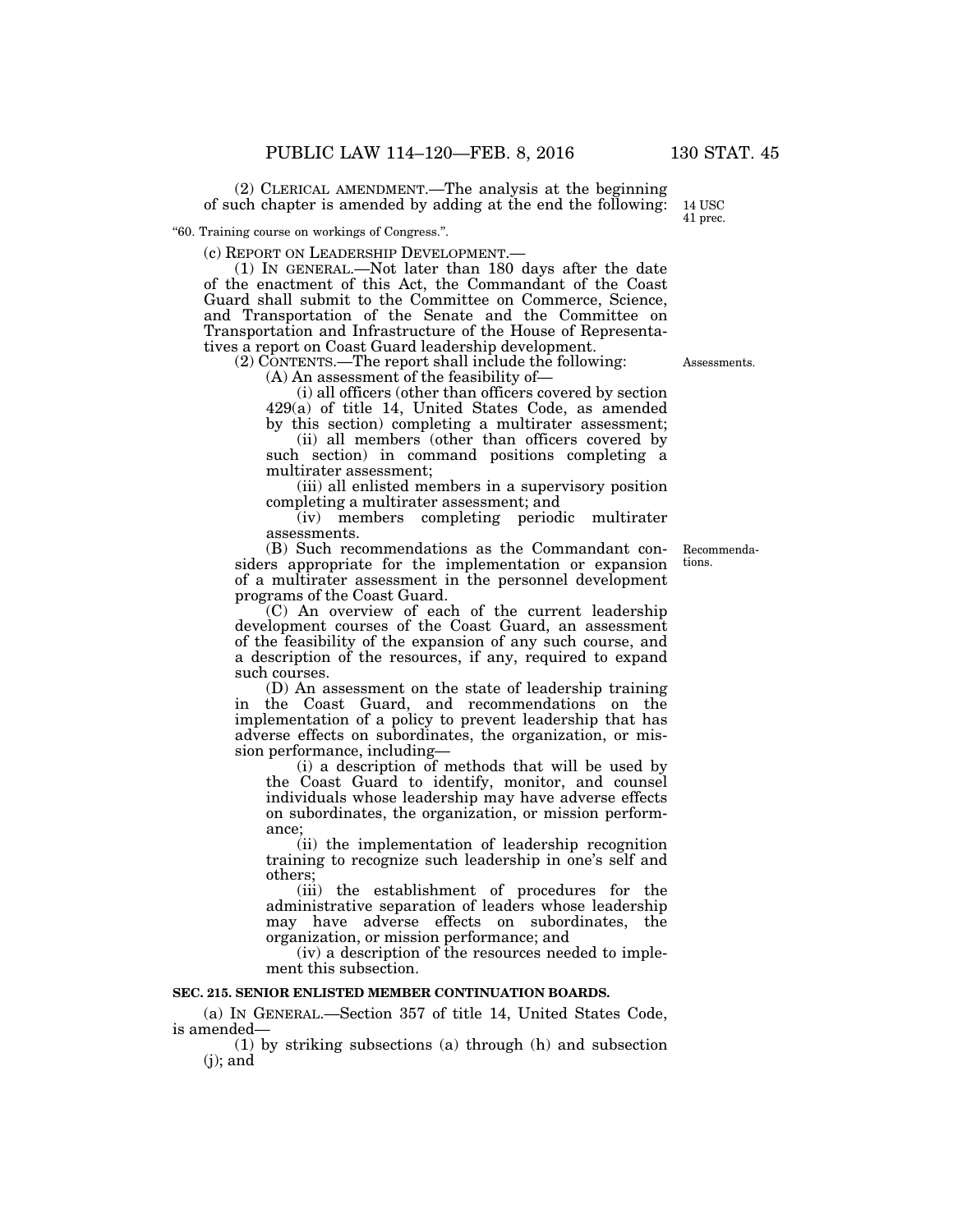(2) CLERICAL AMENDMENT.—The analysis at the beginning of such chapter is amended by adding at the end the following:

''60. Training course on workings of Congress.''.

(c) REPORT ON LEADERSHIP DEVELOPMENT.— (1) IN GENERAL.—Not later than 180 days after the date of the enactment of this Act, the Commandant of the Coast Guard shall submit to the Committee on Commerce, Science, and Transportation of the Senate and the Committee on Transportation and Infrastructure of the House of Representatives a report on Coast Guard leadership development.

(2) CONTENTS.—The report shall include the following:

(A) An assessment of the feasibility of—

(i) all officers (other than officers covered by section 429(a) of title 14, United States Code, as amended by this section) completing a multirater assessment;

(ii) all members (other than officers covered by such section) in command positions completing a multirater assessment;

(iii) all enlisted members in a supervisory position completing a multirater assessment; and

(iv) members completing periodic multirater assessments.

(B) Such recommendations as the Commandant considers appropriate for the implementation or expansion of a multirater assessment in the personnel development programs of the Coast Guard.

(C) An overview of each of the current leadership development courses of the Coast Guard, an assessment of the feasibility of the expansion of any such course, and a description of the resources, if any, required to expand such courses.

(D) An assessment on the state of leadership training in the Coast Guard, and recommendations on the implementation of a policy to prevent leadership that has adverse effects on subordinates, the organization, or mission performance, including—

(i) a description of methods that will be used by the Coast Guard to identify, monitor, and counsel individuals whose leadership may have adverse effects on subordinates, the organization, or mission performance;

(ii) the implementation of leadership recognition training to recognize such leadership in one's self and others;

(iii) the establishment of procedures for the administrative separation of leaders whose leadership may have adverse effects on subordinates, the organization, or mission performance; and

(iv) a description of the resources needed to implement this subsection.

## **SEC. 215. SENIOR ENLISTED MEMBER CONTINUATION BOARDS.**

(a) IN GENERAL.—Section 357 of title 14, United States Code, is amended—

(1) by striking subsections (a) through (h) and subsection  $(i)$ ; and

Recommendations.

Assessments.

14 USC 41 prec.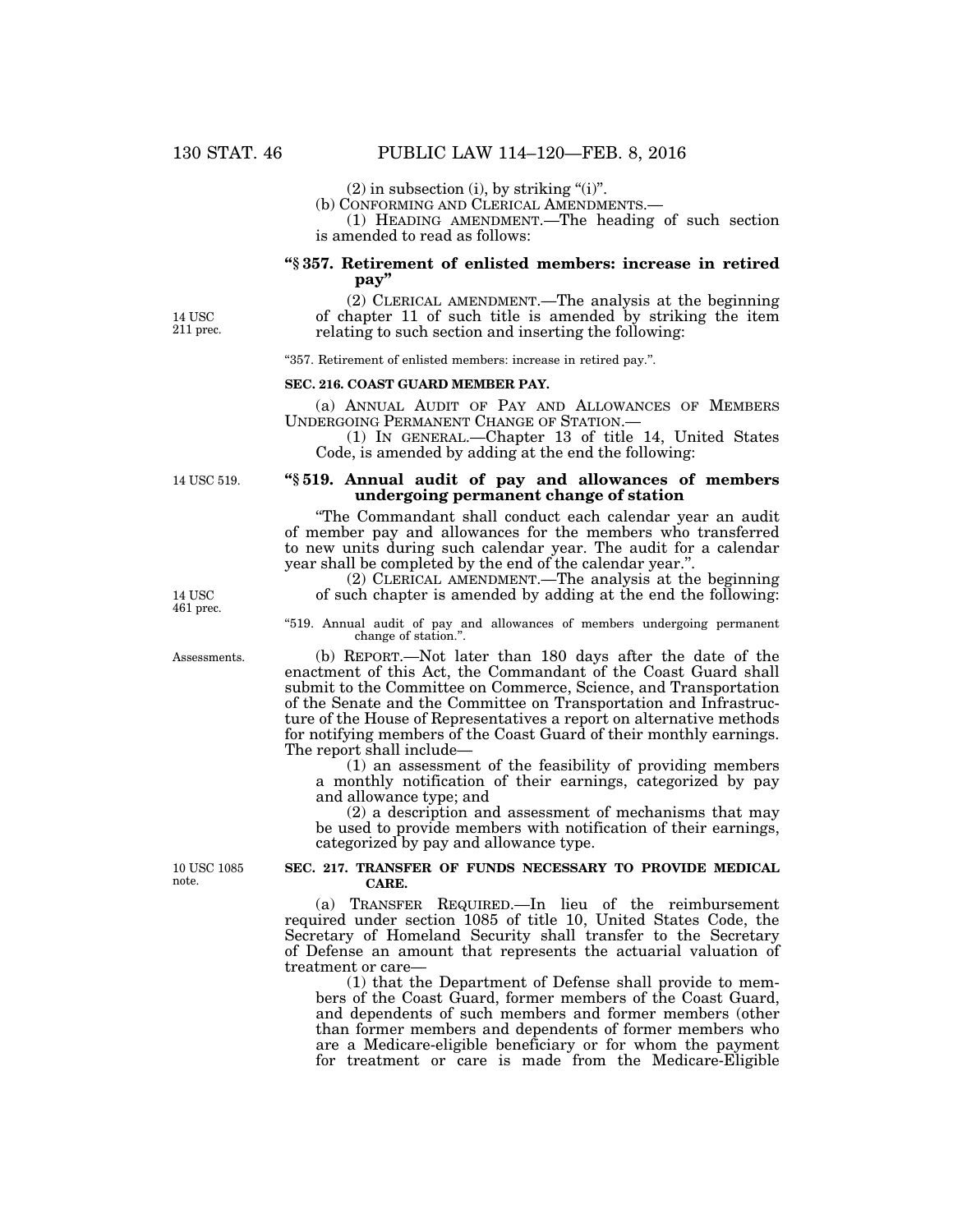(2) in subsection (i), by striking "(i)".<br>(b) CONFORMING AND CLERICAL AMENDMENTS.—

 $(1)$  HEADING AMENDMENT.—The heading of such section is amended to read as follows:

# **''§ 357. Retirement of enlisted members: increase in retired pay''**

14 USC 211 prec.

(2) CLERICAL AMENDMENT.—The analysis at the beginning of chapter 11 of such title is amended by striking the item relating to such section and inserting the following:

''357. Retirement of enlisted members: increase in retired pay.''.

## **SEC. 216. COAST GUARD MEMBER PAY.**

(a) ANNUAL AUDIT OF PAY AND ALLOWANCES OF MEMBERS UNDERGOING PERMANENT CHANGE OF STATION.—

(1) IN GENERAL.—Chapter 13 of title 14, United States Code, is amended by adding at the end the following:

14 USC 519.

## **''§ 519. Annual audit of pay and allowances of members undergoing permanent change of station**

''The Commandant shall conduct each calendar year an audit of member pay and allowances for the members who transferred to new units during such calendar year. The audit for a calendar year shall be completed by the end of the calendar year.''.

(2) CLERICAL AMENDMENT.—The analysis at the beginning of such chapter is amended by adding at the end the following:

''519. Annual audit of pay and allowances of members undergoing permanent change of station.''.

(b) REPORT.—Not later than 180 days after the date of the enactment of this Act, the Commandant of the Coast Guard shall submit to the Committee on Commerce, Science, and Transportation of the Senate and the Committee on Transportation and Infrastructure of the House of Representatives a report on alternative methods for notifying members of the Coast Guard of their monthly earnings. The report shall include—

(1) an assessment of the feasibility of providing members a monthly notification of their earnings, categorized by pay and allowance type; and

(2) a description and assessment of mechanisms that may be used to provide members with notification of their earnings, categorized by pay and allowance type.

10 USC 1085 note.

## **SEC. 217. TRANSFER OF FUNDS NECESSARY TO PROVIDE MEDICAL CARE.**

(a) TRANSFER REQUIRED.—In lieu of the reimbursement required under section 1085 of title 10, United States Code, the Secretary of Homeland Security shall transfer to the Secretary of Defense an amount that represents the actuarial valuation of treatment or care—

(1) that the Department of Defense shall provide to members of the Coast Guard, former members of the Coast Guard, and dependents of such members and former members (other than former members and dependents of former members who are a Medicare-eligible beneficiary or for whom the payment for treatment or care is made from the Medicare-Eligible

14 USC 461 prec.

Assessments.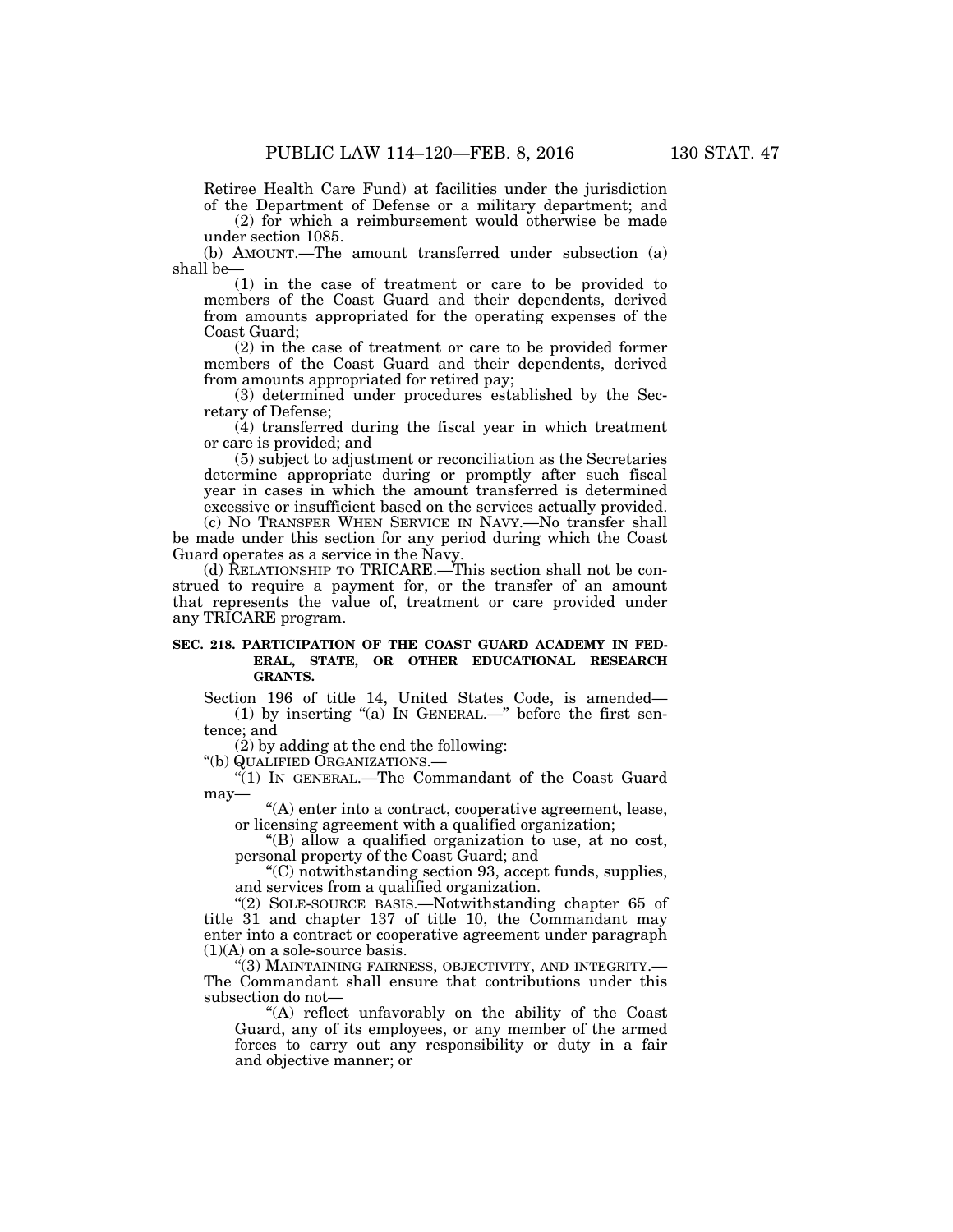Retiree Health Care Fund) at facilities under the jurisdiction of the Department of Defense or a military department; and

(2) for which a reimbursement would otherwise be made under section 1085.

(b) AMOUNT.—The amount transferred under subsection (a) shall be—

(1) in the case of treatment or care to be provided to members of the Coast Guard and their dependents, derived from amounts appropriated for the operating expenses of the Coast Guard;

(2) in the case of treatment or care to be provided former members of the Coast Guard and their dependents, derived from amounts appropriated for retired pay;

(3) determined under procedures established by the Secretary of Defense;

(4) transferred during the fiscal year in which treatment or care is provided; and

(5) subject to adjustment or reconciliation as the Secretaries determine appropriate during or promptly after such fiscal year in cases in which the amount transferred is determined excessive or insufficient based on the services actually provided.

(c) NO TRANSFER WHEN SERVICE IN NAVY.—No transfer shall be made under this section for any period during which the Coast Guard operates as a service in the Navy.

(d) RELATIONSHIP TO TRICARE.—This section shall not be construed to require a payment for, or the transfer of an amount that represents the value of, treatment or care provided under any TRICARE program.

## **SEC. 218. PARTICIPATION OF THE COAST GUARD ACADEMY IN FED-ERAL, STATE, OR OTHER EDUCATIONAL RESEARCH GRANTS.**

Section 196 of title 14, United States Code, is amended— (1) by inserting "(a) IN GENERAL.—" before the first sentence; and

(2) by adding at the end the following:

''(b) QUALIFIED ORGANIZATIONS.—

''(1) IN GENERAL.—The Commandant of the Coast Guard may—

''(A) enter into a contract, cooperative agreement, lease, or licensing agreement with a qualified organization;

''(B) allow a qualified organization to use, at no cost, personal property of the Coast Guard; and

''(C) notwithstanding section 93, accept funds, supplies, and services from a qualified organization.

''(2) SOLE-SOURCE BASIS.—Notwithstanding chapter 65 of title 31 and chapter 137 of title 10, the Commandant may enter into a contract or cooperative agreement under paragraph  $(1)(A)$  on a sole-source basis.

"(3) MAINTAINING FAIRNESS, OBJECTIVITY, AND INTEGRITY.— The Commandant shall ensure that contributions under this subsection do not—

''(A) reflect unfavorably on the ability of the Coast Guard, any of its employees, or any member of the armed forces to carry out any responsibility or duty in a fair and objective manner; or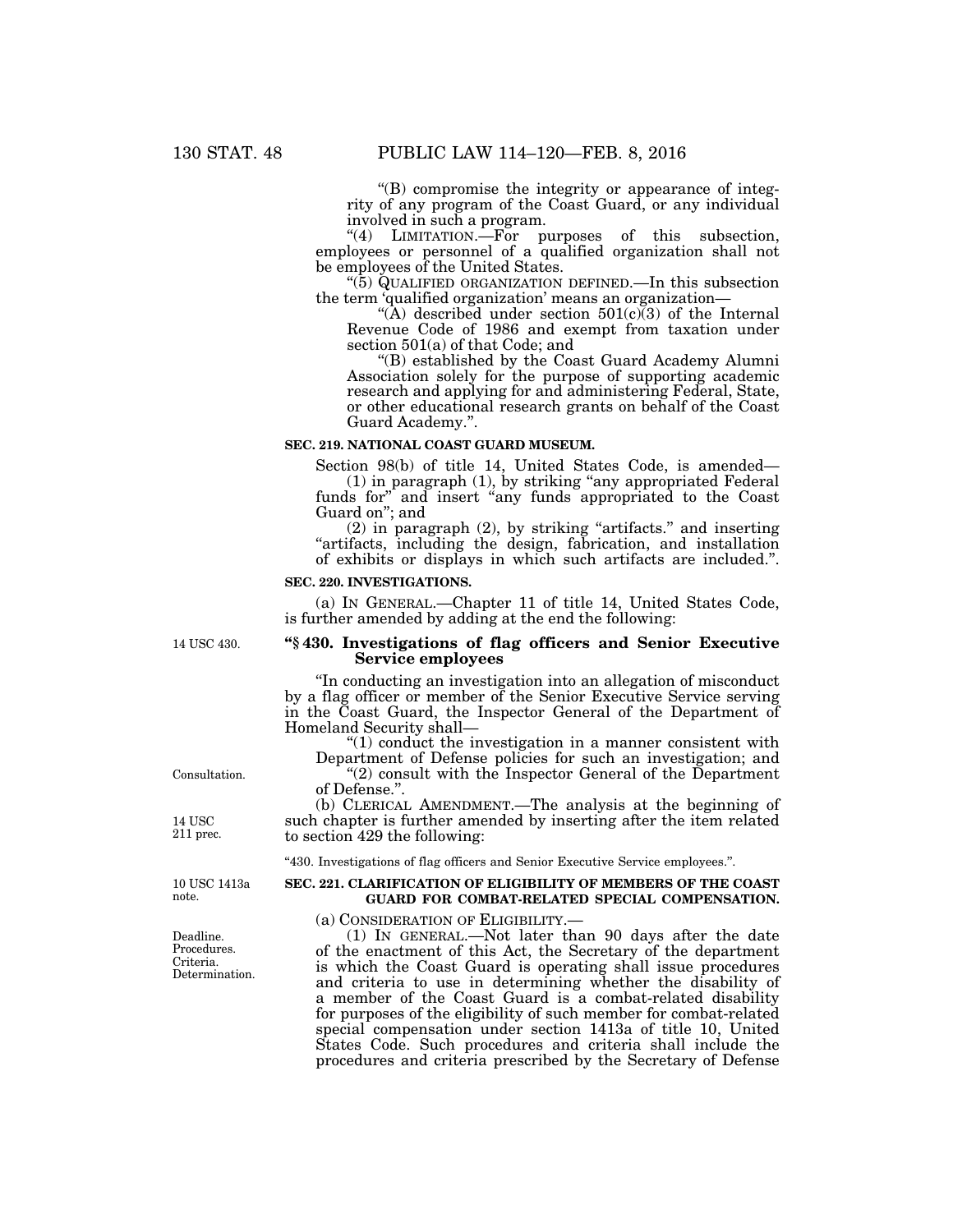''(B) compromise the integrity or appearance of integrity of any program of the Coast Guard, or any individual involved in such a program.

"(4) LIMITATION.—For purposes of this subsection, employees or personnel of a qualified organization shall not be employees of the United States.

''(5) QUALIFIED ORGANIZATION DEFINED.—In this subsection the term 'qualified organization' means an organization—

"(A) described under section  $501(c)\overline{3}$  of the Internal Revenue Code of 1986 and exempt from taxation under section 501(a) of that Code; and

''(B) established by the Coast Guard Academy Alumni Association solely for the purpose of supporting academic research and applying for and administering Federal, State, or other educational research grants on behalf of the Coast Guard Academy.''.

### **SEC. 219. NATIONAL COAST GUARD MUSEUM.**

Section 98(b) of title 14, United States Code, is amended—

(1) in paragraph (1), by striking ''any appropriated Federal funds for" and insert "any funds appropriated to the Coast Guard on''; and

 $(2)$  in paragraph  $(2)$ , by striking "artifacts." and inserting ''artifacts, including the design, fabrication, and installation of exhibits or displays in which such artifacts are included.''.

#### **SEC. 220. INVESTIGATIONS.**

(a) IN GENERAL.—Chapter 11 of title 14, United States Code, is further amended by adding at the end the following:

14 USC 430.

## **''§ 430. Investigations of flag officers and Senior Executive Service employees**

''In conducting an investigation into an allegation of misconduct by a flag officer or member of the Senior Executive Service serving in the Coast Guard, the Inspector General of the Department of Homeland Security shall—

 $"(1)$  conduct the investigation in a manner consistent with Department of Defense policies for such an investigation; and "(2) consult with the Inspector General of the Department

of Defense.''.

(b) CLERICAL AMENDMENT.—The analysis at the beginning of such chapter is further amended by inserting after the item related to section 429 the following:

''430. Investigations of flag officers and Senior Executive Service employees.''.

# **SEC. 221. CLARIFICATION OF ELIGIBILITY OF MEMBERS OF THE COAST GUARD FOR COMBAT-RELATED SPECIAL COMPENSATION.**

(a) CONSIDERATION OF ELIGIBILITY.—

(1) IN GENERAL.—Not later than 90 days after the date of the enactment of this Act, the Secretary of the department is which the Coast Guard is operating shall issue procedures and criteria to use in determining whether the disability of a member of the Coast Guard is a combat-related disability for purposes of the eligibility of such member for combat-related special compensation under section 1413a of title 10, United States Code. Such procedures and criteria shall include the procedures and criteria prescribed by the Secretary of Defense

Consultation.

14 USC 211 prec.

10 USC 1413a note.

Deadline. Procedures. Criteria. Determination.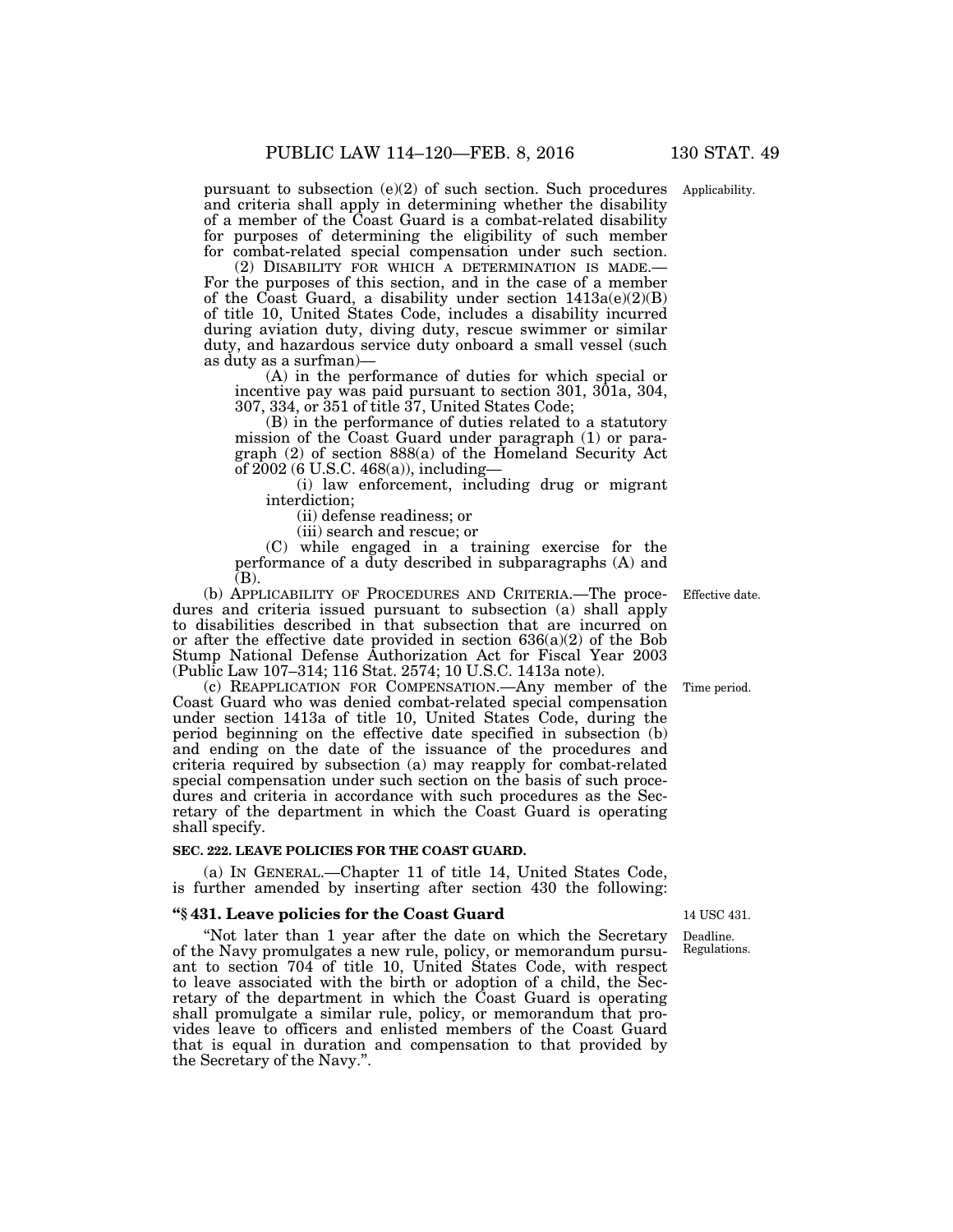pursuant to subsection (e)(2) of such section. Such procedures Applicability. and criteria shall apply in determining whether the disability of a member of the Coast Guard is a combat-related disability for purposes of determining the eligibility of such member for combat-related special compensation under such section.<br>(2) DISABILITY FOR WHICH A DETERMINATION IS MADE.

For the purposes of this section, and in the case of a member of the Coast Guard, a disability under section  $1413a(e)(2)(B)$ of title 10, United States Code, includes a disability incurred during aviation duty, diving duty, rescue swimmer or similar duty, and hazardous service duty onboard a small vessel (such as duty as a surfman)—

(A) in the performance of duties for which special or incentive pay was paid pursuant to section 301, 301a, 304, 307, 334, or 351 of title 37, United States Code;

(B) in the performance of duties related to a statutory mission of the Coast Guard under paragraph (1) or paragraph (2) of section 888(a) of the Homeland Security Act of 2002 (6 U.S.C. 468(a)), including—

(i) law enforcement, including drug or migrant interdiction;

(ii) defense readiness; or

(iii) search and rescue; or

(C) while engaged in a training exercise for the performance of a duty described in subparagraphs (A) and (B).

(b) APPLICABILITY OF PROCEDURES AND CRITERIA.—The procedures and criteria issued pursuant to subsection (a) shall apply to disabilities described in that subsection that are incurred on or after the effective date provided in section  $636(a)(2)$  of the Bob Stump National Defense Authorization Act for Fiscal Year 2003 (Public Law 107–314; 116 Stat. 2574; 10 U.S.C. 1413a note).

(c) REAPPLICATION FOR COMPENSATION.—Any member of the Coast Guard who was denied combat-related special compensation under section 1413a of title 10, United States Code, during the period beginning on the effective date specified in subsection (b) and ending on the date of the issuance of the procedures and criteria required by subsection (a) may reapply for combat-related special compensation under such section on the basis of such procedures and criteria in accordance with such procedures as the Secretary of the department in which the Coast Guard is operating shall specify.

## **SEC. 222. LEAVE POLICIES FOR THE COAST GUARD.**

(a) IN GENERAL.—Chapter 11 of title 14, United States Code, is further amended by inserting after section 430 the following:

## **''§ 431. Leave policies for the Coast Guard**

''Not later than 1 year after the date on which the Secretary of the Navy promulgates a new rule, policy, or memorandum pursuant to section 704 of title 10, United States Code, with respect to leave associated with the birth or adoption of a child, the Secretary of the department in which the Coast Guard is operating shall promulgate a similar rule, policy, or memorandum that provides leave to officers and enlisted members of the Coast Guard that is equal in duration and compensation to that provided by the Secretary of the Navy.''.

Effective date.

Time period.

14 USC 431.

Deadline. Regulations.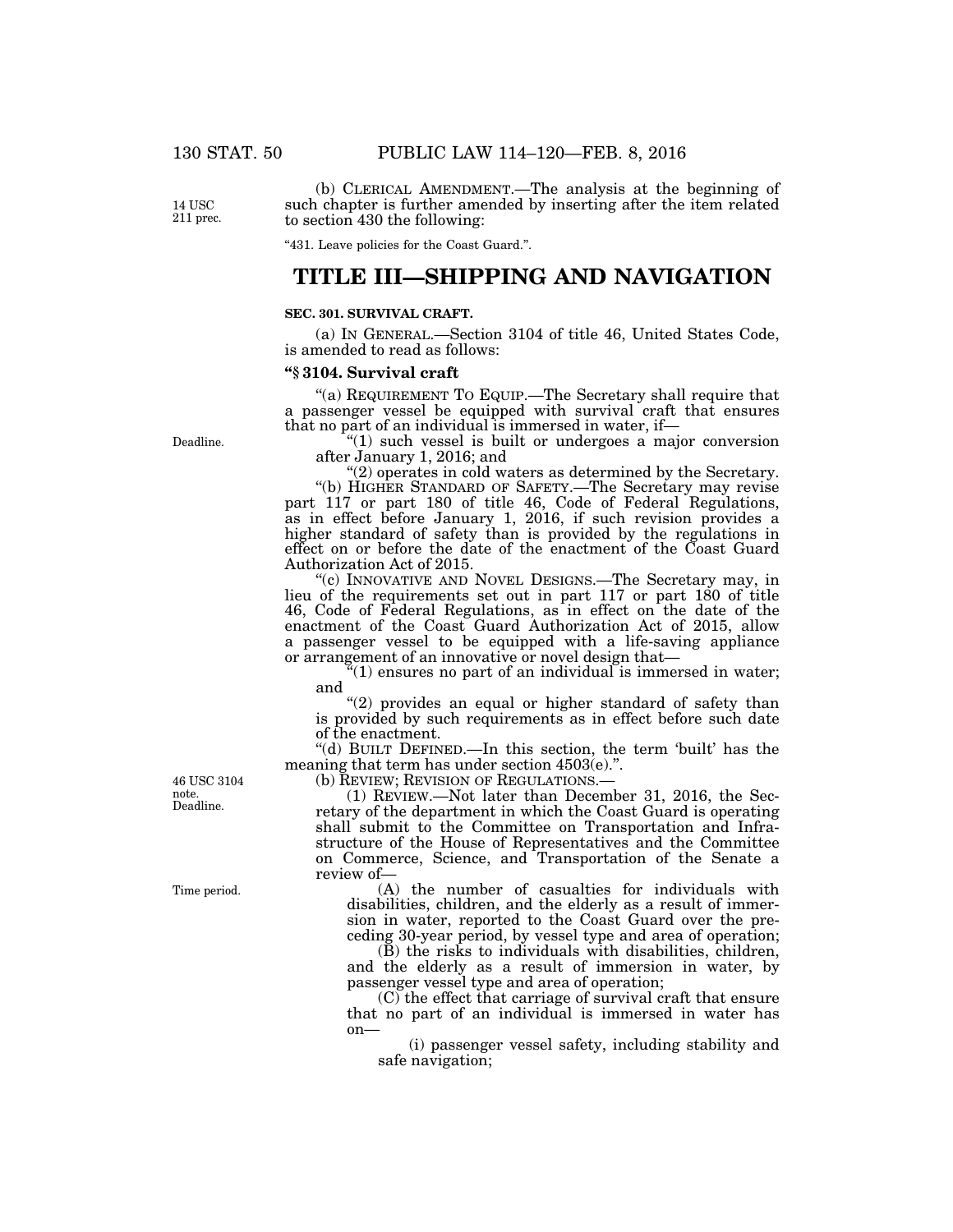(b) CLERICAL AMENDMENT.—The analysis at the beginning of such chapter is further amended by inserting after the item related

14 USC 211 prec.

"431. Leave policies for the Coast Guard.".

# **TITLE III—SHIPPING AND NAVIGATION**

### **SEC. 301. SURVIVAL CRAFT.**

to section 430 the following:

(a) IN GENERAL.—Section 3104 of title 46, United States Code, is amended to read as follows:

### **''§ 3104. Survival craft**

"(a) REQUIREMENT TO EQUIP.—The Secretary shall require that a passenger vessel be equipped with survival craft that ensures that no part of an individual is immersed in water, if—

"(1) such vessel is built or undergoes a major conversion after January 1, 2016; and

''(2) operates in cold waters as determined by the Secretary.

''(b) HIGHER STANDARD OF SAFETY.—The Secretary may revise part 117 or part 180 of title 46, Code of Federal Regulations, as in effect before January 1, 2016, if such revision provides a higher standard of safety than is provided by the regulations in effect on or before the date of the enactment of the Coast Guard Authorization Act of 2015.

''(c) INNOVATIVE AND NOVEL DESIGNS.—The Secretary may, in lieu of the requirements set out in part 117 or part 180 of title 46, Code of Federal Regulations, as in effect on the date of the enactment of the Coast Guard Authorization Act of 2015, allow a passenger vessel to be equipped with a life-saving appliance or arrangement of an innovative or novel design that—

''(1) ensures no part of an individual is immersed in water; and

"(2) provides an equal or higher standard of safety than is provided by such requirements as in effect before such date of the enactment.

''(d) BUILT DEFINED.—In this section, the term 'built' has the meaning that term has under section  $4503(e)$ .".

(b) REVIEW; REVISION OF REGULATIONS.—

(1) REVIEW.—Not later than December 31, 2016, the Secretary of the department in which the Coast Guard is operating shall submit to the Committee on Transportation and Infrastructure of the House of Representatives and the Committee on Commerce, Science, and Transportation of the Senate a review of—

(A) the number of casualties for individuals with disabilities, children, and the elderly as a result of immersion in water, reported to the Coast Guard over the preceding 30-year period, by vessel type and area of operation;

(B) the risks to individuals with disabilities, children, and the elderly as a result of immersion in water, by passenger vessel type and area of operation;

(C) the effect that carriage of survival craft that ensure that no part of an individual is immersed in water has on—

(i) passenger vessel safety, including stability and safe navigation;

Deadline. 46 USC 3104 note.

Time period.

Deadline.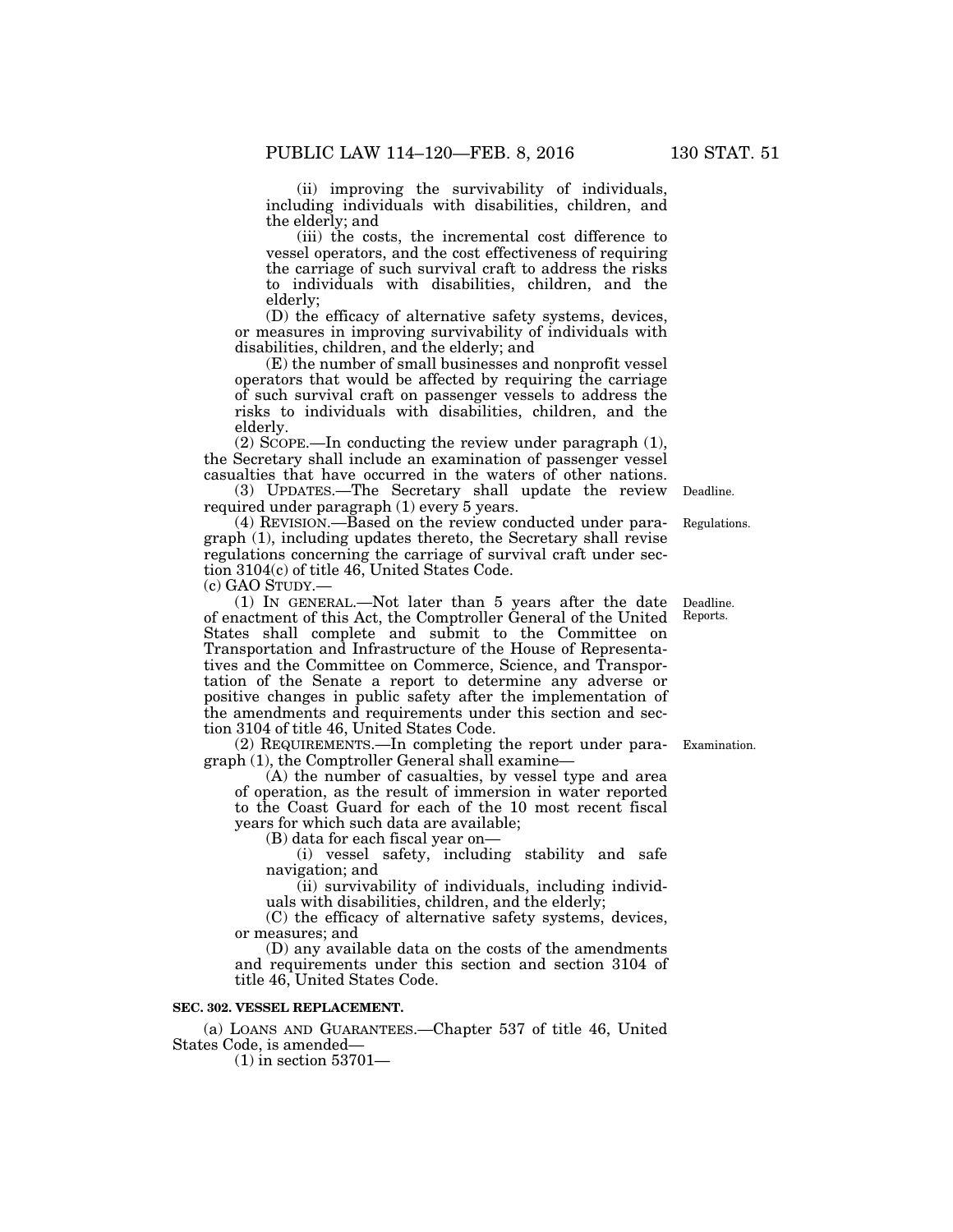(ii) improving the survivability of individuals, including individuals with disabilities, children, and the elderly; and

(iii) the costs, the incremental cost difference to vessel operators, and the cost effectiveness of requiring the carriage of such survival craft to address the risks to individuals with disabilities, children, and the elderly;

(D) the efficacy of alternative safety systems, devices, or measures in improving survivability of individuals with disabilities, children, and the elderly; and

(E) the number of small businesses and nonprofit vessel operators that would be affected by requiring the carriage of such survival craft on passenger vessels to address the risks to individuals with disabilities, children, and the elderly.

(2) SCOPE.—In conducting the review under paragraph (1), the Secretary shall include an examination of passenger vessel casualties that have occurred in the waters of other nations.

(3) UPDATES.—The Secretary shall update the review required under paragraph (1) every 5 years.

(4) REVISION.—Based on the review conducted under paragraph (1), including updates thereto, the Secretary shall revise regulations concerning the carriage of survival craft under section 3104(c) of title 46, United States Code.

(c) GAO STUDY.—

(1) IN GENERAL.—Not later than 5 years after the date of enactment of this Act, the Comptroller General of the United States shall complete and submit to the Committee on Transportation and Infrastructure of the House of Representatives and the Committee on Commerce, Science, and Transportation of the Senate a report to determine any adverse or positive changes in public safety after the implementation of the amendments and requirements under this section and section 3104 of title 46, United States Code.

(2) REQUIREMENTS.—In completing the report under para-Examination. graph (1), the Comptroller General shall examine—

(A) the number of casualties, by vessel type and area of operation, as the result of immersion in water reported to the Coast Guard for each of the 10 most recent fiscal years for which such data are available;

(B) data for each fiscal year on—

(i) vessel safety, including stability and safe navigation; and

(ii) survivability of individuals, including individuals with disabilities, children, and the elderly;

(C) the efficacy of alternative safety systems, devices, or measures; and

(D) any available data on the costs of the amendments and requirements under this section and section 3104 of title 46, United States Code.

# **SEC. 302. VESSEL REPLACEMENT.**

(a) LOANS AND GUARANTEES.—Chapter 537 of title 46, United States Code, is amended—

(1) in section 53701—

Deadline. Reports.

Regulations.

Deadline.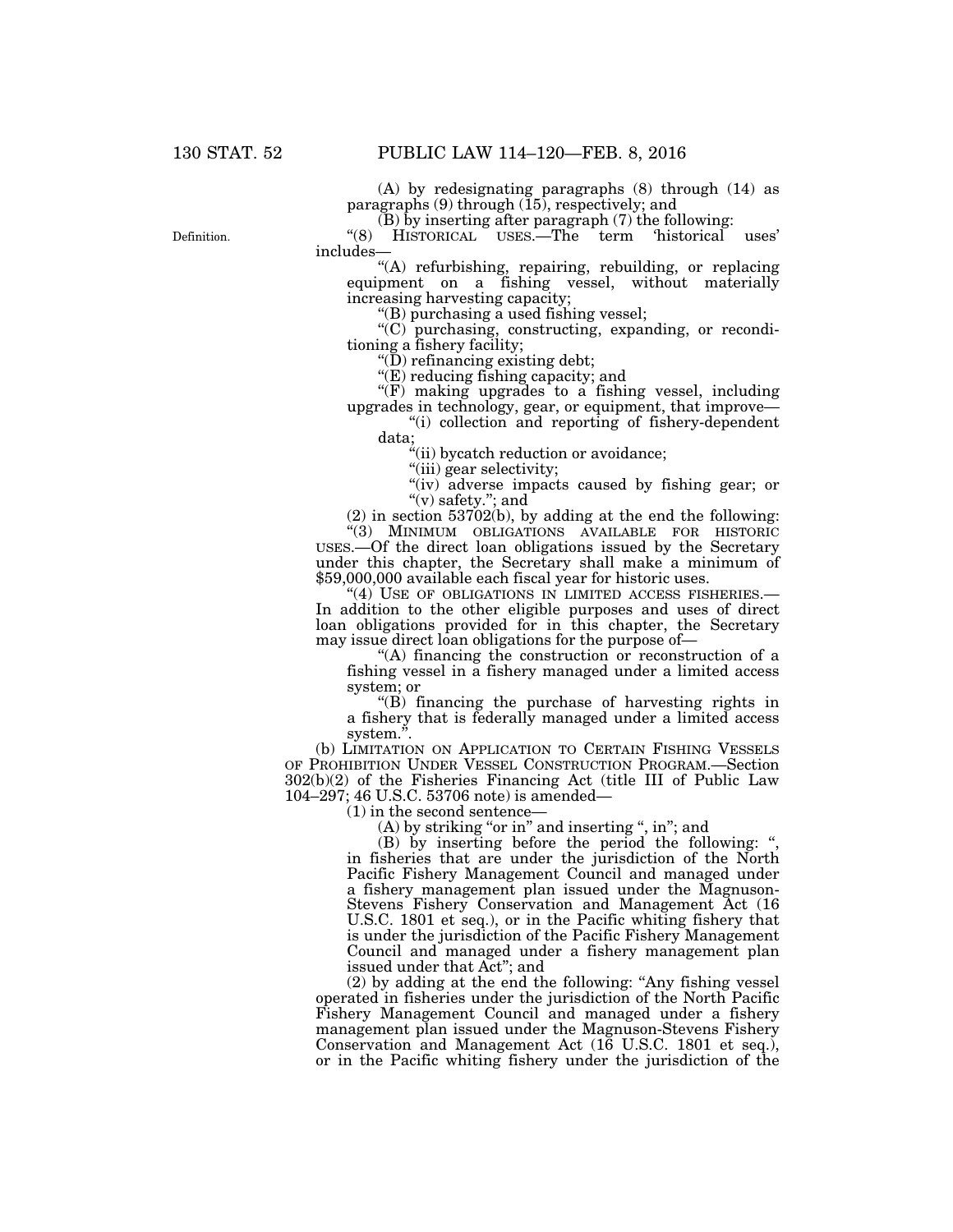(A) by redesignating paragraphs (8) through (14) as paragraphs (9) through (15), respectively; and

 $(B)$  by inserting after paragraph  $(7)$  the following:

"(8) HISTORICAL USES.—The term 'historical uses' includes—

''(A) refurbishing, repairing, rebuilding, or replacing equipment on a fishing vessel, without materially increasing harvesting capacity;

''(B) purchasing a used fishing vessel;

''(C) purchasing, constructing, expanding, or reconditioning a fishery facility;

" $(D)$  refinancing existing debt;

" $(E)$  reducing fishing capacity; and

"(F) making upgrades to a fishing vessel, including upgrades in technology, gear, or equipment, that improve—

''(i) collection and reporting of fishery-dependent data;

"(ii) bycatch reduction or avoidance;

"(iii) gear selectivity;

''(iv) adverse impacts caused by fishing gear; or  $\lq\lq$ (v) safety."; and

(2) in section 53702(b), by adding at the end the following: ''(3) MINIMUM OBLIGATIONS AVAILABLE FOR HISTORIC USES.—Of the direct loan obligations issued by the Secretary under this chapter, the Secretary shall make a minimum of \$59,000,000 available each fiscal year for historic uses.

"(4) USE OF OBLIGATIONS IN LIMITED ACCESS FISHERIES.— In addition to the other eligible purposes and uses of direct loan obligations provided for in this chapter, the Secretary may issue direct loan obligations for the purpose of—

''(A) financing the construction or reconstruction of a fishing vessel in a fishery managed under a limited access system; or

''(B) financing the purchase of harvesting rights in a fishery that is federally managed under a limited access system.''.

(b) LIMITATION ON APPLICATION TO CERTAIN FISHING VESSELS OF PROHIBITION UNDER VESSEL CONSTRUCTION PROGRAM.—Section 302(b)(2) of the Fisheries Financing Act (title III of Public Law 104–297; 46 U.S.C. 53706 note) is amended—

(1) in the second sentence—

 $(A)$  by striking "or in" and inserting ", in"; and

(B) by inserting before the period the following: '', in fisheries that are under the jurisdiction of the North Pacific Fishery Management Council and managed under a fishery management plan issued under the Magnuson-Stevens Fishery Conservation and Management Act (16 U.S.C. 1801 et seq.), or in the Pacific whiting fishery that is under the jurisdiction of the Pacific Fishery Management Council and managed under a fishery management plan issued under that Act''; and

(2) by adding at the end the following: ''Any fishing vessel operated in fisheries under the jurisdiction of the North Pacific Fishery Management Council and managed under a fishery management plan issued under the Magnuson-Stevens Fishery Conservation and Management Act (16 U.S.C. 1801 et seq.), or in the Pacific whiting fishery under the jurisdiction of the

Definition.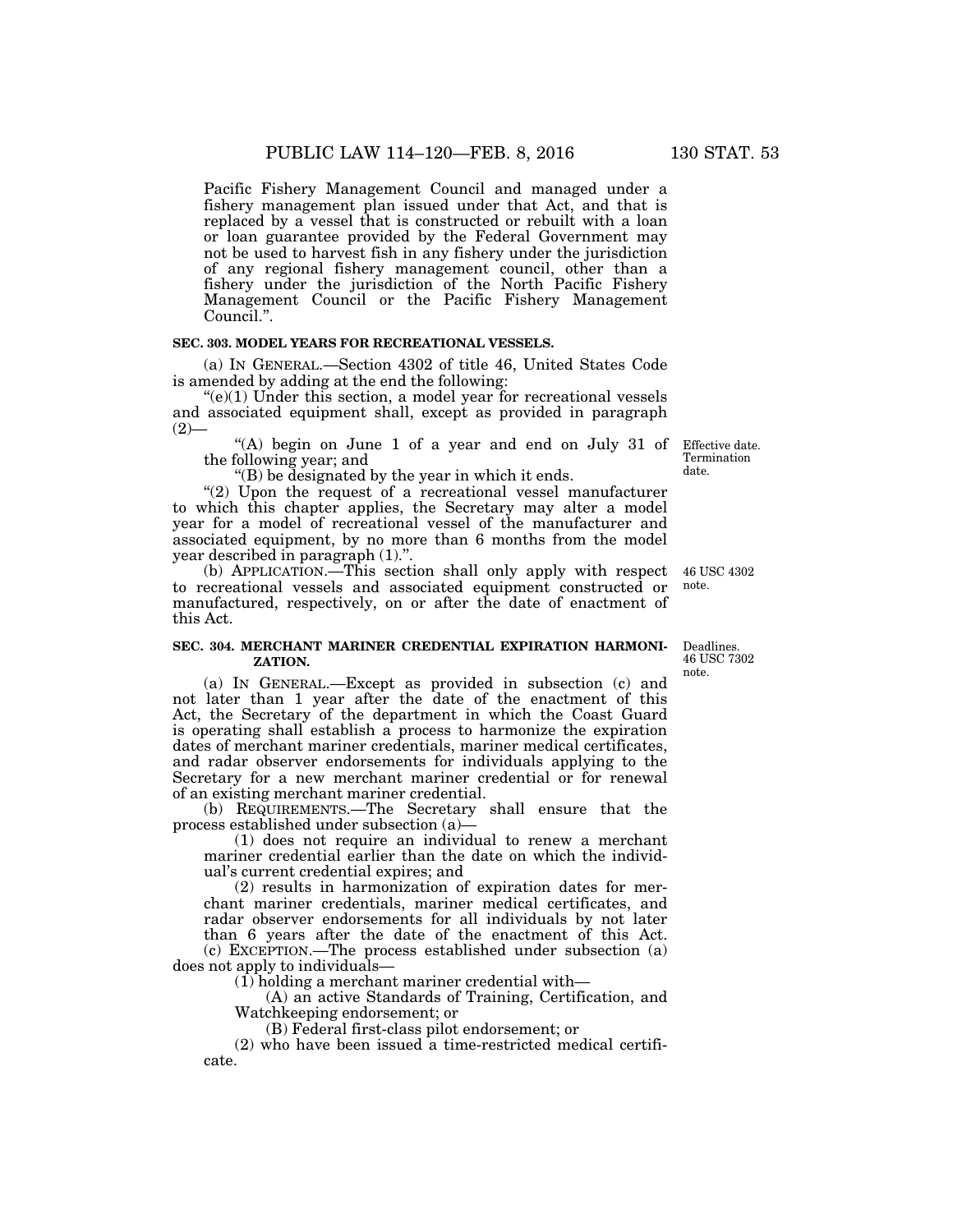Pacific Fishery Management Council and managed under a fishery management plan issued under that Act, and that is replaced by a vessel that is constructed or rebuilt with a loan or loan guarantee provided by the Federal Government may not be used to harvest fish in any fishery under the jurisdiction of any regional fishery management council, other than a fishery under the jurisdiction of the North Pacific Fishery Management Council or the Pacific Fishery Management Council.''.

## **SEC. 303. MODEL YEARS FOR RECREATIONAL VESSELS.**

(a) IN GENERAL.—Section 4302 of title 46, United States Code is amended by adding at the end the following:

 $(e)(1)$  Under this section, a model year for recreational vessels and associated equipment shall, except as provided in paragraph  $(2)$ —

''(A) begin on June 1 of a year and end on July 31 of the following year; and

''(B) be designated by the year in which it ends.

"(2) Upon the request of a recreational vessel manufacturer to which this chapter applies, the Secretary may alter a model year for a model of recreational vessel of the manufacturer and associated equipment, by no more than 6 months from the model year described in paragraph (1).''.

(b) APPLICATION.—This section shall only apply with respect 46 USC 4302 to recreational vessels and associated equipment constructed or manufactured, respectively, on or after the date of enactment of this Act. note.

## **SEC. 304. MERCHANT MARINER CREDENTIAL EXPIRATION HARMONI-ZATION.**

(a) IN GENERAL.—Except as provided in subsection (c) and not later than 1 year after the date of the enactment of this Act, the Secretary of the department in which the Coast Guard is operating shall establish a process to harmonize the expiration dates of merchant mariner credentials, mariner medical certificates, and radar observer endorsements for individuals applying to the Secretary for a new merchant mariner credential or for renewal of an existing merchant mariner credential.

(b) REQUIREMENTS.—The Secretary shall ensure that the process established under subsection (a)—

(1) does not require an individual to renew a merchant mariner credential earlier than the date on which the individual's current credential expires; and

(2) results in harmonization of expiration dates for merchant mariner credentials, mariner medical certificates, and radar observer endorsements for all individuals by not later than 6 years after the date of the enactment of this Act. (c) EXCEPTION.—The process established under subsection (a) does not apply to individuals—

(1) holding a merchant mariner credential with—

(A) an active Standards of Training, Certification, and Watchkeeping endorsement; or

(B) Federal first-class pilot endorsement; or

(2) who have been issued a time-restricted medical certificate.

Deadlines. 46 USC 7302 note.

date.

Effective date. Termination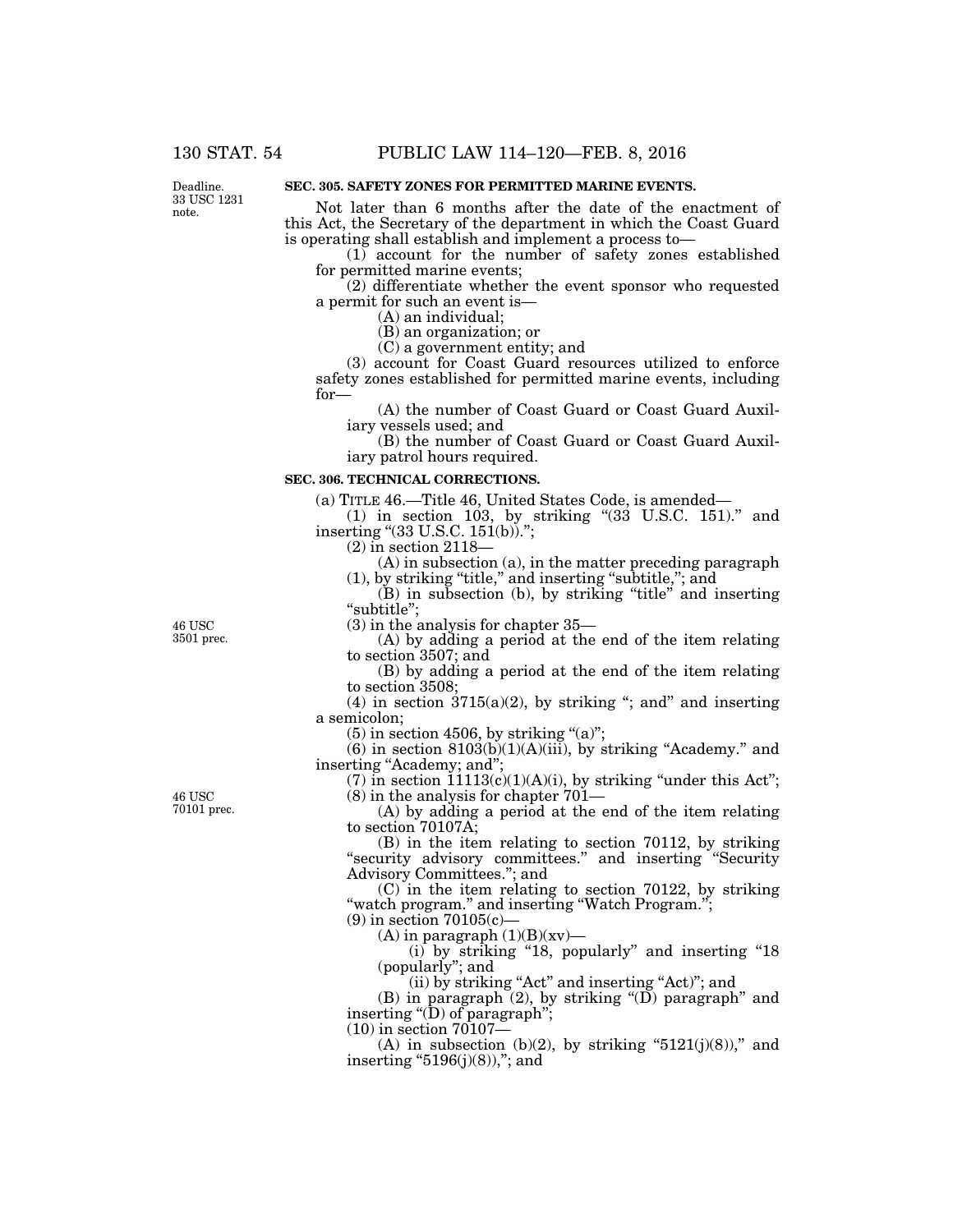Deadline. 33 USC 1231 note.

# **SEC. 305. SAFETY ZONES FOR PERMITTED MARINE EVENTS.**

Not later than 6 months after the date of the enactment of this Act, the Secretary of the department in which the Coast Guard is operating shall establish and implement a process to—

(1) account for the number of safety zones established for permitted marine events;

(2) differentiate whether the event sponsor who requested a permit for such an event is—

(A) an individual;

(B) an organization; or

(C) a government entity; and

(3) account for Coast Guard resources utilized to enforce safety zones established for permitted marine events, including for—

(A) the number of Coast Guard or Coast Guard Auxiliary vessels used; and

(B) the number of Coast Guard or Coast Guard Auxiliary patrol hours required.

#### **SEC. 306. TECHNICAL CORRECTIONS.**

(a) TITLE 46.—Title 46, United States Code, is amended—

(1) in section 103, by striking ''(33 U.S.C. 151).'' and inserting "(33 U.S.C. 151(b)).";

(2) in section 2118—

(A) in subsection (a), in the matter preceding paragraph (1), by striking ''title,'' and inserting ''subtitle,''; and

(B) in subsection (b), by striking ''title'' and inserting "subtitle";

(3) in the analysis for chapter 35—

(A) by adding a period at the end of the item relating to section 3507; and

(B) by adding a period at the end of the item relating to section 3508;

(4) in section  $3715(a)(2)$ , by striking "; and" and inserting a semicolon;

 $(5)$  in section 4506, by striking " $(a)$ ";

 $(6)$  in section  $8103(b)(1)(A)(iii)$ , by striking "Academy." and inserting "Academy; and";

(7) in section  $11113(c)(1)(A)(i)$ , by striking "under this Act"; (8) in the analysis for chapter 701—

(A) by adding a period at the end of the item relating to section 70107A;

(B) in the item relating to section 70112, by striking ''security advisory committees.'' and inserting ''Security Advisory Committees.''; and

(C) in the item relating to section 70122, by striking "watch program." and inserting "Watch Program.";

(9) in section 70105(c)—

(A) in paragraph  $(1)(B)(xy)$ —

(i) by striking "18, popularly" and inserting "18 (popularly''; and

(ii) by striking "Act" and inserting "Act)"; and

(B) in paragraph  $(2)$ , by striking "(D) paragraph" and inserting " $(D)$  of paragraph";

(10) in section 70107—

(A) in subsection (b)(2), by striking " $5121(j)(8)$ ," and inserting  $"5196(j)(8)$ ,"; and

46 USC 3501 prec.

46 USC 70101 prec.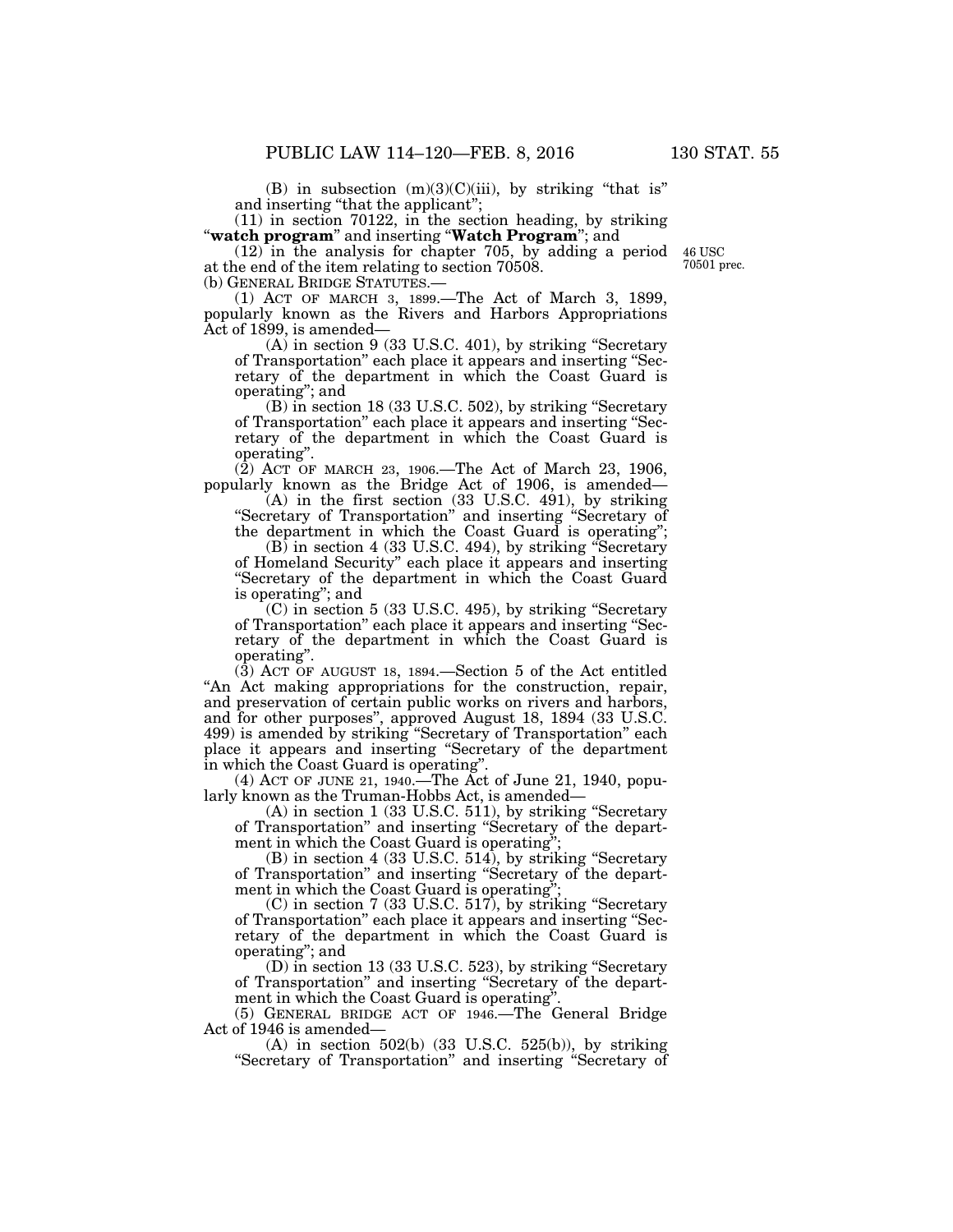(B) in subsection  $(m)(3)(C)(iii)$ , by striking "that is" and inserting "that the applicant";<br>(11) in section 70122, in the section heading, by striking

(11) in section 70122, in the section heading, by striking ''**watch program**'' and inserting ''**Watch Program**''; and

(12) in the analysis for chapter 705, by adding a period at the end of the item relating to section 70508.

(1) ACT OF MARCH 3, 1899.—The Act of March 3, 1899, popularly known as the Rivers and Harbors Appropriations Act of 1899, is amended—

(A) in section 9 (33 U.S.C. 401), by striking ''Secretary of Transportation'' each place it appears and inserting ''Secretary of the department in which the Coast Guard is operating''; and

(B) in section 18 (33 U.S.C. 502), by striking ''Secretary of Transportation'' each place it appears and inserting ''Secretary of the department in which the Coast Guard is operating''.

(2) ACT OF MARCH 23, 1906.—The Act of March 23, 1906, popularly known as the Bridge Act of 1906, is amended—

(A) in the first section (33 U.S.C. 491), by striking ''Secretary of Transportation'' and inserting ''Secretary of the department in which the Coast Guard is operating'';

 $(B)$  in section 4 (33 U.S.C. 494), by striking "Secretary" of Homeland Security'' each place it appears and inserting ''Secretary of the department in which the Coast Guard is operating''; and

(C) in section 5 (33 U.S.C. 495), by striking ''Secretary of Transportation'' each place it appears and inserting ''Secretary of the department in which the Coast Guard is operating''.

(3) ACT OF AUGUST 18, 1894.—Section 5 of the Act entitled ''An Act making appropriations for the construction, repair, and preservation of certain public works on rivers and harbors, and for other purposes'', approved August 18, 1894 (33 U.S.C. 499) is amended by striking ''Secretary of Transportation'' each place it appears and inserting ''Secretary of the department in which the Coast Guard is operating''.

(4) ACT OF JUNE 21, 1940.—The Act of June 21, 1940, popularly known as the Truman-Hobbs Act, is amended—

(A) in section 1 (33 U.S.C. 511), by striking ''Secretary of Transportation'' and inserting ''Secretary of the department in which the Coast Guard is operating'';

(B) in section 4 (33 U.S.C. 514), by striking ''Secretary of Transportation'' and inserting ''Secretary of the department in which the Coast Guard is operating"

(C) in section 7 (33 U.S.C. 517), by striking ''Secretary of Transportation'' each place it appears and inserting ''Secretary of the department in which the Coast Guard is operating''; and

(D) in section 13 (33 U.S.C. 523), by striking ''Secretary of Transportation'' and inserting ''Secretary of the department in which the Coast Guard is operating

(5) GENERAL BRIDGE ACT OF 1946.—The General Bridge Act of 1946 is amended—

(A) in section 502(b) (33 U.S.C. 525(b)), by striking ''Secretary of Transportation'' and inserting ''Secretary of

46 USC 70501 prec.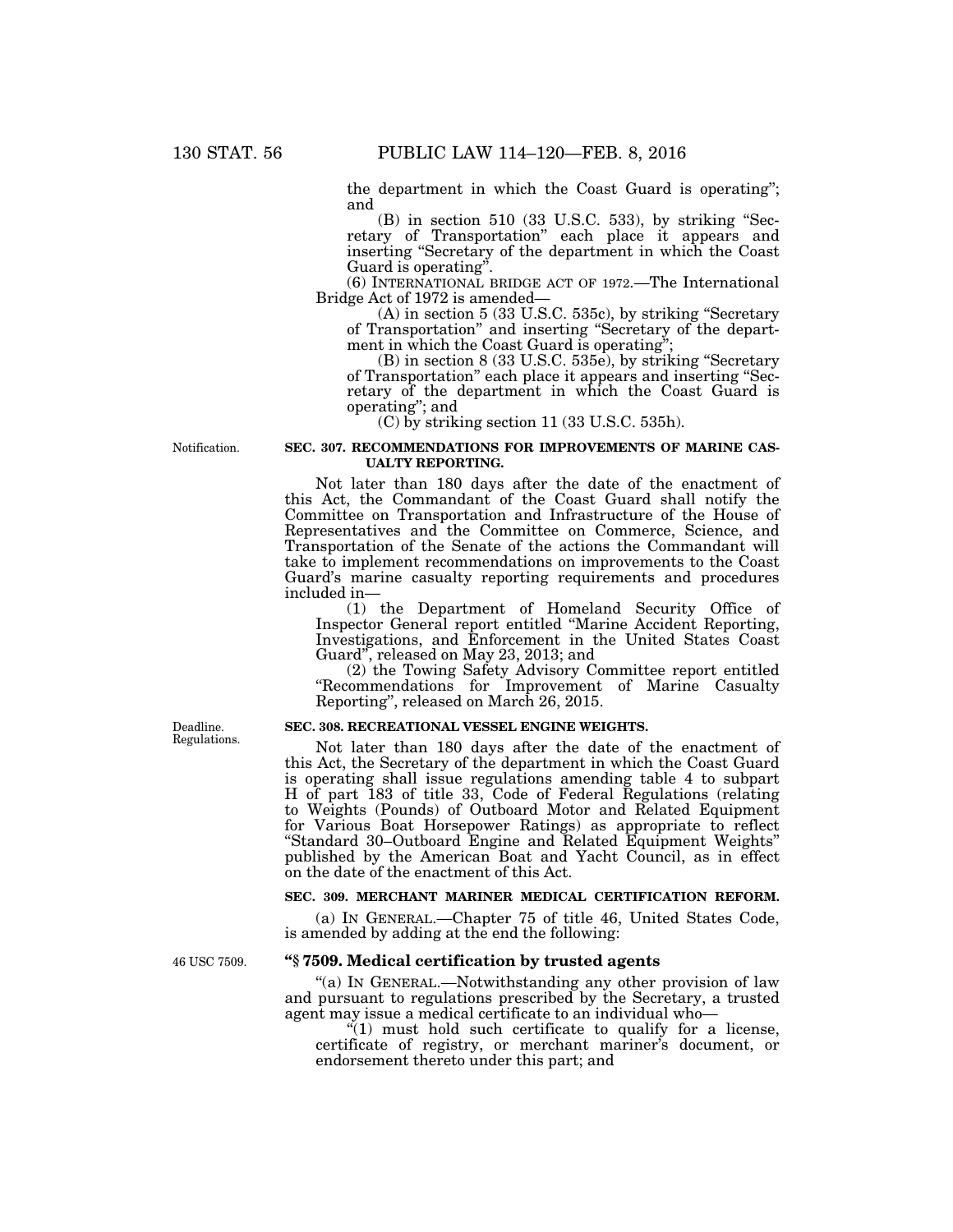the department in which the Coast Guard is operating''; and

 $(B)$  in section 510 (33 U.S.C. 533), by striking "Secretary of Transportation'' each place it appears and inserting ''Secretary of the department in which the Coast Guard is operating''.

(6) INTERNATIONAL BRIDGE ACT OF 1972.—The International Bridge Act of 1972 is amended—

(A) in section 5 (33 U.S.C. 535c), by striking ''Secretary of Transportation'' and inserting ''Secretary of the department in which the Coast Guard is operating'';

(B) in section 8 (33 U.S.C. 535e), by striking ''Secretary of Transportation'' each place it appears and inserting ''Secretary of the department in which the Coast Guard is operating''; and

(C) by striking section 11 (33 U.S.C. 535h).

Notification.

## **SEC. 307. RECOMMENDATIONS FOR IMPROVEMENTS OF MARINE CAS-UALTY REPORTING.**

Not later than 180 days after the date of the enactment of this Act, the Commandant of the Coast Guard shall notify the Committee on Transportation and Infrastructure of the House of Representatives and the Committee on Commerce, Science, and Transportation of the Senate of the actions the Commandant will take to implement recommendations on improvements to the Coast Guard's marine casualty reporting requirements and procedures included in—

(1) the Department of Homeland Security Office of Inspector General report entitled ''Marine Accident Reporting, Investigations, and Enforcement in the United States Coast Guard'', released on May 23, 2013; and

(2) the Towing Safety Advisory Committee report entitled "Recommendations for Improvement of Marine Casualty Reporting'', released on March 26, 2015.

## **SEC. 308. RECREATIONAL VESSEL ENGINE WEIGHTS.**

Not later than 180 days after the date of the enactment of this Act, the Secretary of the department in which the Coast Guard is operating shall issue regulations amending table 4 to subpart H of part 183 of title 33, Code of Federal Regulations (relating to Weights (Pounds) of Outboard Motor and Related Equipment for Various Boat Horsepower Ratings) as appropriate to reflect ''Standard 30–Outboard Engine and Related Equipment Weights'' published by the American Boat and Yacht Council, as in effect on the date of the enactment of this Act.

# **SEC. 309. MERCHANT MARINER MEDICAL CERTIFICATION REFORM.**

(a) IN GENERAL.—Chapter 75 of title 46, United States Code, is amended by adding at the end the following:

# **''§ 7509. Medical certification by trusted agents**

"(a) IN GENERAL.—Notwithstanding any other provision of law and pursuant to regulations prescribed by the Secretary, a trusted agent may issue a medical certificate to an individual who—

 $(1)$  must hold such certificate to qualify for a license, certificate of registry, or merchant mariner's document, or endorsement thereto under this part; and

Deadline. Regulations.

46 USC 7509.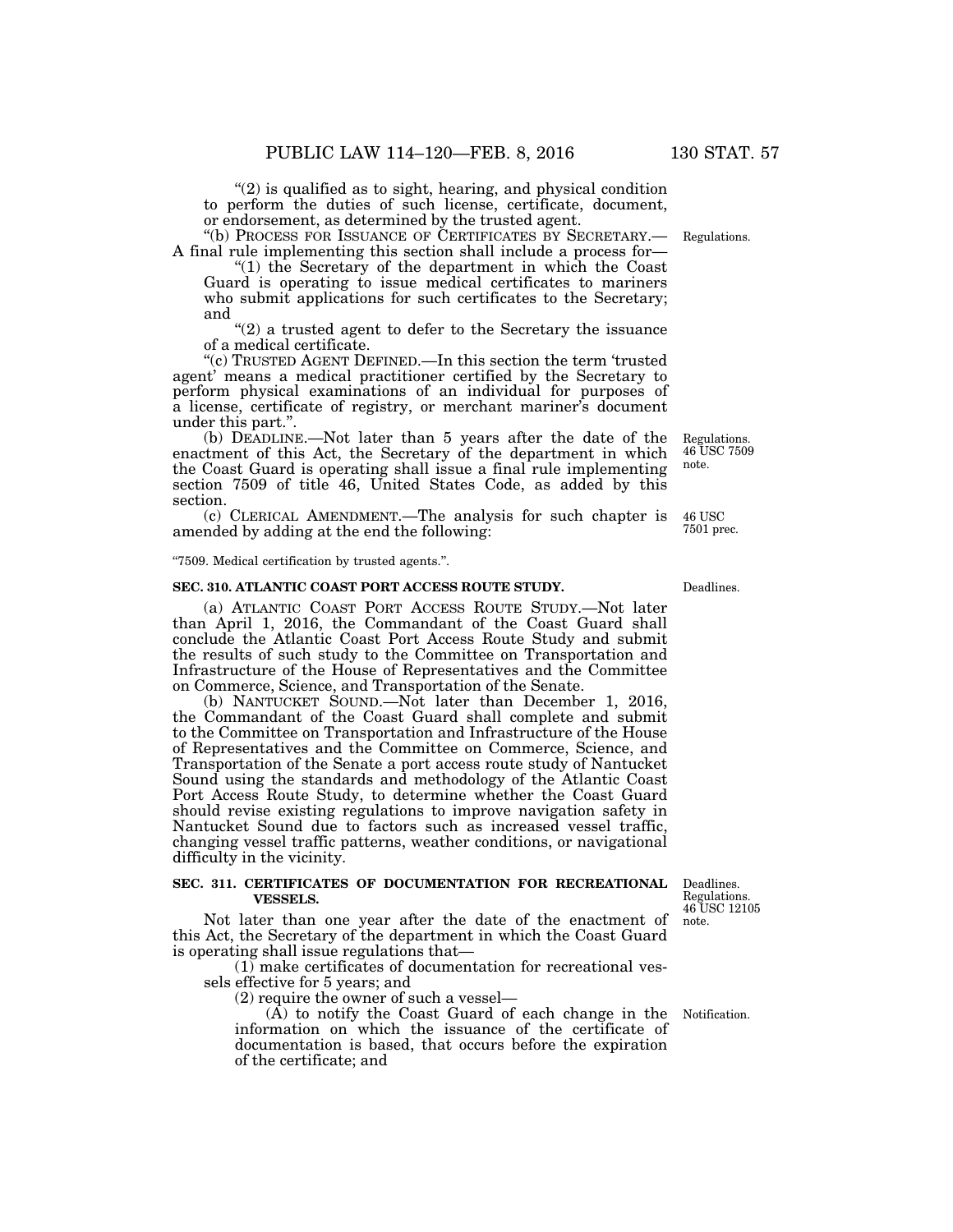"(2) is qualified as to sight, hearing, and physical condition to perform the duties of such license, certificate, document, or endorsement, as determined by the trusted agent.<br>"(b) PROCESS FOR ISSUANCE OF CERTIFICATES BY SECRETARY.—

A final rule implementing this section shall include a process for—

''(1) the Secretary of the department in which the Coast Guard is operating to issue medical certificates to mariners who submit applications for such certificates to the Secretary; and

"(2) a trusted agent to defer to the Secretary the issuance of a medical certificate.

''(c) TRUSTED AGENT DEFINED.—In this section the term 'trusted agent' means a medical practitioner certified by the Secretary to perform physical examinations of an individual for purposes of a license, certificate of registry, or merchant mariner's document under this part.''.

(b) DEADLINE.—Not later than 5 years after the date of the enactment of this Act, the Secretary of the department in which the Coast Guard is operating shall issue a final rule implementing section 7509 of title 46, United States Code, as added by this section.

(c) CLERICAL AMENDMENT.—The analysis for such chapter is amended by adding at the end the following:  $46\:\mathrm{USC}$ 7501 prec.

''7509. Medical certification by trusted agents.''.

#### **SEC. 310. ATLANTIC COAST PORT ACCESS ROUTE STUDY.**

(a) ATLANTIC COAST PORT ACCESS ROUTE STUDY.—Not later than April 1, 2016, the Commandant of the Coast Guard shall conclude the Atlantic Coast Port Access Route Study and submit the results of such study to the Committee on Transportation and Infrastructure of the House of Representatives and the Committee on Commerce, Science, and Transportation of the Senate.

(b) NANTUCKET SOUND.—Not later than December 1, 2016, the Commandant of the Coast Guard shall complete and submit to the Committee on Transportation and Infrastructure of the House of Representatives and the Committee on Commerce, Science, and Transportation of the Senate a port access route study of Nantucket Sound using the standards and methodology of the Atlantic Coast Port Access Route Study, to determine whether the Coast Guard should revise existing regulations to improve navigation safety in Nantucket Sound due to factors such as increased vessel traffic, changing vessel traffic patterns, weather conditions, or navigational difficulty in the vicinity.

## **SEC. 311. CERTIFICATES OF DOCUMENTATION FOR RECREATIONAL VESSELS.**

Not later than one year after the date of the enactment of this Act, the Secretary of the department in which the Coast Guard is operating shall issue regulations that—

(1) make certificates of documentation for recreational vessels effective for 5 years; and

(2) require the owner of such a vessel—

(A) to notify the Coast Guard of each change in the information on which the issuance of the certificate of documentation is based, that occurs before the expiration of the certificate; and

Notification.

Deadlines. Regulations. 46 USC 12105 note.

Deadlines.

Regulations.

Regulations. 46 USC 7509 note.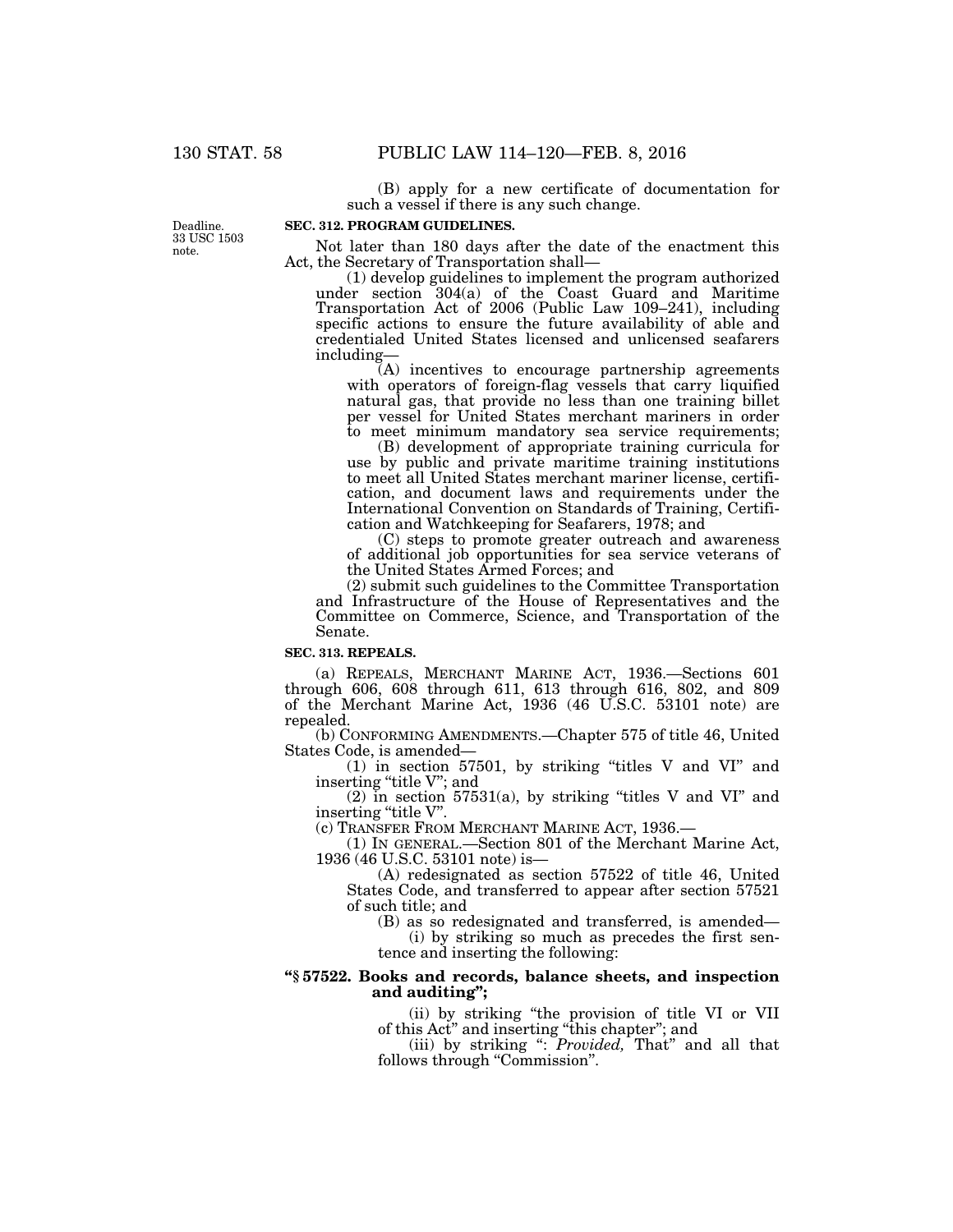(B) apply for a new certificate of documentation for such a vessel if there is any such change.

## **SEC. 312. PROGRAM GUIDELINES.**

Deadline. 33 USC 1503 note.

Not later than 180 days after the date of the enactment this Act, the Secretary of Transportation shall—

(1) develop guidelines to implement the program authorized under section 304(a) of the Coast Guard and Maritime Transportation Act of 2006 (Public Law 109–241), including specific actions to ensure the future availability of able and credentialed United States licensed and unlicensed seafarers including—

(A) incentives to encourage partnership agreements with operators of foreign-flag vessels that carry liquified natural gas, that provide no less than one training billet per vessel for United States merchant mariners in order to meet minimum mandatory sea service requirements;

(B) development of appropriate training curricula for use by public and private maritime training institutions to meet all United States merchant mariner license, certification, and document laws and requirements under the International Convention on Standards of Training, Certification and Watchkeeping for Seafarers, 1978; and

(C) steps to promote greater outreach and awareness of additional job opportunities for sea service veterans of the United States Armed Forces; and

(2) submit such guidelines to the Committee Transportation and Infrastructure of the House of Representatives and the Committee on Commerce, Science, and Transportation of the Senate.

### **SEC. 313. REPEALS.**

(a) REPEALS, MERCHANT MARINE ACT, 1936.—Sections 601 through 606, 608 through 611, 613 through 616, 802, and 809 of the Merchant Marine Act, 1936 (46 U.S.C. 53101 note) are repealed.

(b) CONFORMING AMENDMENTS.—Chapter 575 of title 46, United States Code, is amended—

 $(1)$  in section 57501, by striking "titles V and VI" and inserting "title V"; and

 $(2)$  in section 57531(a), by striking "titles V and VI" and inserting "title V".

(c) TRANSFER FROM MERCHANT MARINE ACT, 1936.—

(1) IN GENERAL.—Section 801 of the Merchant Marine Act, 1936 (46 U.S.C. 53101 note) is—

(A) redesignated as section 57522 of title 46, United States Code, and transferred to appear after section 57521 of such title; and

(B) as so redesignated and transferred, is amended—

(i) by striking so much as precedes the first sentence and inserting the following:

# **''§ 57522. Books and records, balance sheets, and inspection and auditing'';**

(ii) by striking ''the provision of title VI or VII of this Act'' and inserting ''this chapter''; and

(iii) by striking '': *Provided,* That'' and all that follows through "Commission".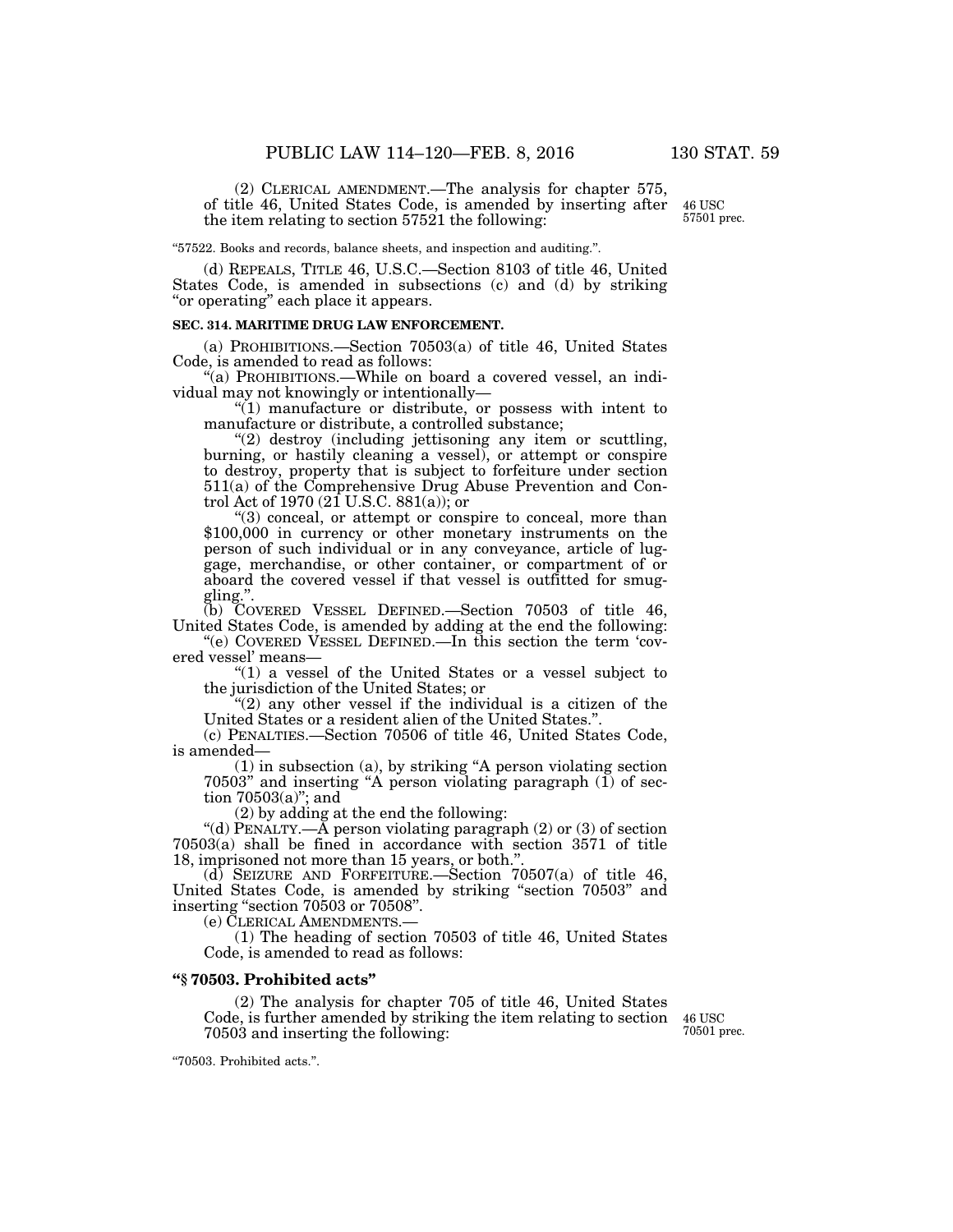(2) CLERICAL AMENDMENT.—The analysis for chapter 575, of title 46, United States Code, is amended by inserting after the item relating to section 57521 the following:

46 USC 57501 prec.

''57522. Books and records, balance sheets, and inspection and auditing.''.

(d) REPEALS, TITLE 46, U.S.C.—Section 8103 of title 46, United States Code, is amended in subsections (c) and (d) by striking "or operating" each place it appears.

## **SEC. 314. MARITIME DRUG LAW ENFORCEMENT.**

(a) PROHIBITIONS.—Section 70503(a) of title 46, United States Code, is amended to read as follows:

''(a) PROHIBITIONS.—While on board a covered vessel, an individual may not knowingly or intentionally—

''(1) manufacture or distribute, or possess with intent to manufacture or distribute, a controlled substance;

''(2) destroy (including jettisoning any item or scuttling, burning, or hastily cleaning a vessel), or attempt or conspire to destroy, property that is subject to forfeiture under section 511(a) of the Comprehensive Drug Abuse Prevention and Control Act of 1970 (21 U.S.C.  $881(a)$ ); or<br>"(3) conceal, or attempt or conspire to conceal, more than

 $$100,000$  in currency or other monetary instruments on the person of such individual or in any conveyance, article of luggage, merchandise, or other container, or compartment of or aboard the covered vessel if that vessel is outfitted for smuggling.''.

(b) COVERED VESSEL DEFINED.—Section 70503 of title 46, United States Code, is amended by adding at the end the following:

"(e) COVERED VESSEL DEFINED.—In this section the term 'covered vessel' means—

''(1) a vessel of the United States or a vessel subject to the jurisdiction of the United States; or

" $(2)$  any other vessel if the individual is a citizen of the United States or a resident alien of the United States.''.

(c) PENALTIES.—Section 70506 of title 46, United States Code, is amended—

(1) in subsection (a), by striking ''A person violating section 70503'' and inserting ''A person violating paragraph (1) of section 70503(a)''; and

(2) by adding at the end the following:

"(d) PENALTY.—A person violating paragraph  $(2)$  or  $(3)$  of section 70503(a) shall be fined in accordance with section 3571 of title 18, imprisoned not more than 15 years, or both.''.

(d) SEIZURE AND FORFEITURE.—Section  $70507(a)$  of title 46, United States Code, is amended by striking ''section 70503'' and inserting "section 70503 or 70508".

(e) CLERICAL AMENDMENTS.—

(1) The heading of section 70503 of title 46, United States Code, is amended to read as follows:

## **''§ 70503. Prohibited acts''**

(2) The analysis for chapter 705 of title 46, United States Code, is further amended by striking the item relating to section 70503 and inserting the following:

46 USC 70501 prec.

''70503. Prohibited acts.''.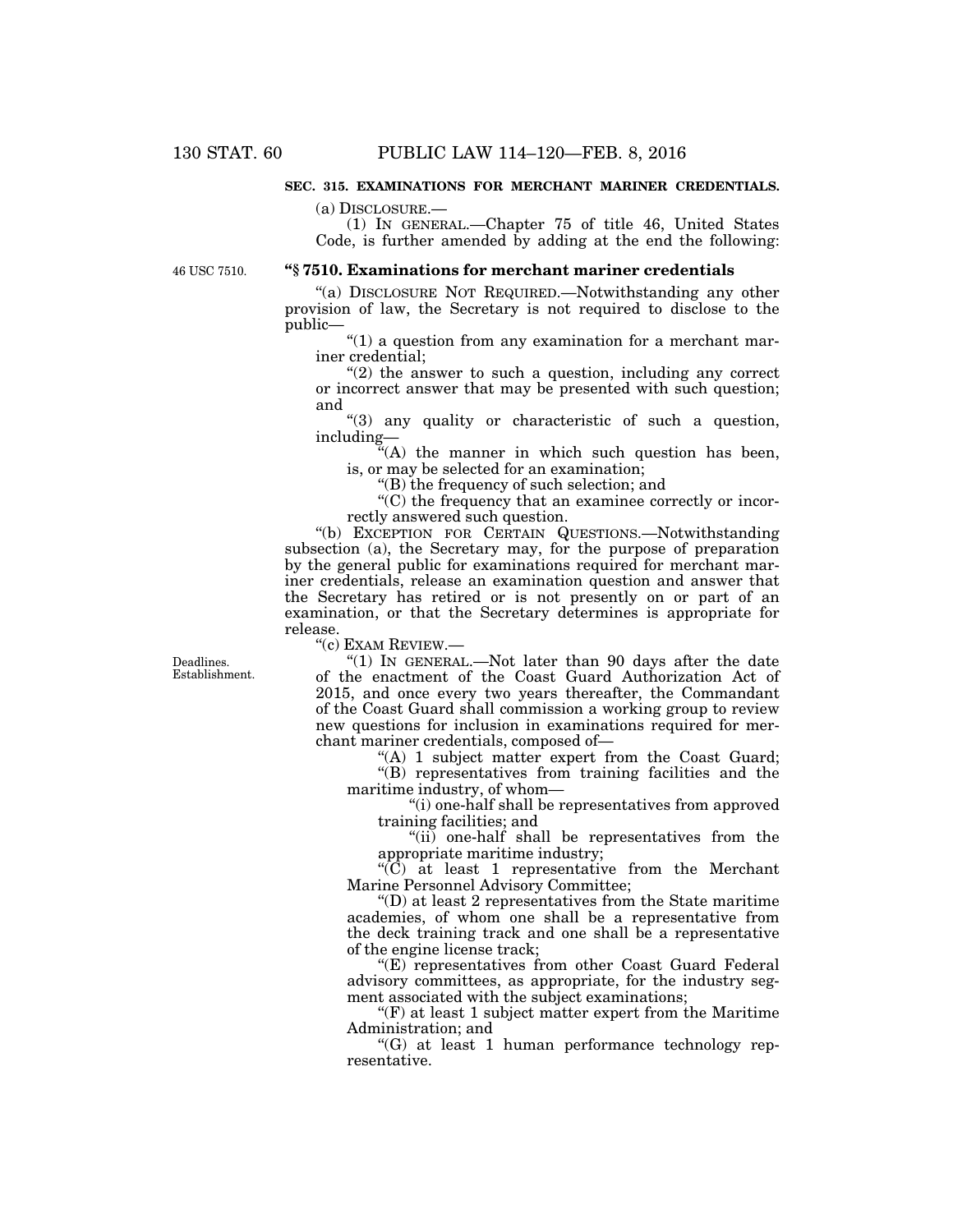## **SEC. 315. EXAMINATIONS FOR MERCHANT MARINER CREDENTIALS.**

(a) DISCLOSURE.—

(1) IN GENERAL.—Chapter 75 of title 46, United States Code, is further amended by adding at the end the following:

46 USC 7510.

## **''§ 7510. Examinations for merchant mariner credentials**

''(a) DISCLOSURE NOT REQUIRED.—Notwithstanding any other provision of law, the Secretary is not required to disclose to the public—

''(1) a question from any examination for a merchant mariner credential;

 $(2)$  the answer to such a question, including any correct or incorrect answer that may be presented with such question; and

''(3) any quality or characteristic of such a question, including—

 $f^{i}(A)$  the manner in which such question has been, is, or may be selected for an examination;

''(B) the frequency of such selection; and

''(C) the frequency that an examinee correctly or incorrectly answered such question.

''(b) EXCEPTION FOR CERTAIN QUESTIONS.—Notwithstanding subsection (a), the Secretary may, for the purpose of preparation by the general public for examinations required for merchant mariner credentials, release an examination question and answer that the Secretary has retired or is not presently on or part of an examination, or that the Secretary determines is appropriate for release.

''(c) EXAM REVIEW.—

"(1) IN GENERAL.—Not later than 90 days after the date of the enactment of the Coast Guard Authorization Act of 2015, and once every two years thereafter, the Commandant of the Coast Guard shall commission a working group to review new questions for inclusion in examinations required for merchant mariner credentials, composed of—

"(A) 1 subject matter expert from the Coast Guard; ''(B) representatives from training facilities and the

maritime industry, of whom—

''(i) one-half shall be representatives from approved training facilities; and

"(ii) one-half shall be representatives from the appropriate maritime industry;

 $\langle (C) \rangle$  at least 1 representative from the Merchant Marine Personnel Advisory Committee;

 $\mathrm{``(D)}$  at least 2 representatives from the State maritime academies, of whom one shall be a representative from the deck training track and one shall be a representative of the engine license track;

''(E) representatives from other Coast Guard Federal advisory committees, as appropriate, for the industry segment associated with the subject examinations;

 $f(F)$  at least 1 subject matter expert from the Maritime Administration; and

''(G) at least 1 human performance technology representative.

Deadlines. Establishment.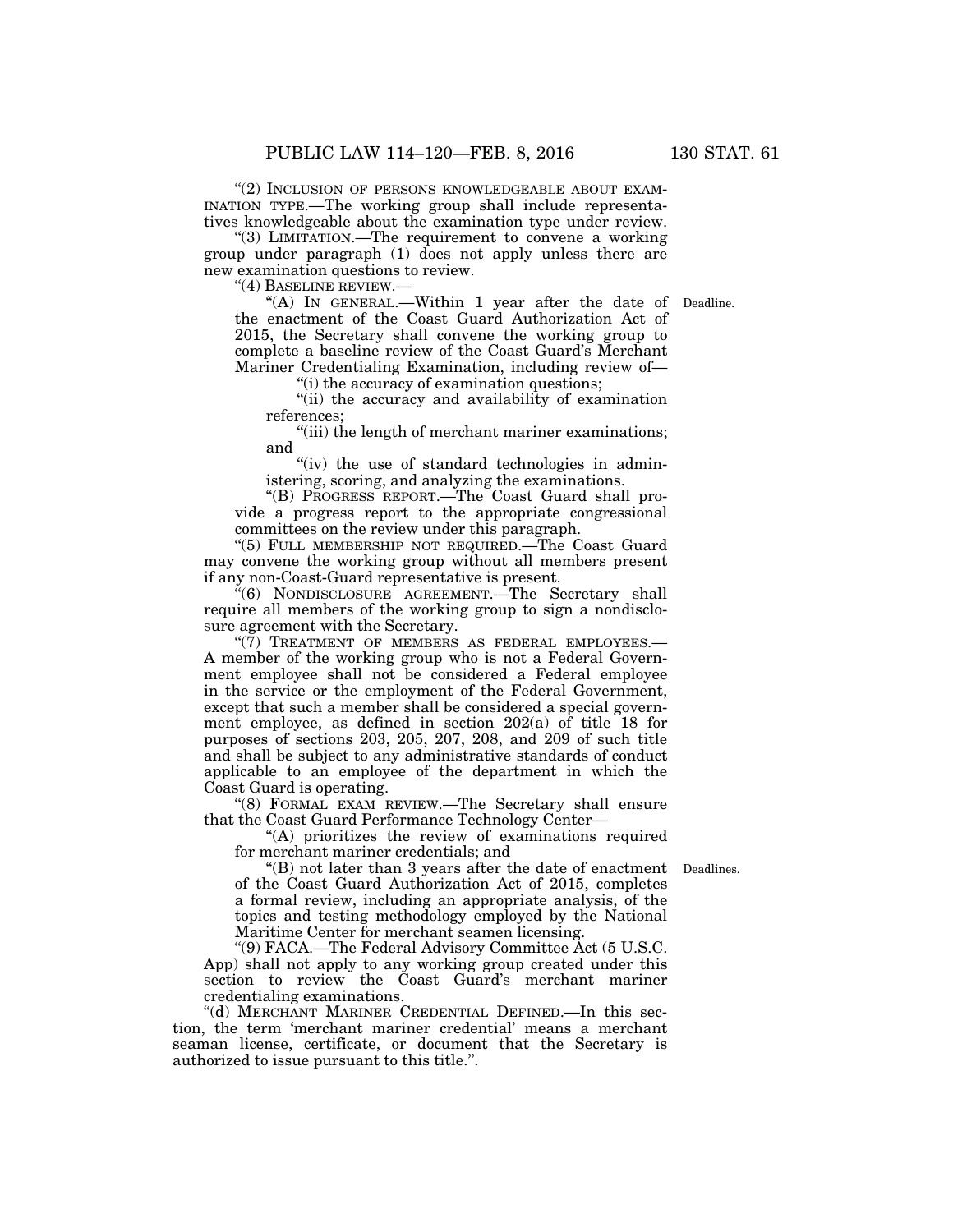"(2) INCLUSION OF PERSONS KNOWLEDGEABLE ABOUT EXAM-INATION TYPE.—The working group shall include representatives knowledgeable about the examination type under review.

"(3) LIMITATION.—The requirement to convene a working group under paragraph (1) does not apply unless there are new examination questions to review.

''(4) BASELINE REVIEW.—

"(A) In GENERAL.—Within 1 year after the date of Deadline. the enactment of the Coast Guard Authorization Act of 2015, the Secretary shall convene the working group to complete a baseline review of the Coast Guard's Merchant Mariner Credentialing Examination, including review of—

''(i) the accuracy of examination questions;

''(ii) the accuracy and availability of examination references;

''(iii) the length of merchant mariner examinations; and

"(iv) the use of standard technologies in administering, scoring, and analyzing the examinations.

''(B) PROGRESS REPORT.—The Coast Guard shall provide a progress report to the appropriate congressional committees on the review under this paragraph.

''(5) FULL MEMBERSHIP NOT REQUIRED.—The Coast Guard may convene the working group without all members present if any non-Coast-Guard representative is present.

''(6) NONDISCLOSURE AGREEMENT.—The Secretary shall require all members of the working group to sign a nondisclosure agreement with the Secretary.

" $(7)$  TREATMENT OF MEMBERS AS FEDERAL EMPLOYEES.— A member of the working group who is not a Federal Government employee shall not be considered a Federal employee in the service or the employment of the Federal Government, except that such a member shall be considered a special government employee, as defined in section 202(a) of title 18 for purposes of sections 203, 205, 207, 208, and 209 of such title and shall be subject to any administrative standards of conduct applicable to an employee of the department in which the Coast Guard is operating.

''(8) FORMAL EXAM REVIEW.—The Secretary shall ensure that the Coast Guard Performance Technology Center—

"(A) prioritizes the review of examinations required for merchant mariner credentials; and

''(B) not later than 3 years after the date of enactment Deadlines. of the Coast Guard Authorization Act of 2015, completes a formal review, including an appropriate analysis, of the topics and testing methodology employed by the National Maritime Center for merchant seamen licensing.

''(9) FACA.—The Federal Advisory Committee Act (5 U.S.C. App) shall not apply to any working group created under this section to review the Coast Guard's merchant mariner credentialing examinations.

''(d) MERCHANT MARINER CREDENTIAL DEFINED.—In this section, the term 'merchant mariner credential' means a merchant seaman license, certificate, or document that the Secretary is authorized to issue pursuant to this title.''.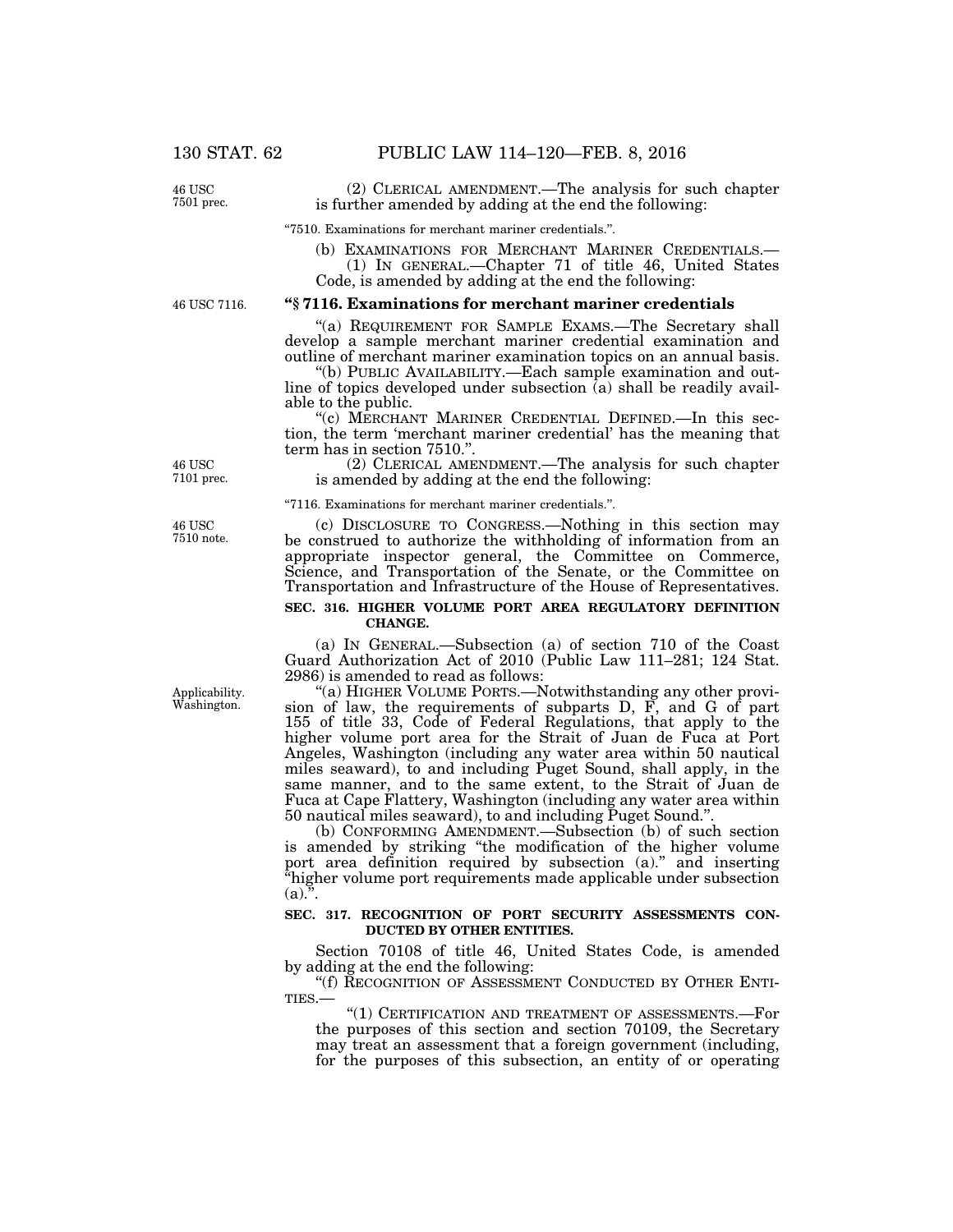(2) CLERICAL AMENDMENT.—The analysis for such chapter is further amended by adding at the end the following:

''7510. Examinations for merchant mariner credentials.''.

(b) EXAMINATIONS FOR MERCHANT MARINER CREDENTIALS.— (1) IN GENERAL.—Chapter 71 of title 46, United States

Code, is amended by adding at the end the following:

46 USC 7116.

## **''§ 7116. Examinations for merchant mariner credentials**

"(a) REQUIREMENT FOR SAMPLE EXAMS.—The Secretary shall develop a sample merchant mariner credential examination and outline of merchant mariner examination topics on an annual basis.

''(b) PUBLIC AVAILABILITY.—Each sample examination and outline of topics developed under subsection  $(a)$  shall be readily available to the public.

''(c) MERCHANT MARINER CREDENTIAL DEFINED.—In this section, the term 'merchant mariner credential' has the meaning that term has in section 7510.''.

(2) CLERICAL AMENDMENT.—The analysis for such chapter is amended by adding at the end the following:

''7116. Examinations for merchant mariner credentials.''.

(c) DISCLOSURE TO CONGRESS.—Nothing in this section may be construed to authorize the withholding of information from an appropriate inspector general, the Committee on Commerce, Science, and Transportation of the Senate, or the Committee on Transportation and Infrastructure of the House of Representatives.

### **SEC. 316. HIGHER VOLUME PORT AREA REGULATORY DEFINITION CHANGE.**

(a) IN GENERAL.—Subsection (a) of section 710 of the Coast Guard Authorization Act of 2010 (Public Law 111–281; 124 Stat. 2986) is amended to read as follows:

''(a) HIGHER VOLUME PORTS.—Notwithstanding any other provision of law, the requirements of subparts D, F, and G of part 155 of title 33, Code of Federal Regulations, that apply to the higher volume port area for the Strait of Juan de Fuca at Port Angeles, Washington (including any water area within 50 nautical miles seaward), to and including Puget Sound, shall apply, in the same manner, and to the same extent, to the Strait of Juan de Fuca at Cape Flattery, Washington (including any water area within 50 nautical miles seaward), to and including Puget Sound.''.

(b) CONFORMING AMENDMENT.—Subsection (b) of such section is amended by striking ''the modification of the higher volume port area definition required by subsection (a).'' and inserting ''higher volume port requirements made applicable under subsection  $(a)$ ...

## **SEC. 317. RECOGNITION OF PORT SECURITY ASSESSMENTS CON-DUCTED BY OTHER ENTITIES.**

Section 70108 of title 46, United States Code, is amended by adding at the end the following:

"(f) RECOGNITION OF ASSESSMENT CONDUCTED BY OTHER ENTI-TIES.—

''(1) CERTIFICATION AND TREATMENT OF ASSESSMENTS.—For the purposes of this section and section 70109, the Secretary may treat an assessment that a foreign government (including, for the purposes of this subsection, an entity of or operating

Applicability. Washington.

46 USC 7501 prec.

46 USC 7510 note.

46 USC 7101 prec.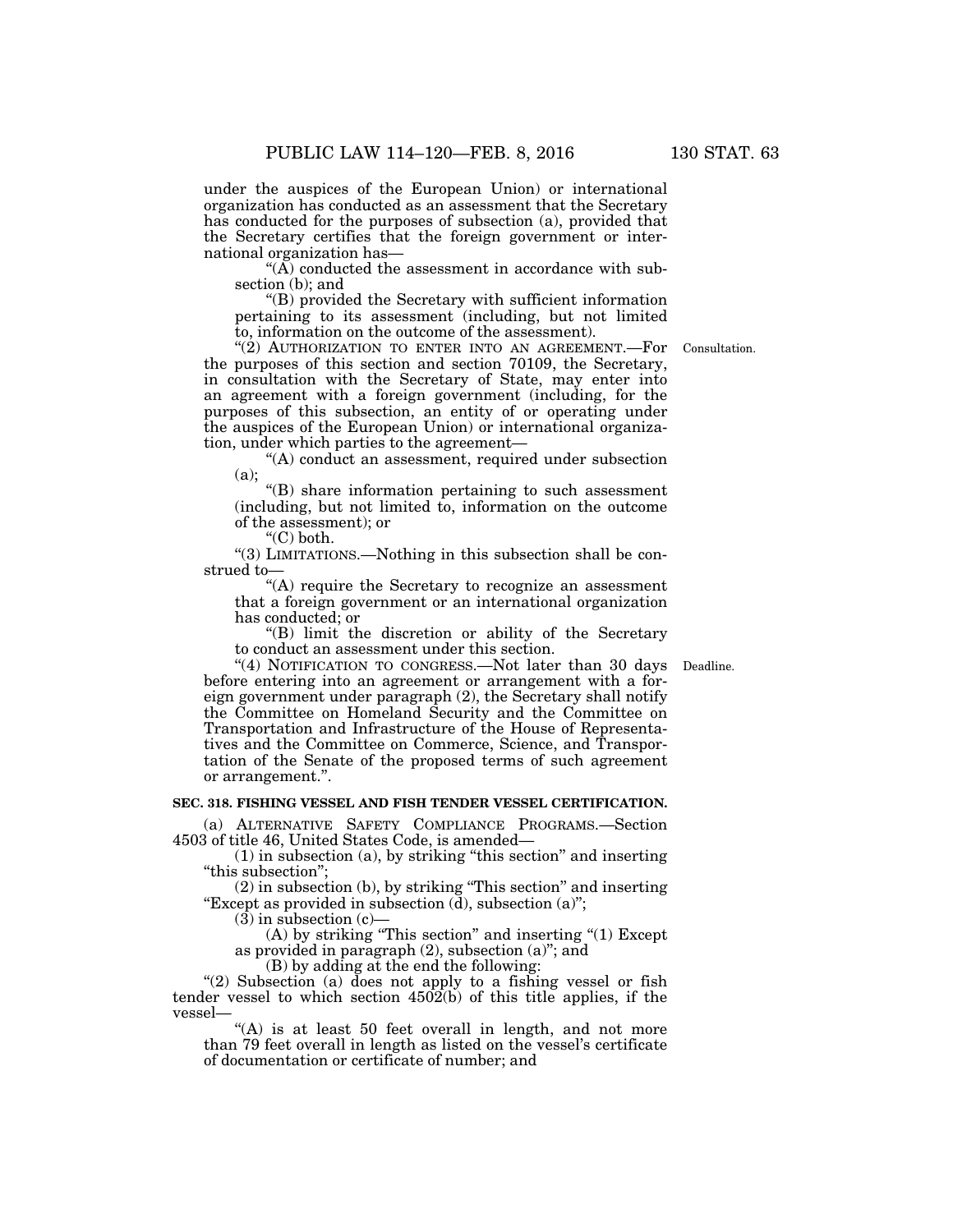under the auspices of the European Union) or international organization has conducted as an assessment that the Secretary has conducted for the purposes of subsection (a), provided that the Secretary certifies that the foreign government or international organization has—

"(A) conducted the assessment in accordance with subsection (b); and

''(B) provided the Secretary with sufficient information pertaining to its assessment (including, but not limited to, information on the outcome of the assessment).

" $(2)$  AUTHORIZATION TO ENTER INTO AN AGREEMENT.—For the purposes of this section and section 70109, the Secretary, in consultation with the Secretary of State, may enter into an agreement with a foreign government (including, for the purposes of this subsection, an entity of or operating under the auspices of the European Union) or international organization, under which parties to the agreement—

"(A) conduct an assessment, required under subsection (a);

''(B) share information pertaining to such assessment (including, but not limited to, information on the outcome of the assessment); or

''(C) both.

''(3) LIMITATIONS.—Nothing in this subsection shall be construed to—

"(A) require the Secretary to recognize an assessment that a foreign government or an international organization has conducted; or

''(B) limit the discretion or ability of the Secretary to conduct an assessment under this section.

"(4) NOTIFICATION TO CONGRESS.—Not later than 30 days Deadline. before entering into an agreement or arrangement with a foreign government under paragraph (2), the Secretary shall notify the Committee on Homeland Security and the Committee on Transportation and Infrastructure of the House of Representatives and the Committee on Commerce, Science, and Transportation of the Senate of the proposed terms of such agreement or arrangement.''.

## **SEC. 318. FISHING VESSEL AND FISH TENDER VESSEL CERTIFICATION.**

(a) ALTERNATIVE SAFETY COMPLIANCE PROGRAMS.—Section 4503 of title 46, United States Code, is amended—

(1) in subsection (a), by striking ''this section'' and inserting "this subsection";

(2) in subsection (b), by striking ''This section'' and inserting "Except as provided in subsection  $(d)$ , subsection  $(a)$ ";

 $(3)$  in subsection  $(c)$ –

(A) by striking ''This section'' and inserting ''(1) Except as provided in paragraph (2), subsection (a)''; and

(B) by adding at the end the following:

"(2) Subsection (a) does not apply to a fishing vessel or fish tender vessel to which section  $450\overline{2}$ (b) of this title applies, if the vessel—

"(A) is at least 50 feet overall in length, and not more than 79 feet overall in length as listed on the vessel's certificate of documentation or certificate of number; and

Consultation.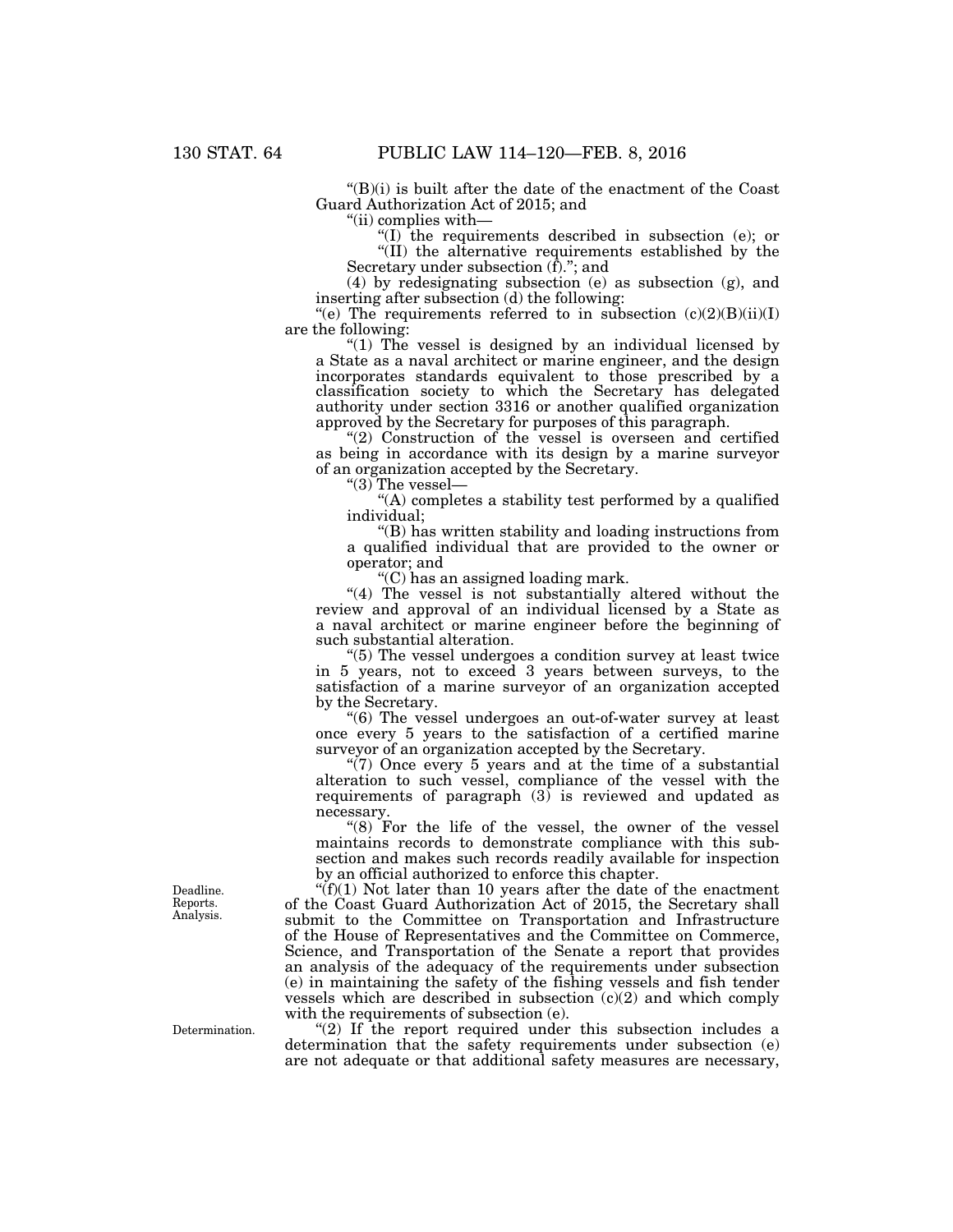$(G)(i)$  is built after the date of the enactment of the Coast Guard Authorization Act of 2015; and

''(ii) complies with—

 $f(I)$  the requirements described in subsection (e); or ''(II) the alternative requirements established by the Secretary under subsection  $(\hat{f})$ ."; and

(4) by redesignating subsection (e) as subsection (g), and inserting after subsection (d) the following:

"(e) The requirements referred to in subsection  $(c)(2)(B)(ii)(I)$ are the following:

"(1) The vessel is designed by an individual licensed by" a State as a naval architect or marine engineer, and the design incorporates standards equivalent to those prescribed by a classification society to which the Secretary has delegated authority under section 3316 or another qualified organization approved by the Secretary for purposes of this paragraph.

"(2) Construction of the vessel is overseen and certified as being in accordance with its design by a marine surveyor of an organization accepted by the Secretary.

''(3) The vessel—

''(A) completes a stability test performed by a qualified individual;

''(B) has written stability and loading instructions from a qualified individual that are provided to the owner or operator; and

''(C) has an assigned loading mark.

"(4) The vessel is not substantially altered without the review and approval of an individual licensed by a State as a naval architect or marine engineer before the beginning of such substantial alteration.

''(5) The vessel undergoes a condition survey at least twice in 5 years, not to exceed 3 years between surveys, to the satisfaction of a marine surveyor of an organization accepted by the Secretary.

''(6) The vessel undergoes an out-of-water survey at least once every 5 years to the satisfaction of a certified marine surveyor of an organization accepted by the Secretary.

" $(7)$  Once every 5 years and at the time of a substantial alteration to such vessel, compliance of the vessel with the requirements of paragraph  $(3)$  is reviewed and updated as necessary.

" $(8)$  For the life of the vessel, the owner of the vessel maintains records to demonstrate compliance with this subsection and makes such records readily available for inspection by an official authorized to enforce this chapter.

 $f(f)(1)$  Not later than 10 years after the date of the enactment of the Coast Guard Authorization Act of 2015, the Secretary shall submit to the Committee on Transportation and Infrastructure of the House of Representatives and the Committee on Commerce, Science, and Transportation of the Senate a report that provides an analysis of the adequacy of the requirements under subsection (e) in maintaining the safety of the fishing vessels and fish tender vessels which are described in subsection  $(c)(2)$  and which comply with the requirements of subsection (e).

" $(2)$  If the report required under this subsection includes a determination that the safety requirements under subsection (e) are not adequate or that additional safety measures are necessary,

Deadline. Reports. Analysis.

Determination.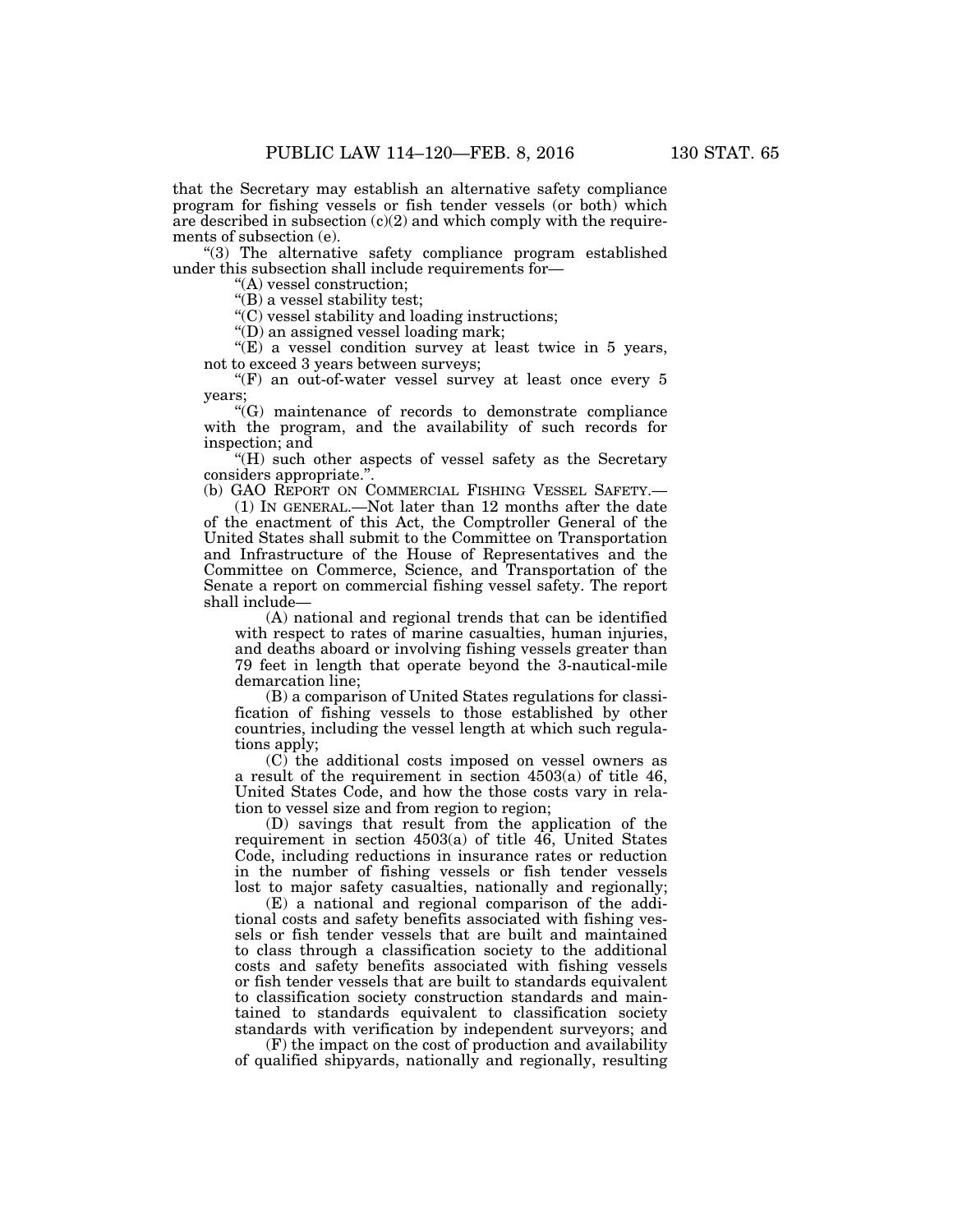that the Secretary may establish an alternative safety compliance program for fishing vessels or fish tender vessels (or both) which are described in subsection  $(c)(2)$  and which comply with the requirements of subsection (e).

"(3) The alternative safety compliance program established under this subsection shall include requirements for—

''(A) vessel construction;

''(B) a vessel stability test;

 $\mathcal{C}(C)$  vessel stability and loading instructions;

''(D) an assigned vessel loading mark;

''(E) a vessel condition survey at least twice in 5 years, not to exceed 3 years between surveys;

 $(F)$  an out-of-water vessel survey at least once every 5 years;

''(G) maintenance of records to demonstrate compliance with the program, and the availability of such records for inspection; and

''(H) such other aspects of vessel safety as the Secretary considers appropriate.'

(b) GAO REPORT ON COMMERCIAL FISHING VESSEL SAFETY.—

(1) IN GENERAL.—Not later than 12 months after the date of the enactment of this Act, the Comptroller General of the United States shall submit to the Committee on Transportation and Infrastructure of the House of Representatives and the Committee on Commerce, Science, and Transportation of the Senate a report on commercial fishing vessel safety. The report shall include—

(A) national and regional trends that can be identified with respect to rates of marine casualties, human injuries, and deaths aboard or involving fishing vessels greater than 79 feet in length that operate beyond the 3-nautical-mile demarcation line;

(B) a comparison of United States regulations for classification of fishing vessels to those established by other countries, including the vessel length at which such regulations apply;

(C) the additional costs imposed on vessel owners as a result of the requirement in section 4503(a) of title 46, United States Code, and how the those costs vary in relation to vessel size and from region to region;

(D) savings that result from the application of the requirement in section  $4503(a)$  of title  $46$ , United States Code, including reductions in insurance rates or reduction in the number of fishing vessels or fish tender vessels lost to major safety casualties, nationally and regionally;

(E) a national and regional comparison of the additional costs and safety benefits associated with fishing vessels or fish tender vessels that are built and maintained to class through a classification society to the additional costs and safety benefits associated with fishing vessels or fish tender vessels that are built to standards equivalent to classification society construction standards and maintained to standards equivalent to classification society standards with verification by independent surveyors; and

(F) the impact on the cost of production and availability of qualified shipyards, nationally and regionally, resulting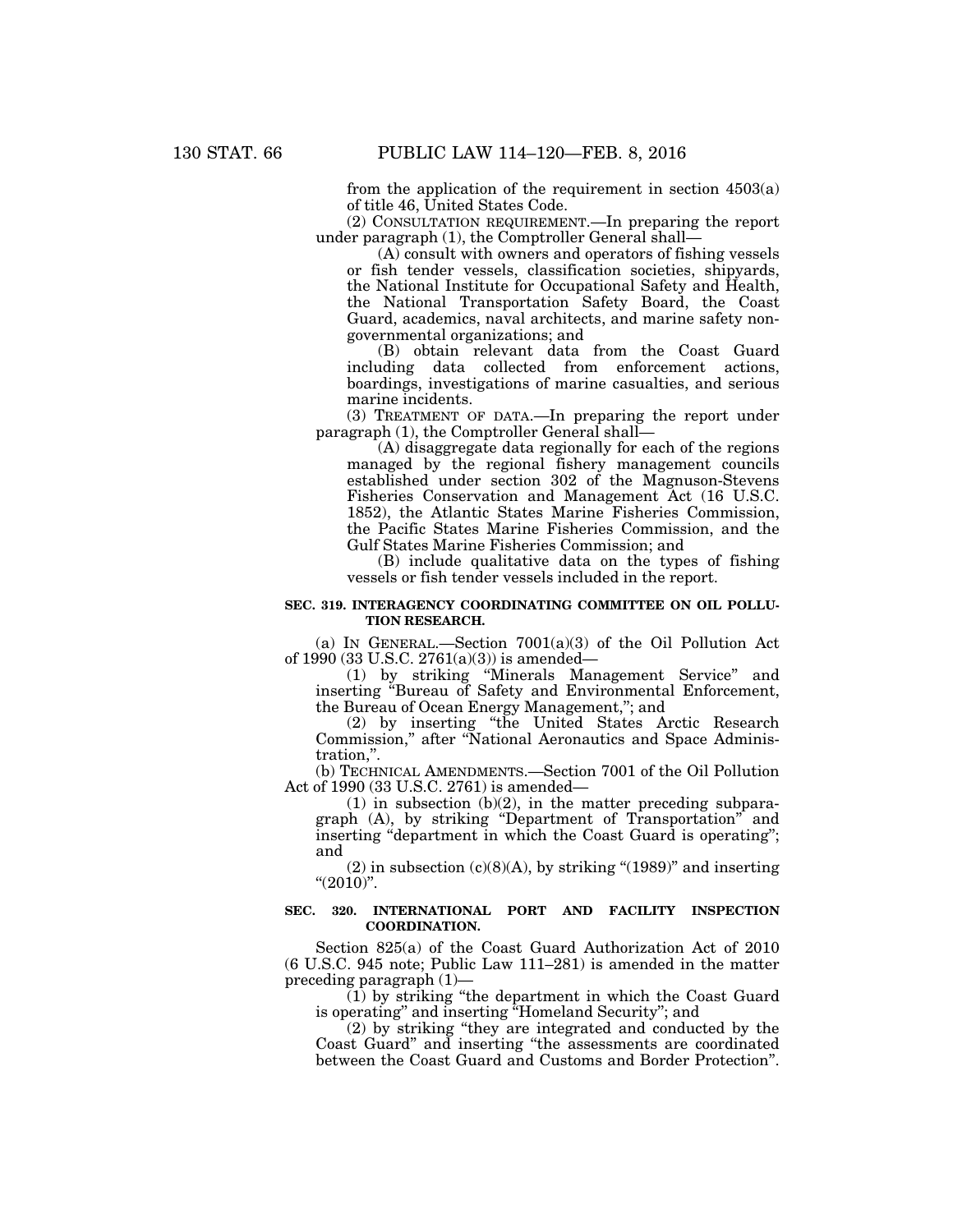from the application of the requirement in section 4503(a) of title 46, United States Code.

(2) CONSULTATION REQUIREMENT.—In preparing the report under paragraph (1), the Comptroller General shall—

(A) consult with owners and operators of fishing vessels or fish tender vessels, classification societies, shipyards, the National Institute for Occupational Safety and Health, the National Transportation Safety Board, the Coast Guard, academics, naval architects, and marine safety nongovernmental organizations; and

(B) obtain relevant data from the Coast Guard including data collected from enforcement actions, boardings, investigations of marine casualties, and serious marine incidents.

(3) TREATMENT OF DATA.—In preparing the report under paragraph (1), the Comptroller General shall—

(A) disaggregate data regionally for each of the regions managed by the regional fishery management councils established under section 302 of the Magnuson-Stevens Fisheries Conservation and Management Act (16 U.S.C. 1852), the Atlantic States Marine Fisheries Commission, the Pacific States Marine Fisheries Commission, and the Gulf States Marine Fisheries Commission; and

(B) include qualitative data on the types of fishing vessels or fish tender vessels included in the report.

## **SEC. 319. INTERAGENCY COORDINATING COMMITTEE ON OIL POLLU-TION RESEARCH.**

(a) IN GENERAL.—Section 7001(a)(3) of the Oil Pollution Act of 1990 (33 U.S.C. 2761(a)(3)) is amended—

(1) by striking ''Minerals Management Service'' and inserting ''Bureau of Safety and Environmental Enforcement, the Bureau of Ocean Energy Management,''; and

(2) by inserting ''the United States Arctic Research Commission," after "National Aeronautics and Space Administration,''.

(b) TECHNICAL AMENDMENTS.—Section 7001 of the Oil Pollution Act of 1990 (33 U.S.C. 2761) is amended—

 $(1)$  in subsection  $(b)(2)$ , in the matter preceding subparagraph (A), by striking ''Department of Transportation'' and inserting "department in which the Coast Guard is operating"; and

 $(2)$  in subsection  $(c)(8)(A)$ , by striking " $(1989)$ " and inserting " $(2010)$ ".

# **SEC. 320. INTERNATIONAL PORT AND FACILITY INSPECTION COORDINATION.**

Section 825(a) of the Coast Guard Authorization Act of 2010 (6 U.S.C. 945 note; Public Law 111–281) is amended in the matter preceding paragraph (1)—

 $(1)$  by striking "the department in which the Coast Guard is operating'' and inserting ''Homeland Security''; and

(2) by striking ''they are integrated and conducted by the Coast Guard'' and inserting ''the assessments are coordinated between the Coast Guard and Customs and Border Protection''.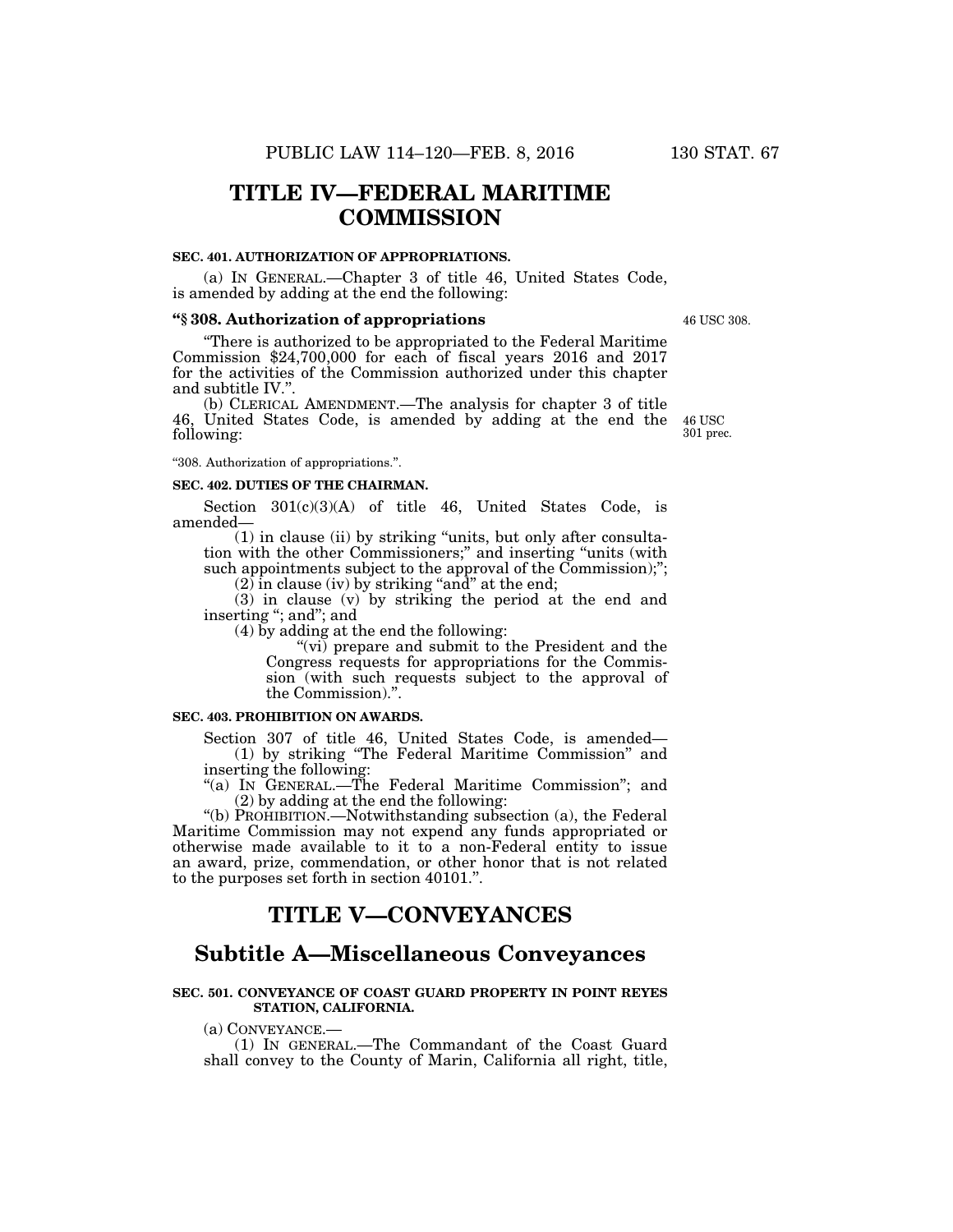# **TITLE IV—FEDERAL MARITIME COMMISSION**

#### **SEC. 401. AUTHORIZATION OF APPROPRIATIONS.**

(a) IN GENERAL.—Chapter 3 of title 46, United States Code, is amended by adding at the end the following:

#### **''§ 308. Authorization of appropriations**

''There is authorized to be appropriated to the Federal Maritime Commission \$24,700,000 for each of fiscal years 2016 and 2017 for the activities of the Commission authorized under this chapter and subtitle IV.''.

(b) CLERICAL AMENDMENT.—The analysis for chapter 3 of title 46, United States Code, is amended by adding at the end the following:

''308. Authorization of appropriations.''.

# **SEC. 402. DUTIES OF THE CHAIRMAN.**

Section 301(c)(3)(A) of title 46, United States Code, is amended—

(1) in clause (ii) by striking ''units, but only after consultation with the other Commissioners;'' and inserting ''units (with such appointments subject to the approval of the Commission);";

 $(2)$  in clause (iv) by striking "and" at the end;

(3) in clause (v) by striking the period at the end and inserting "; and"; and

(4) by adding at the end the following:

"(vi) prepare and submit to the President and the Congress requests for appropriations for the Commission (with such requests subject to the approval of the Commission).''.

## **SEC. 403. PROHIBITION ON AWARDS.**

Section 307 of title 46, United States Code, is amended— (1) by striking ''The Federal Maritime Commission'' and inserting the following:

"(a) IN GENERAL.—The Federal Maritime Commission"; and (2) by adding at the end the following:

''(b) PROHIBITION.—Notwithstanding subsection (a), the Federal Maritime Commission may not expend any funds appropriated or otherwise made available to it to a non-Federal entity to issue an award, prize, commendation, or other honor that is not related to the purposes set forth in section 40101.''.

# **TITLE V—CONVEYANCES**

# **Subtitle A—Miscellaneous Conveyances**

## **SEC. 501. CONVEYANCE OF COAST GUARD PROPERTY IN POINT REYES STATION, CALIFORNIA.**

(a) CONVEYANCE.— (1) IN GENERAL.—The Commandant of the Coast Guard shall convey to the County of Marin, California all right, title,

46 USC 308.

46 USC 301 prec.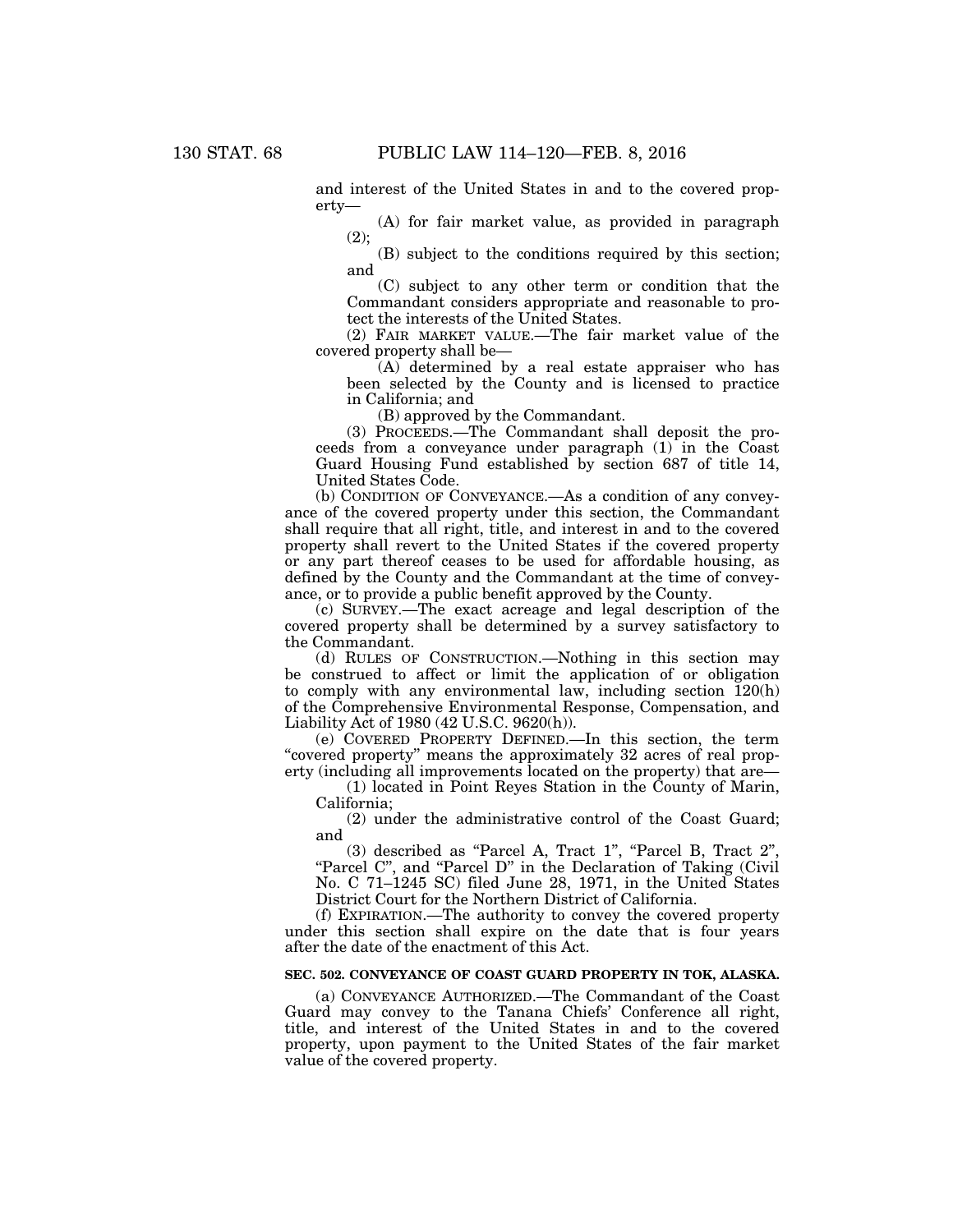and interest of the United States in and to the covered property—

(A) for fair market value, as provided in paragraph (2);

(B) subject to the conditions required by this section; and

(C) subject to any other term or condition that the Commandant considers appropriate and reasonable to protect the interests of the United States.

(2) FAIR MARKET VALUE.—The fair market value of the covered property shall be—

(A) determined by a real estate appraiser who has been selected by the County and is licensed to practice in California; and

(B) approved by the Commandant.

(3) PROCEEDS.—The Commandant shall deposit the proceeds from a conveyance under paragraph (1) in the Coast Guard Housing Fund established by section 687 of title 14, United States Code.

(b) CONDITION OF CONVEYANCE.—As a condition of any conveyance of the covered property under this section, the Commandant shall require that all right, title, and interest in and to the covered property shall revert to the United States if the covered property or any part thereof ceases to be used for affordable housing, as defined by the County and the Commandant at the time of conveyance, or to provide a public benefit approved by the County.

(c) SURVEY.—The exact acreage and legal description of the covered property shall be determined by a survey satisfactory to the Commandant.

(d) RULES OF CONSTRUCTION.—Nothing in this section may be construed to affect or limit the application of or obligation to comply with any environmental law, including section 120(h) of the Comprehensive Environmental Response, Compensation, and Liability Act of 1980 (42 U.S.C. 9620(h)).

(e) COVERED PROPERTY DEFINED.—In this section, the term "covered property" means the approximately 32 acres of real property (including all improvements located on the property) that are—

(1) located in Point Reyes Station in the County of Marin, California;

(2) under the administrative control of the Coast Guard; and

(3) described as ''Parcel A, Tract 1'', ''Parcel B, Tract 2'', "Parcel C", and "Parcel D" in the Declaration of Taking (Civil No. C 71–1245 SC) filed June 28, 1971, in the United States District Court for the Northern District of California.

(f) EXPIRATION.—The authority to convey the covered property under this section shall expire on the date that is four years after the date of the enactment of this Act.

# **SEC. 502. CONVEYANCE OF COAST GUARD PROPERTY IN TOK, ALASKA.**

(a) CONVEYANCE AUTHORIZED.—The Commandant of the Coast Guard may convey to the Tanana Chiefs' Conference all right, title, and interest of the United States in and to the covered property, upon payment to the United States of the fair market value of the covered property.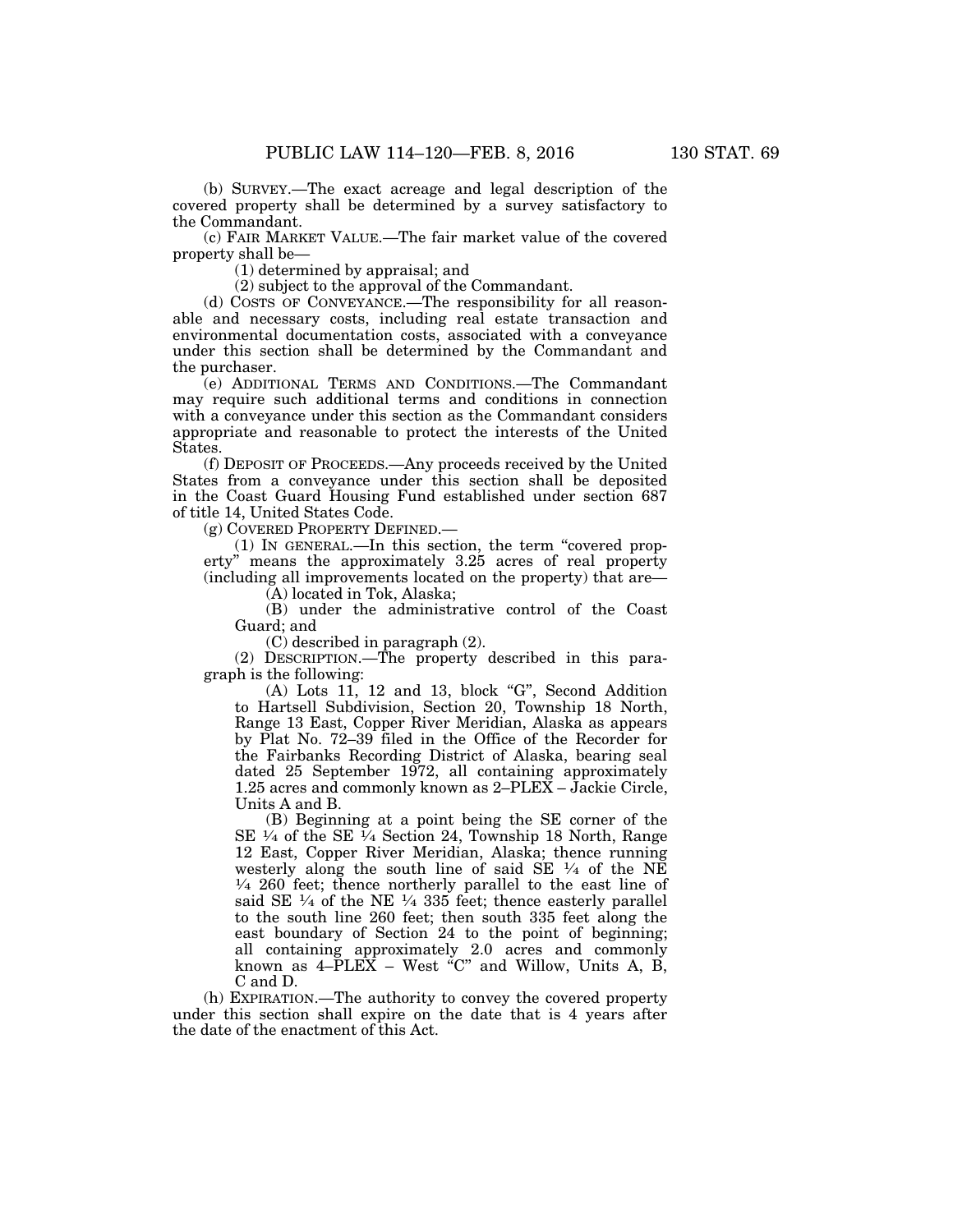(b) SURVEY.—The exact acreage and legal description of the covered property shall be determined by a survey satisfactory to the Commandant.

(c) FAIR MARKET VALUE.—The fair market value of the covered property shall be—

(1) determined by appraisal; and

(2) subject to the approval of the Commandant.

(d) COSTS OF CONVEYANCE.—The responsibility for all reasonable and necessary costs, including real estate transaction and environmental documentation costs, associated with a conveyance under this section shall be determined by the Commandant and the purchaser.

(e) ADDITIONAL TERMS AND CONDITIONS.—The Commandant may require such additional terms and conditions in connection with a conveyance under this section as the Commandant considers appropriate and reasonable to protect the interests of the United States.

(f) DEPOSIT OF PROCEEDS.—Any proceeds received by the United States from a conveyance under this section shall be deposited in the Coast Guard Housing Fund established under section 687 of title 14, United States Code.

(g) COVERED PROPERTY DEFINED.—

(1) IN GENERAL.—In this section, the term ''covered property'' means the approximately 3.25 acres of real property (including all improvements located on the property) that are—

(A) located in Tok, Alaska;

(B) under the administrative control of the Coast Guard; and

(C) described in paragraph (2).

(2) DESCRIPTION.—The property described in this paragraph is the following:

(A) Lots 11, 12 and 13, block ''G'', Second Addition to Hartsell Subdivision, Section 20, Township 18 North, Range 13 East, Copper River Meridian, Alaska as appears by Plat No. 72–39 filed in the Office of the Recorder for the Fairbanks Recording District of Alaska, bearing seal dated 25 September 1972, all containing approximately 1.25 acres and commonly known as 2–PLEX – Jackie Circle, Units A and B.

(B) Beginning at a point being the SE corner of the SE  $\frac{1}{4}$  of the SE  $\frac{1}{4}$  Section 24, Township 18 North, Range 12 East, Copper River Meridian, Alaska; thence running westerly along the south line of said SE  $\frac{1}{4}$  of the NE  $\frac{1}{4}$  260 feet; thence northerly parallel to the east line of said SE  $\frac{1}{4}$  of the NE  $\frac{1}{4}$  335 feet; thence easterly parallel to the south line 260 feet; then south 335 feet along the east boundary of Section 24 to the point of beginning; all containing approximately 2.0 acres and commonly known as  $4-\tilde{P}L\tilde{E}\tilde{X}$  – West "C" and Willow, Units A, B, C and D.

(h) EXPIRATION.—The authority to convey the covered property under this section shall expire on the date that is 4 years after the date of the enactment of this Act.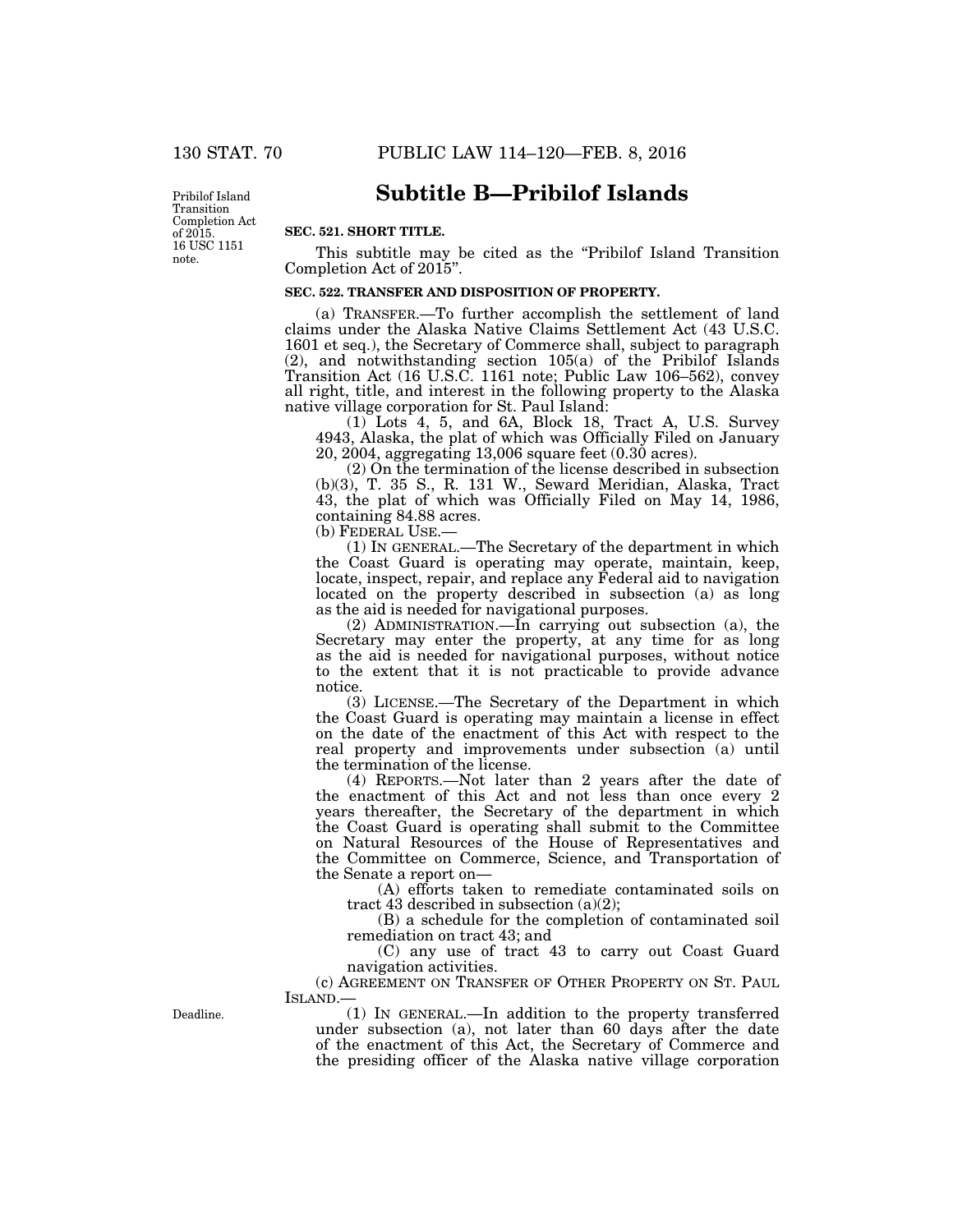16 USC 1151 note. Pribilof Island Transition Completion Act of 2015.

# **Subtitle B—Pribilof Islands**

## **SEC. 521. SHORT TITLE.**

This subtitle may be cited as the ''Pribilof Island Transition Completion Act of 2015''.

# **SEC. 522. TRANSFER AND DISPOSITION OF PROPERTY.**

(a) TRANSFER.—To further accomplish the settlement of land claims under the Alaska Native Claims Settlement Act (43 U.S.C. 1601 et seq.), the Secretary of Commerce shall, subject to paragraph (2), and notwithstanding section 105(a) of the Pribilof Islands Transition Act (16 U.S.C. 1161 note; Public Law 106–562), convey all right, title, and interest in the following property to the Alaska native village corporation for St. Paul Island:

 $(1)$  Lots 4, 5, and 6A, Block 18, Tract A, U.S. Survey 4943, Alaska, the plat of which was Officially Filed on January 20, 2004, aggregating 13,006 square feet (0.30 acres).

(2) On the termination of the license described in subsection (b)(3), T. 35 S., R. 131 W., Seward Meridian, Alaska, Tract 43, the plat of which was Officially Filed on May 14, 1986, containing 84.88 acres.

(b) FEDERAL USE.—

(1) IN GENERAL.—The Secretary of the department in which the Coast Guard is operating may operate, maintain, keep, locate, inspect, repair, and replace any Federal aid to navigation located on the property described in subsection (a) as long as the aid is needed for navigational purposes.

(2) ADMINISTRATION.—In carrying out subsection (a), the Secretary may enter the property, at any time for as long as the aid is needed for navigational purposes, without notice to the extent that it is not practicable to provide advance notice.

(3) LICENSE.—The Secretary of the Department in which the Coast Guard is operating may maintain a license in effect on the date of the enactment of this Act with respect to the real property and improvements under subsection (a) until the termination of the license.

(4) REPORTS.—Not later than 2 years after the date of the enactment of this Act and not less than once every 2 years thereafter, the Secretary of the department in which the Coast Guard is operating shall submit to the Committee on Natural Resources of the House of Representatives and the Committee on Commerce, Science, and Transportation of the Senate a report on—

(A) efforts taken to remediate contaminated soils on tract 43 described in subsection  $(a)(2)$ ;

(B) a schedule for the completion of contaminated soil remediation on tract 43; and

(C) any use of tract 43 to carry out Coast Guard navigation activities.

(c) AGREEMENT ON TRANSFER OF OTHER PROPERTY ON ST. PAUL ISLAND.—

Deadline.

(1) IN GENERAL.—In addition to the property transferred under subsection (a), not later than 60 days after the date of the enactment of this Act, the Secretary of Commerce and the presiding officer of the Alaska native village corporation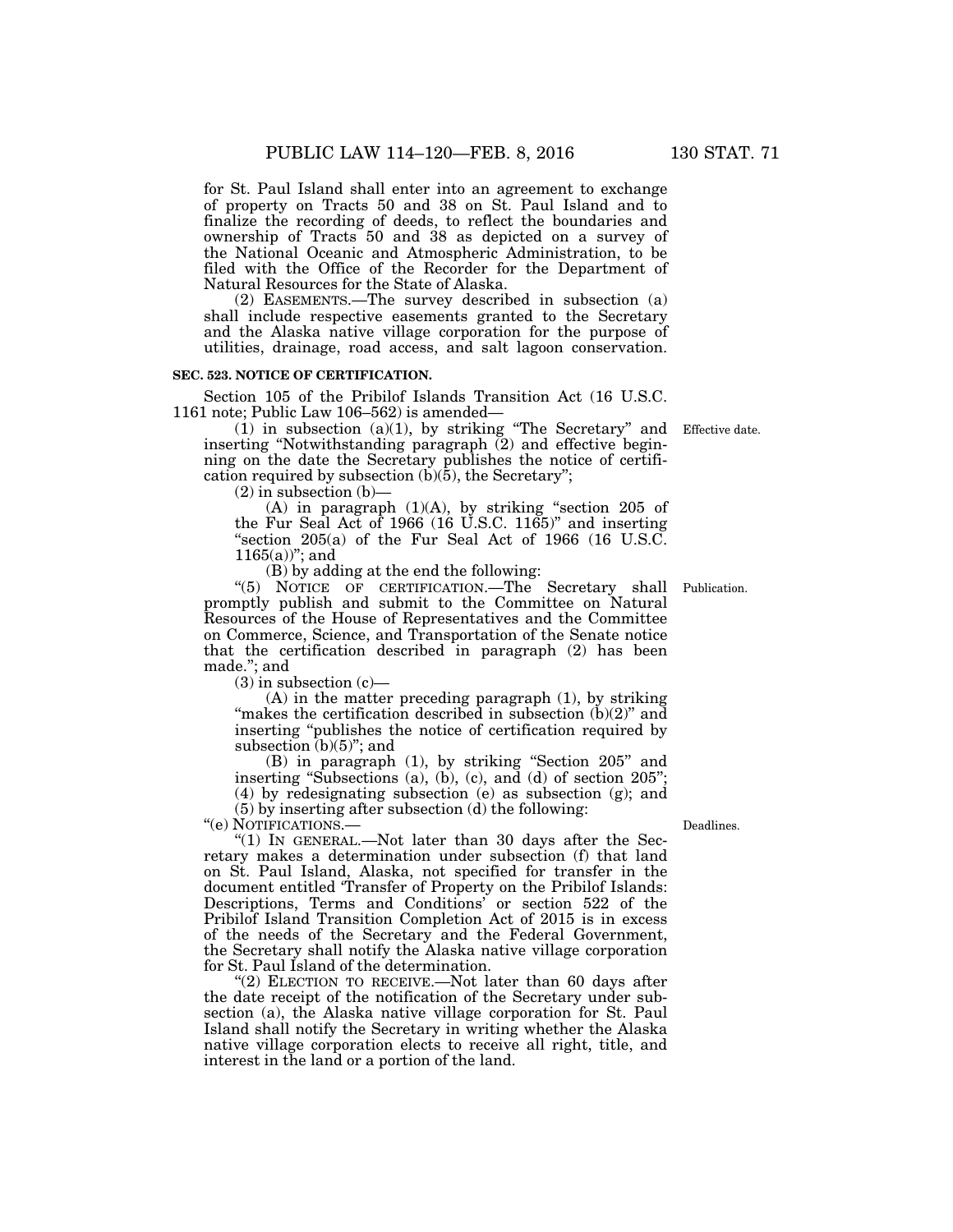for St. Paul Island shall enter into an agreement to exchange of property on Tracts 50 and 38 on St. Paul Island and to finalize the recording of deeds, to reflect the boundaries and ownership of Tracts 50 and 38 as depicted on a survey of the National Oceanic and Atmospheric Administration, to be filed with the Office of the Recorder for the Department of Natural Resources for the State of Alaska.

(2) EASEMENTS.—The survey described in subsection (a) shall include respective easements granted to the Secretary and the Alaska native village corporation for the purpose of utilities, drainage, road access, and salt lagoon conservation.

## **SEC. 523. NOTICE OF CERTIFICATION.**

Section 105 of the Pribilof Islands Transition Act (16 U.S.C. 1161 note; Public Law 106–562) is amended—

(1) in subsection (a)(1), by striking ''The Secretary'' and inserting ''Notwithstanding paragraph (2) and effective beginning on the date the Secretary publishes the notice of certification required by subsection  $(b)(\bar{5})$ , the Secretary";

 $(2)$  in subsection  $(b)$ –

(A) in paragraph (1)(A), by striking ''section 205 of the Fur Seal Act of 1966 (16 U.S.C. 1165)'' and inserting "section  $205(a)$  of the Fur Seal Act of 1966 (16 U.S.C.  $1165(a)$ "; and

(B) by adding at the end the following:

"(5) NOTICE OF CERTIFICATION.—The Secretary shall promptly publish and submit to the Committee on Natural Resources of the House of Representatives and the Committee on Commerce, Science, and Transportation of the Senate notice that the certification described in paragraph (2) has been made.''; and

 $(3)$  in subsection  $(c)$ —

(A) in the matter preceding paragraph (1), by striking "makes the certification described in subsection  $(b)(2)$ " and inserting ''publishes the notice of certification required by subsection  $(b)(5)$ "; and

(B) in paragraph (1), by striking ''Section 205'' and inserting "Subsections (a), (b), (c), and (d) of section  $205$ "; (4) by redesignating subsection (e) as subsection (g); and

(5) by inserting after subsection (d) the following:

"(e) NOTIFICATIONS .-

" $(1)$  In GENERAL.—Not later than 30 days after the Secretary makes a determination under subsection (f) that land on St. Paul Island, Alaska, not specified for transfer in the document entitled 'Transfer of Property on the Pribilof Islands: Descriptions, Terms and Conditions' or section 522 of the Pribilof Island Transition Completion Act of 2015 is in excess of the needs of the Secretary and the Federal Government, the Secretary shall notify the Alaska native village corporation for St. Paul Island of the determination.

"(2) ELECTION TO RECEIVE.—Not later than 60 days after the date receipt of the notification of the Secretary under subsection (a), the Alaska native village corporation for St. Paul Island shall notify the Secretary in writing whether the Alaska native village corporation elects to receive all right, title, and interest in the land or a portion of the land.

Deadlines.

Effective date.

Publication.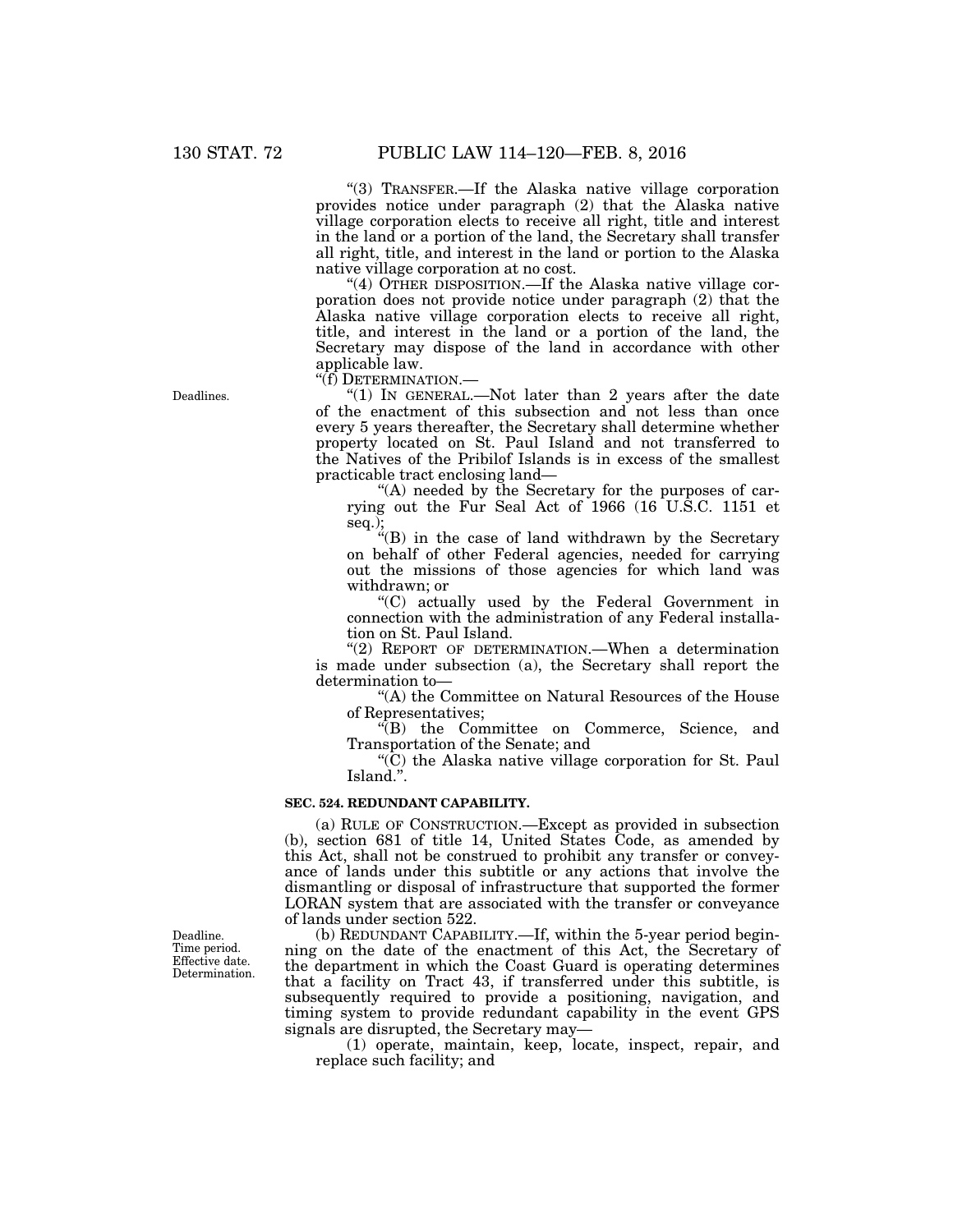''(3) TRANSFER.—If the Alaska native village corporation provides notice under paragraph (2) that the Alaska native village corporation elects to receive all right, title and interest in the land or a portion of the land, the Secretary shall transfer all right, title, and interest in the land or portion to the Alaska native village corporation at no cost.

"(4) OTHER DISPOSITION.—If the Alaska native village corporation does not provide notice under paragraph (2) that the Alaska native village corporation elects to receive all right, title, and interest in the land or a portion of the land, the Secretary may dispose of the land in accordance with other applicable law.

"(f) DETERMINATION.—

''(1) IN GENERAL.—Not later than 2 years after the date of the enactment of this subsection and not less than once every 5 years thereafter, the Secretary shall determine whether property located on St. Paul Island and not transferred to the Natives of the Pribilof Islands is in excess of the smallest practicable tract enclosing land—

"(A) needed by the Secretary for the purposes of carrying out the Fur Seal Act of 1966 (16 U.S.C. 1151 et seq.);

''(B) in the case of land withdrawn by the Secretary on behalf of other Federal agencies, needed for carrying out the missions of those agencies for which land was withdrawn; or

''(C) actually used by the Federal Government in connection with the administration of any Federal installation on St. Paul Island.

"(2) REPORT OF DETERMINATION.—When a determination is made under subsection (a), the Secretary shall report the determination to—

''(A) the Committee on Natural Resources of the House of Representatives;

''(B) the Committee on Commerce, Science, and Transportation of the Senate; and

 $\rm(C)$  the Alaska native village corporation for St. Paul Island.''.

## **SEC. 524. REDUNDANT CAPABILITY.**

(a) RULE OF CONSTRUCTION.—Except as provided in subsection (b), section 681 of title 14, United States Code, as amended by this Act, shall not be construed to prohibit any transfer or conveyance of lands under this subtitle or any actions that involve the dismantling or disposal of infrastructure that supported the former LORAN system that are associated with the transfer or conveyance of lands under section 522.

(b) REDUNDANT CAPABILITY.—If, within the 5-year period beginning on the date of the enactment of this Act, the Secretary of the department in which the Coast Guard is operating determines that a facility on Tract 43, if transferred under this subtitle, is subsequently required to provide a positioning, navigation, and timing system to provide redundant capability in the event GPS signals are disrupted, the Secretary may—

(1) operate, maintain, keep, locate, inspect, repair, and replace such facility; and

Deadline. Time period. Effective date. Determination.

Deadlines.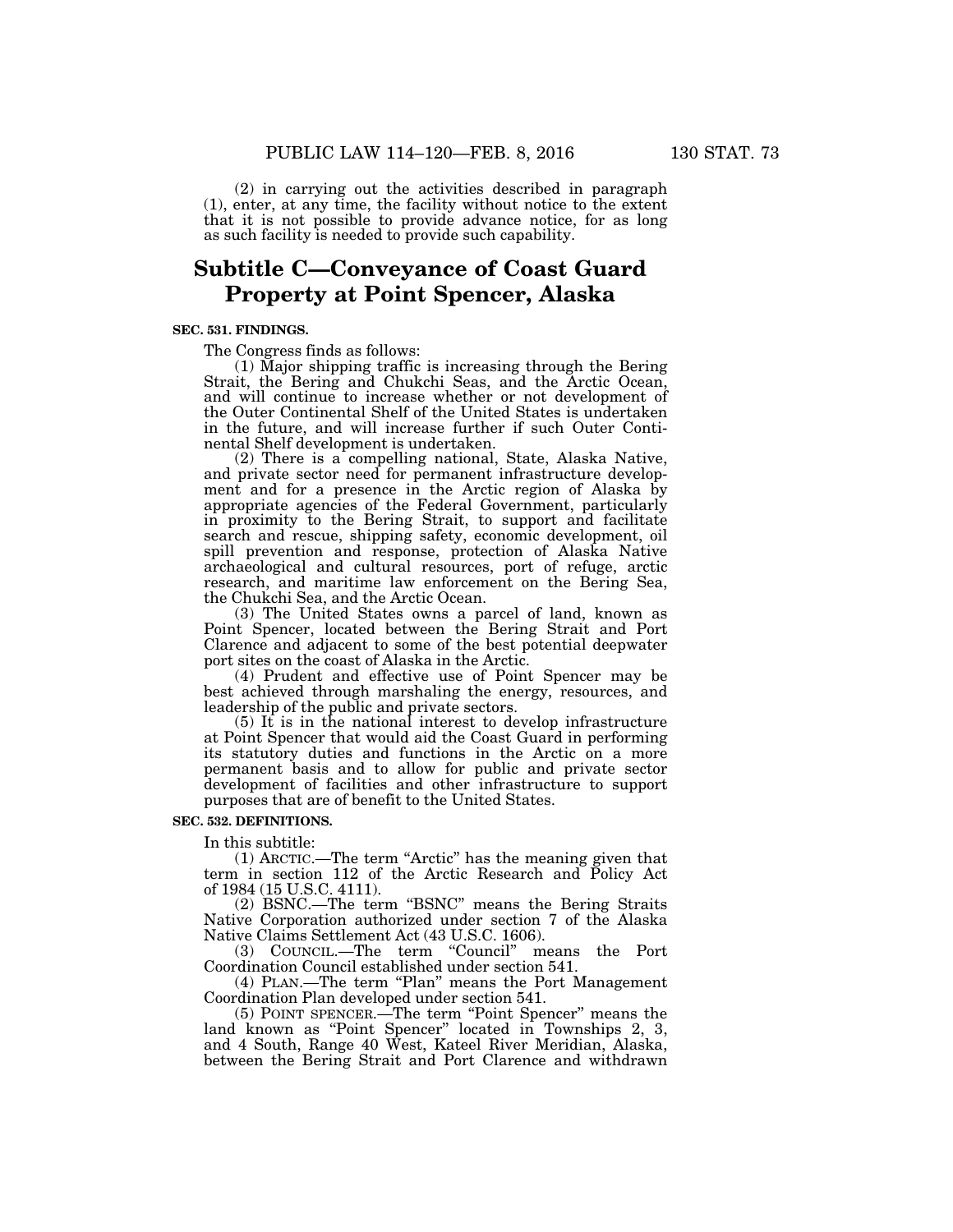(2) in carrying out the activities described in paragraph (1), enter, at any time, the facility without notice to the extent that it is not possible to provide advance notice, for as long as such facility is needed to provide such capability.

# **Subtitle C—Conveyance of Coast Guard Property at Point Spencer, Alaska**

## **SEC. 531. FINDINGS.**

The Congress finds as follows:

(1) Major shipping traffic is increasing through the Bering Strait, the Bering and Chukchi Seas, and the Arctic Ocean, and will continue to increase whether or not development of the Outer Continental Shelf of the United States is undertaken in the future, and will increase further if such Outer Continental Shelf development is undertaken.

(2) There is a compelling national, State, Alaska Native, and private sector need for permanent infrastructure development and for a presence in the Arctic region of Alaska by appropriate agencies of the Federal Government, particularly in proximity to the Bering Strait, to support and facilitate search and rescue, shipping safety, economic development, oil spill prevention and response, protection of Alaska Native archaeological and cultural resources, port of refuge, arctic research, and maritime law enforcement on the Bering Sea, the Chukchi Sea, and the Arctic Ocean.

(3) The United States owns a parcel of land, known as Point Spencer, located between the Bering Strait and Port Clarence and adjacent to some of the best potential deepwater port sites on the coast of Alaska in the Arctic.

(4) Prudent and effective use of Point Spencer may be best achieved through marshaling the energy, resources, and leadership of the public and private sectors.

 $(5)$  It is in the national interest to develop infrastructure at Point Spencer that would aid the Coast Guard in performing its statutory duties and functions in the Arctic on a more permanent basis and to allow for public and private sector development of facilities and other infrastructure to support purposes that are of benefit to the United States.

#### **SEC. 532. DEFINITIONS.**

In this subtitle:

(1) ARCTIC.—The term ''Arctic'' has the meaning given that term in section 112 of the Arctic Research and Policy Act of 1984 (15 U.S.C. 4111).

(2) BSNC.—The term ''BSNC'' means the Bering Straits Native Corporation authorized under section 7 of the Alaska Native Claims Settlement Act (43 U.S.C. 1606).

(3) COUNCIL.—The term ''Council'' means the Port Coordination Council established under section 541.

(4) PLAN.—The term "Plan" means the Port Management Coordination Plan developed under section 541.

(5) POINT SPENCER.—The term ''Point Spencer'' means the land known as ''Point Spencer'' located in Townships 2, 3, and 4 South, Range 40 West, Kateel River Meridian, Alaska, between the Bering Strait and Port Clarence and withdrawn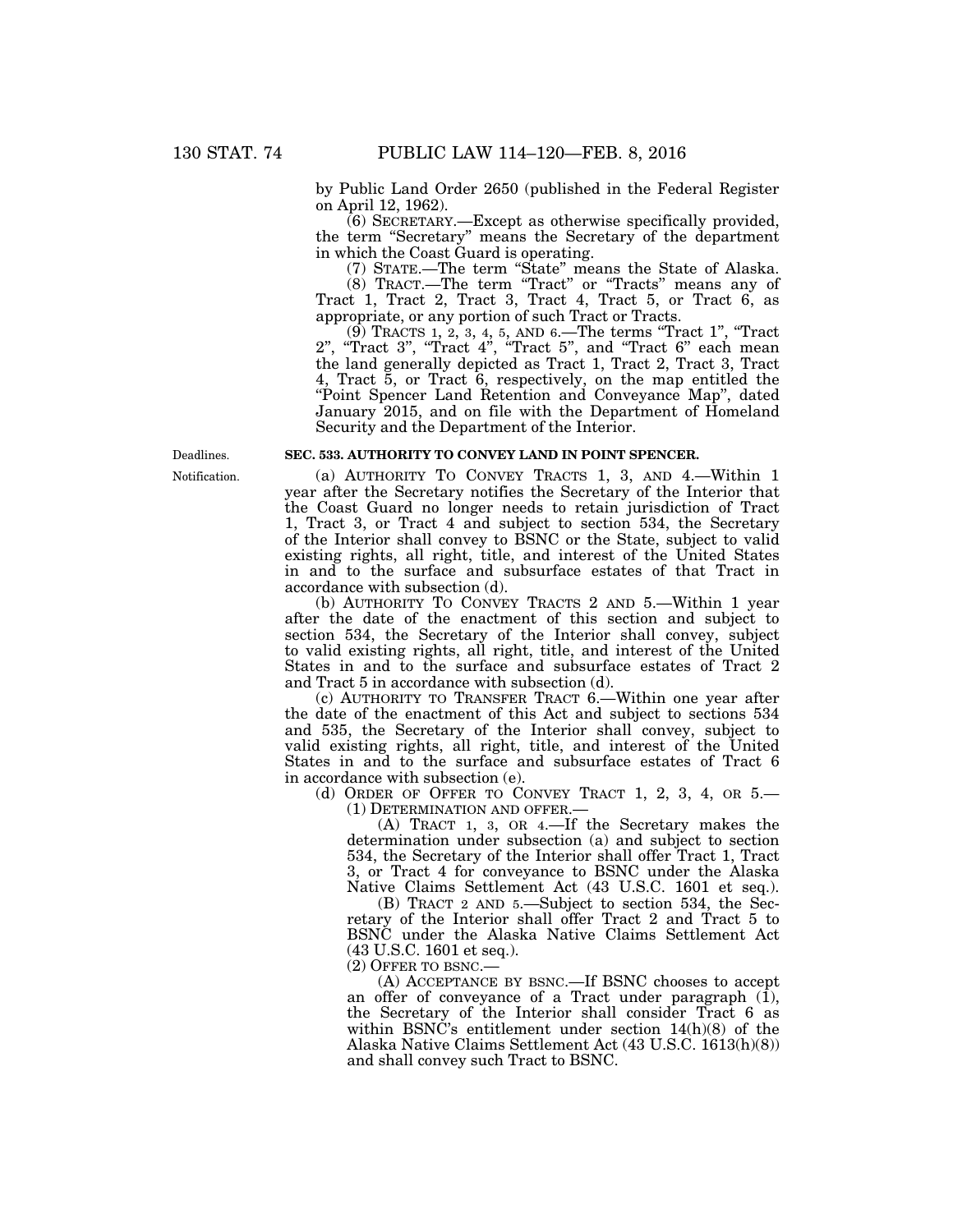by Public Land Order 2650 (published in the Federal Register on April 12, 1962).

(6) SECRETARY.—Except as otherwise specifically provided, the term ''Secretary'' means the Secretary of the department in which the Coast Guard is operating.

(7) STATE.—The term ''State'' means the State of Alaska.

(8) TRACT.—The term ''Tract'' or ''Tracts'' means any of Tract 1, Tract 2, Tract 3, Tract 4, Tract 5, or Tract 6, as appropriate, or any portion of such Tract or Tracts.

(9) TRACTS 1, 2, 3, 4, 5, AND 6.—The terms ''Tract 1'', ''Tract 2'', ''Tract 3'', ''Tract 4'', ''Tract 5'', and ''Tract 6'' each mean the land generally depicted as Tract 1, Tract 2, Tract 3, Tract 4, Tract 5, or Tract 6, respectively, on the map entitled the ''Point Spencer Land Retention and Conveyance Map'', dated January 2015, and on file with the Department of Homeland Security and the Department of the Interior.

## **SEC. 533. AUTHORITY TO CONVEY LAND IN POINT SPENCER.**

(a) AUTHORITY TO CONVEY TRACTS 1, 3, AND 4.—Within 1 year after the Secretary notifies the Secretary of the Interior that the Coast Guard no longer needs to retain jurisdiction of Tract 1, Tract 3, or Tract 4 and subject to section 534, the Secretary of the Interior shall convey to BSNC or the State, subject to valid existing rights, all right, title, and interest of the United States in and to the surface and subsurface estates of that Tract in accordance with subsection (d).

(b) AUTHORITY TO CONVEY TRACTS 2 AND 5.—Within 1 year after the date of the enactment of this section and subject to section 534, the Secretary of the Interior shall convey, subject to valid existing rights, all right, title, and interest of the United States in and to the surface and subsurface estates of Tract 2 and Tract 5 in accordance with subsection (d).

(c) AUTHORITY TO TRANSFER TRACT 6.—Within one year after the date of the enactment of this Act and subject to sections 534 and 535, the Secretary of the Interior shall convey, subject to valid existing rights, all right, title, and interest of the United States in and to the surface and subsurface estates of Tract 6 in accordance with subsection (e).

(d) ORDER OF OFFER TO CONVEY TRACT 1, 2, 3, 4, OR 5.— (1) DETERMINATION AND OFFER.—

(A) TRACT 1, 3, OR 4.—If the Secretary makes the determination under subsection (a) and subject to section 534, the Secretary of the Interior shall offer Tract 1, Tract 3, or Tract 4 for conveyance to BSNC under the Alaska Native Claims Settlement Act (43 U.S.C. 1601 et seq.).

(B) TRACT 2 AND 5.—Subject to section 534, the Secretary of the Interior shall offer Tract 2 and Tract 5 to BSNC under the Alaska Native Claims Settlement Act (43 U.S.C. 1601 et seq.).

(2) OFFER TO BSNC.—

(A) ACCEPTANCE BY BSNC.—If BSNC chooses to accept an offer of conveyance of a Tract under paragraph  $(1)$ , the Secretary of the Interior shall consider Tract 6 as within BSNC's entitlement under section 14(h)(8) of the Alaska Native Claims Settlement Act (43 U.S.C. 1613(h)(8)) and shall convey such Tract to BSNC.

Notification. Deadlines.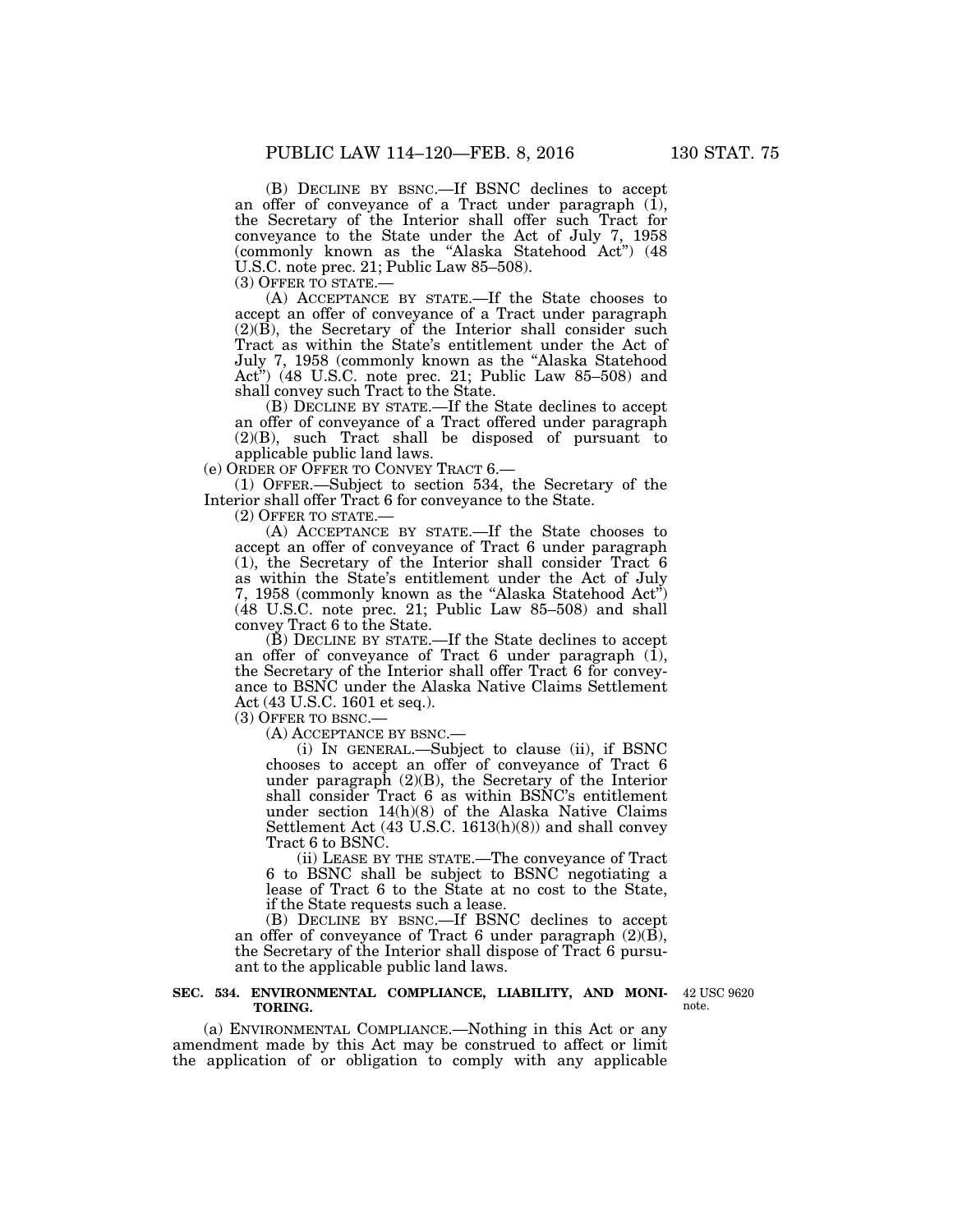(B) DECLINE BY BSNC.—If BSNC declines to accept an offer of conveyance of a Tract under paragraph (1), the Secretary of the Interior shall offer such Tract for conveyance to the State under the Act of July 7, 1958 (commonly known as the ''Alaska Statehood Act'') (48 U.S.C. note prec. 21; Public Law 85–508).<br>(3) OFFER TO STATE.—

(A) ACCEPTANCE BY STATE.—If the State chooses to accept an offer of conveyance of a Tract under paragraph (2)(B), the Secretary of the Interior shall consider such Tract as within the State's entitlement under the Act of July 7, 1958 (commonly known as the ''Alaska Statehood Act<sup>\*</sup>)  $(48 \text{ U.S.C. note }$  prec. 21; Public Law 85–508) and shall convey such Tract to the State.

(B) DECLINE BY STATE.—If the State declines to accept an offer of conveyance of a Tract offered under paragraph (2)(B), such Tract shall be disposed of pursuant to applicable public land laws.

(e) ORDER OF OFFER TO CONVEY TRACT 6.—

(1) OFFER.—Subject to section 534, the Secretary of the Interior shall offer Tract 6 for conveyance to the State.

(2) OFFER TO STATE.—

(A) ACCEPTANCE BY STATE.—If the State chooses to accept an offer of conveyance of Tract 6 under paragraph (1), the Secretary of the Interior shall consider Tract 6 as within the State's entitlement under the Act of July 7, 1958 (commonly known as the "Alaska Statehood Act") (48 U.S.C. note prec. 21; Public Law 85–508) and shall convey Tract 6 to the State.

(B) DECLINE BY STATE.—If the State declines to accept an offer of conveyance of Tract 6 under paragraph (1), the Secretary of the Interior shall offer Tract 6 for conveyance to BSNC under the Alaska Native Claims Settlement Act (43 U.S.C. 1601 et seq.).<br>(3) OFFER TO BSNC.—

 $(A)$  ACCEPTANCE BY BSNC.—

(i) IN GENERAL.—Subject to clause (ii), if BSNC chooses to accept an offer of conveyance of Tract 6 under paragraph  $(2)(B)$ , the Secretary of the Interior shall consider Tract 6 as within BSNC's entitlement under section 14(h)(8) of the Alaska Native Claims Settlement Act (43 U.S.C. 1613(h)(8)) and shall convey Tract 6 to BSNC.

(ii) LEASE BY THE STATE.—The conveyance of Tract 6 to BSNC shall be subject to BSNC negotiating a lease of Tract 6 to the State at no cost to the State, if the State requests such a lease.

(B) DECLINE BY BSNC.—If BSNC declines to accept an offer of conveyance of Tract 6 under paragraph  $(2)(\overline{B})$ , the Secretary of the Interior shall dispose of Tract 6 pursuant to the applicable public land laws.

## **SEC. 534. ENVIRONMENTAL COMPLIANCE, LIABILITY, AND MONI-TORING.**

42 USC 9620 note.

(a) ENVIRONMENTAL COMPLIANCE.—Nothing in this Act or any amendment made by this Act may be construed to affect or limit the application of or obligation to comply with any applicable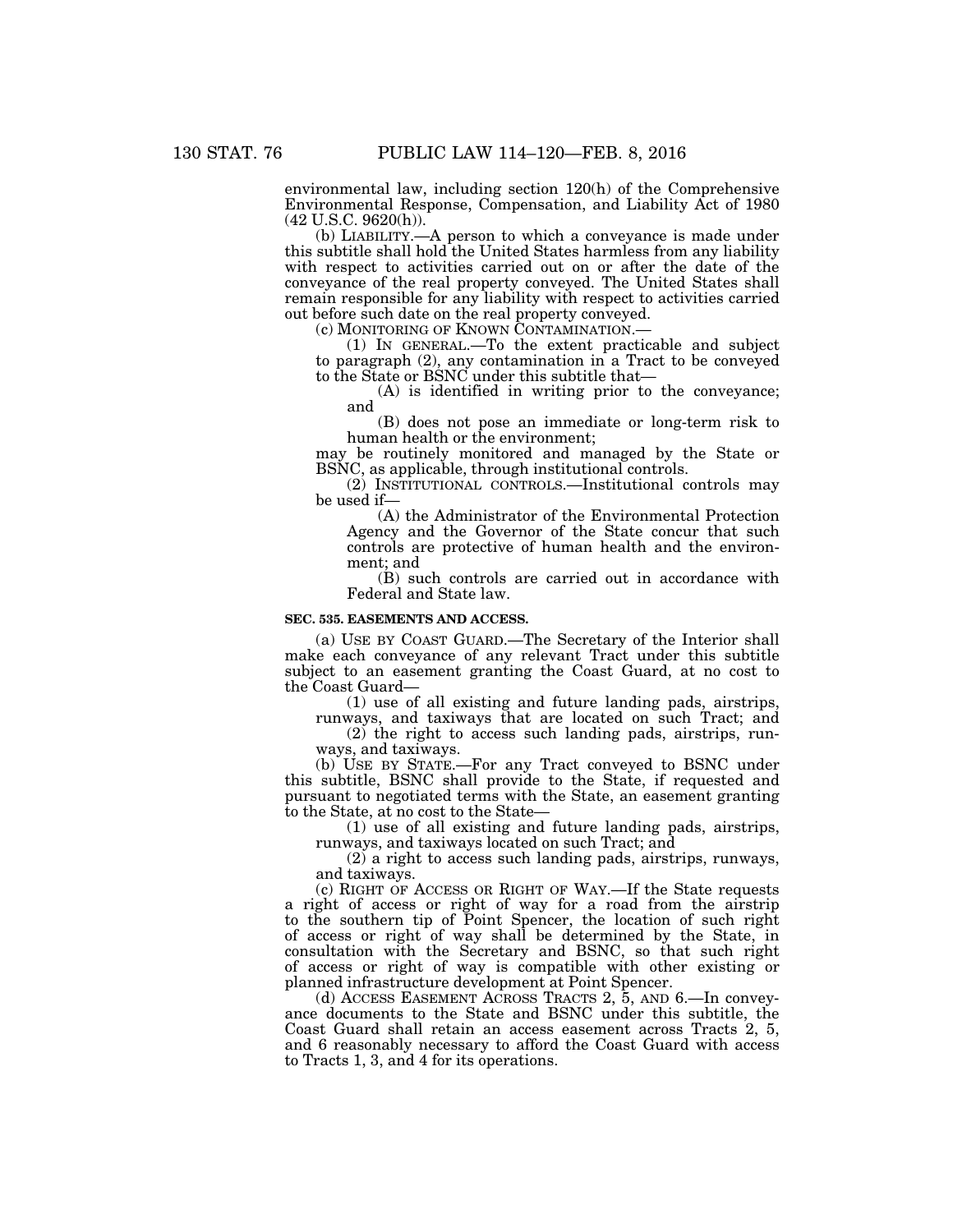environmental law, including section 120(h) of the Comprehensive Environmental Response, Compensation, and Liability Act of 1980 (42 U.S.C. 9620(h)).

(b) LIABILITY.—A person to which a conveyance is made under this subtitle shall hold the United States harmless from any liability with respect to activities carried out on or after the date of the conveyance of the real property conveyed. The United States shall remain responsible for any liability with respect to activities carried out before such date on the real property conveyed.<br>(c) MONITORING OF KNOWN CONTAMINATION.—

(1) IN GENERAL.—To the extent practicable and subject to paragraph (2), any contamination in a Tract to be conveyed to the State or BSNC under this subtitle that—

(A) is identified in writing prior to the conveyance; and

(B) does not pose an immediate or long-term risk to human health or the environment;

may be routinely monitored and managed by the State or BSNC, as applicable, through institutional controls.

(2) INSTITUTIONAL CONTROLS.—Institutional controls may be used if—

(A) the Administrator of the Environmental Protection Agency and the Governor of the State concur that such controls are protective of human health and the environment; and

(B) such controls are carried out in accordance with Federal and State law.

#### **SEC. 535. EASEMENTS AND ACCESS.**

(a) USE BY COAST GUARD.—The Secretary of the Interior shall make each conveyance of any relevant Tract under this subtitle subject to an easement granting the Coast Guard, at no cost to the Coast Guard—

(1) use of all existing and future landing pads, airstrips,

runways, and taxiways that are located on such Tract; and (2) the right to access such landing pads, airstrips, run-

ways, and taxiways.

(b) USE BY STATE.—For any Tract conveyed to BSNC under this subtitle, BSNC shall provide to the State, if requested and pursuant to negotiated terms with the State, an easement granting to the State, at no cost to the State—

(1) use of all existing and future landing pads, airstrips, runways, and taxiways located on such Tract; and

(2) a right to access such landing pads, airstrips, runways, and taxiways.

(c) RIGHT OF ACCESS OR RIGHT OF WAY.—If the State requests a right of access or right of way for a road from the airstrip to the southern tip of Point Spencer, the location of such right of access or right of way shall be determined by the State, in consultation with the Secretary and BSNC, so that such right of access or right of way is compatible with other existing or planned infrastructure development at Point Spencer.

(d) ACCESS EASEMENT ACROSS TRACTS 2, 5, AND 6.—In conveyance documents to the State and BSNC under this subtitle, the Coast Guard shall retain an access easement across Tracts 2, 5, and 6 reasonably necessary to afford the Coast Guard with access to Tracts 1, 3, and 4 for its operations.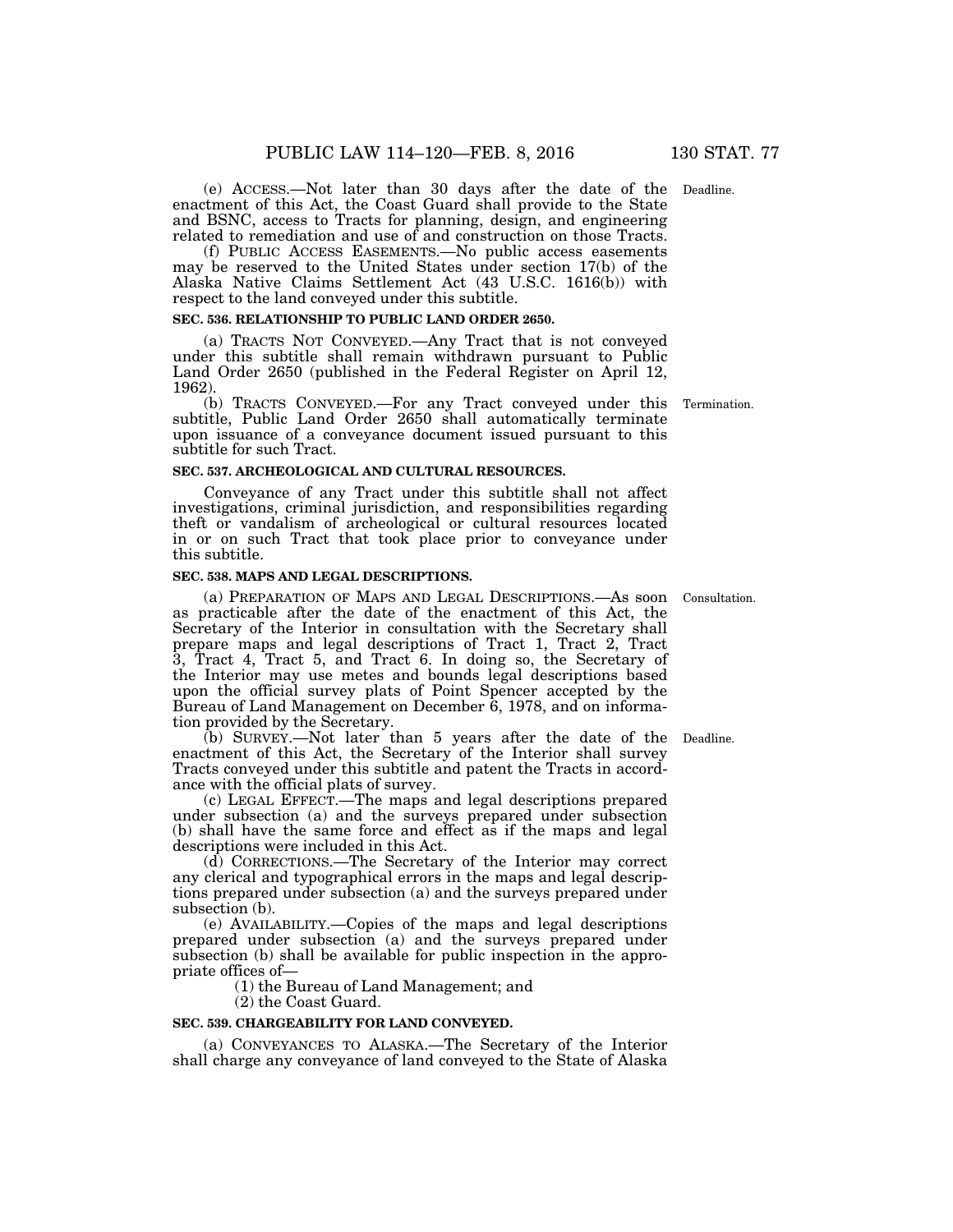(e) ACCESS.—Not later than 30 days after the date of the Deadline. enactment of this Act, the Coast Guard shall provide to the State and BSNC, access to Tracts for planning, design, and engineering related to remediation and use of and construction on those Tracts.

(f) PUBLIC ACCESS EASEMENTS.—No public access easements may be reserved to the United States under section 17(b) of the Alaska Native Claims Settlement Act (43 U.S.C. 1616(b)) with respect to the land conveyed under this subtitle.

#### **SEC. 536. RELATIONSHIP TO PUBLIC LAND ORDER 2650.**

(a) TRACTS NOT CONVEYED.—Any Tract that is not conveyed under this subtitle shall remain withdrawn pursuant to Public Land Order 2650 (published in the Federal Register on April 12, 1962).

(b) TRACTS CONVEYED.—For any Tract conveyed under this subtitle, Public Land Order 2650 shall automatically terminate upon issuance of a conveyance document issued pursuant to this subtitle for such Tract.

## **SEC. 537. ARCHEOLOGICAL AND CULTURAL RESOURCES.**

Conveyance of any Tract under this subtitle shall not affect investigations, criminal jurisdiction, and responsibilities regarding theft or vandalism of archeological or cultural resources located in or on such Tract that took place prior to conveyance under this subtitle.

# **SEC. 538. MAPS AND LEGAL DESCRIPTIONS.**

(a) PREPARATION OF MAPS AND LEGAL DESCRIPTIONS.—As soon Consultation. as practicable after the date of the enactment of this Act, the Secretary of the Interior in consultation with the Secretary shall prepare maps and legal descriptions of Tract 1, Tract 2, Tract 3, Tract 4, Tract 5, and Tract 6. In doing so, the Secretary of the Interior may use metes and bounds legal descriptions based upon the official survey plats of Point Spencer accepted by the Bureau of Land Management on December 6, 1978, and on information provided by the Secretary.

(b) SURVEY.—Not later than 5 years after the date of the enactment of this Act, the Secretary of the Interior shall survey Tracts conveyed under this subtitle and patent the Tracts in accordance with the official plats of survey.

(c) LEGAL EFFECT.—The maps and legal descriptions prepared under subsection (a) and the surveys prepared under subsection (b) shall have the same force and effect as if the maps and legal descriptions were included in this Act.

(d) CORRECTIONS.—The Secretary of the Interior may correct any clerical and typographical errors in the maps and legal descriptions prepared under subsection (a) and the surveys prepared under subsection (b).

(e) AVAILABILITY.—Copies of the maps and legal descriptions prepared under subsection (a) and the surveys prepared under subsection (b) shall be available for public inspection in the appropriate offices of—

(1) the Bureau of Land Management; and

(2) the Coast Guard.

## **SEC. 539. CHARGEABILITY FOR LAND CONVEYED.**

(a) CONVEYANCES TO ALASKA.—The Secretary of the Interior shall charge any conveyance of land conveyed to the State of Alaska

Deadline.

Termination.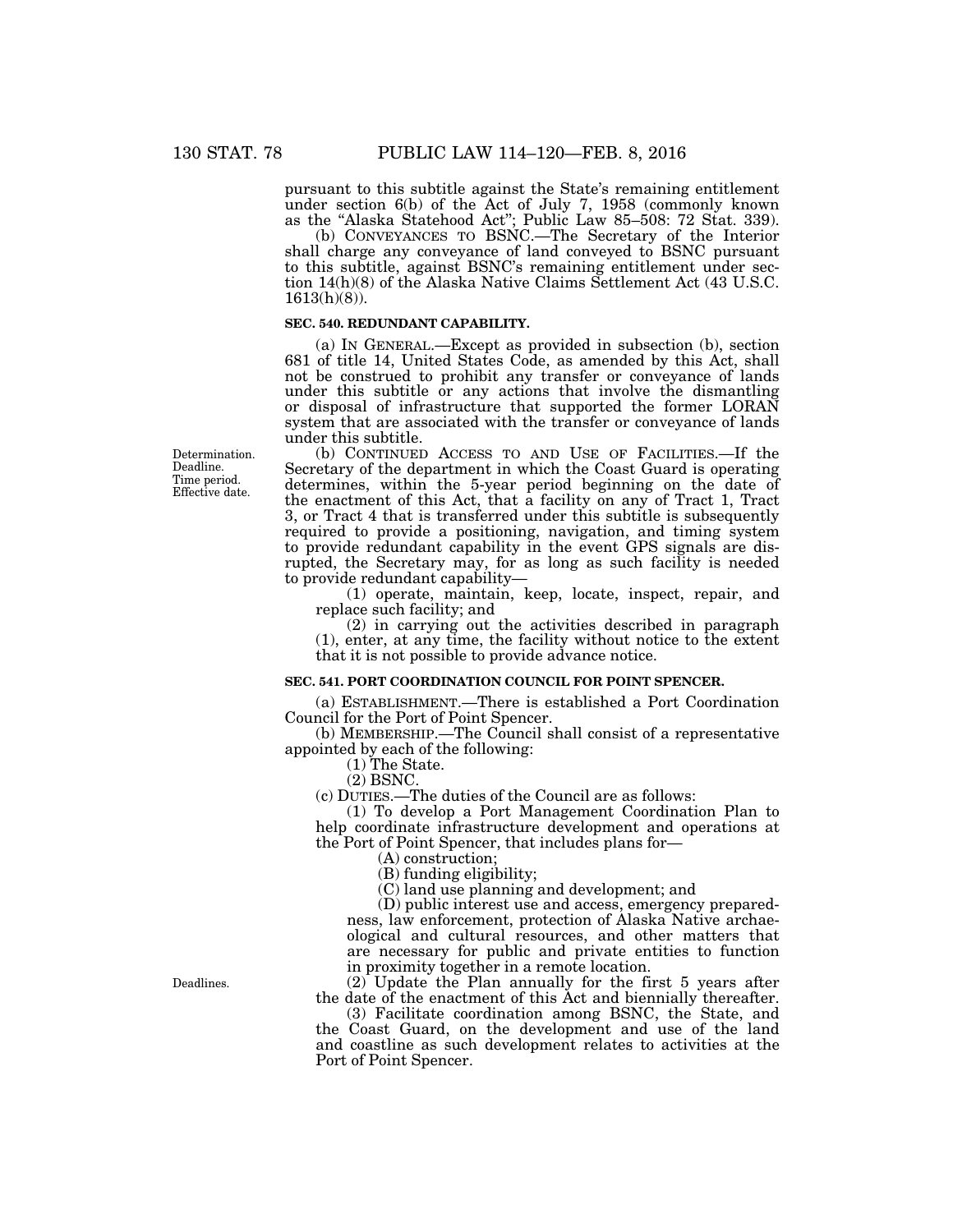pursuant to this subtitle against the State's remaining entitlement under section 6(b) of the Act of July 7, 1958 (commonly known as the ''Alaska Statehood Act''; Public Law 85–508: 72 Stat. 339).

(b) CONVEYANCES TO BSNC.—The Secretary of the Interior shall charge any conveyance of land conveyed to BSNC pursuant to this subtitle, against BSNC's remaining entitlement under section 14(h)(8) of the Alaska Native Claims Settlement Act (43 U.S.C. 1613(h)(8)).

## **SEC. 540. REDUNDANT CAPABILITY.**

(a) IN GENERAL.—Except as provided in subsection (b), section 681 of title 14, United States Code, as amended by this Act, shall not be construed to prohibit any transfer or conveyance of lands under this subtitle or any actions that involve the dismantling or disposal of infrastructure that supported the former LORAN system that are associated with the transfer or conveyance of lands under this subtitle.

(b) CONTINUED ACCESS TO AND USE OF FACILITIES.—If the Secretary of the department in which the Coast Guard is operating determines, within the 5-year period beginning on the date of the enactment of this Act, that a facility on any of Tract 1, Tract 3, or Tract 4 that is transferred under this subtitle is subsequently required to provide a positioning, navigation, and timing system to provide redundant capability in the event GPS signals are disrupted, the Secretary may, for as long as such facility is needed to provide redundant capability—

(1) operate, maintain, keep, locate, inspect, repair, and replace such facility; and

(2) in carrying out the activities described in paragraph (1), enter, at any time, the facility without notice to the extent that it is not possible to provide advance notice.

#### **SEC. 541. PORT COORDINATION COUNCIL FOR POINT SPENCER.**

(a) ESTABLISHMENT.—There is established a Port Coordination Council for the Port of Point Spencer.

(b) MEMBERSHIP.—The Council shall consist of a representative appointed by each of the following:

(1) The State.

(2) BSNC.

(c) DUTIES.—The duties of the Council are as follows:

(1) To develop a Port Management Coordination Plan to help coordinate infrastructure development and operations at the Port of Point Spencer, that includes plans for—

(A) construction;

(B) funding eligibility;

(C) land use planning and development; and

(D) public interest use and access, emergency preparedness, law enforcement, protection of Alaska Native archaeological and cultural resources, and other matters that are necessary for public and private entities to function in proximity together in a remote location.

(2) Update the Plan annually for the first 5 years after the date of the enactment of this Act and biennially thereafter.

(3) Facilitate coordination among BSNC, the State, and the Coast Guard, on the development and use of the land and coastline as such development relates to activities at the Port of Point Spencer.

Determination. Deadline. Time period. Effective date.

Deadlines.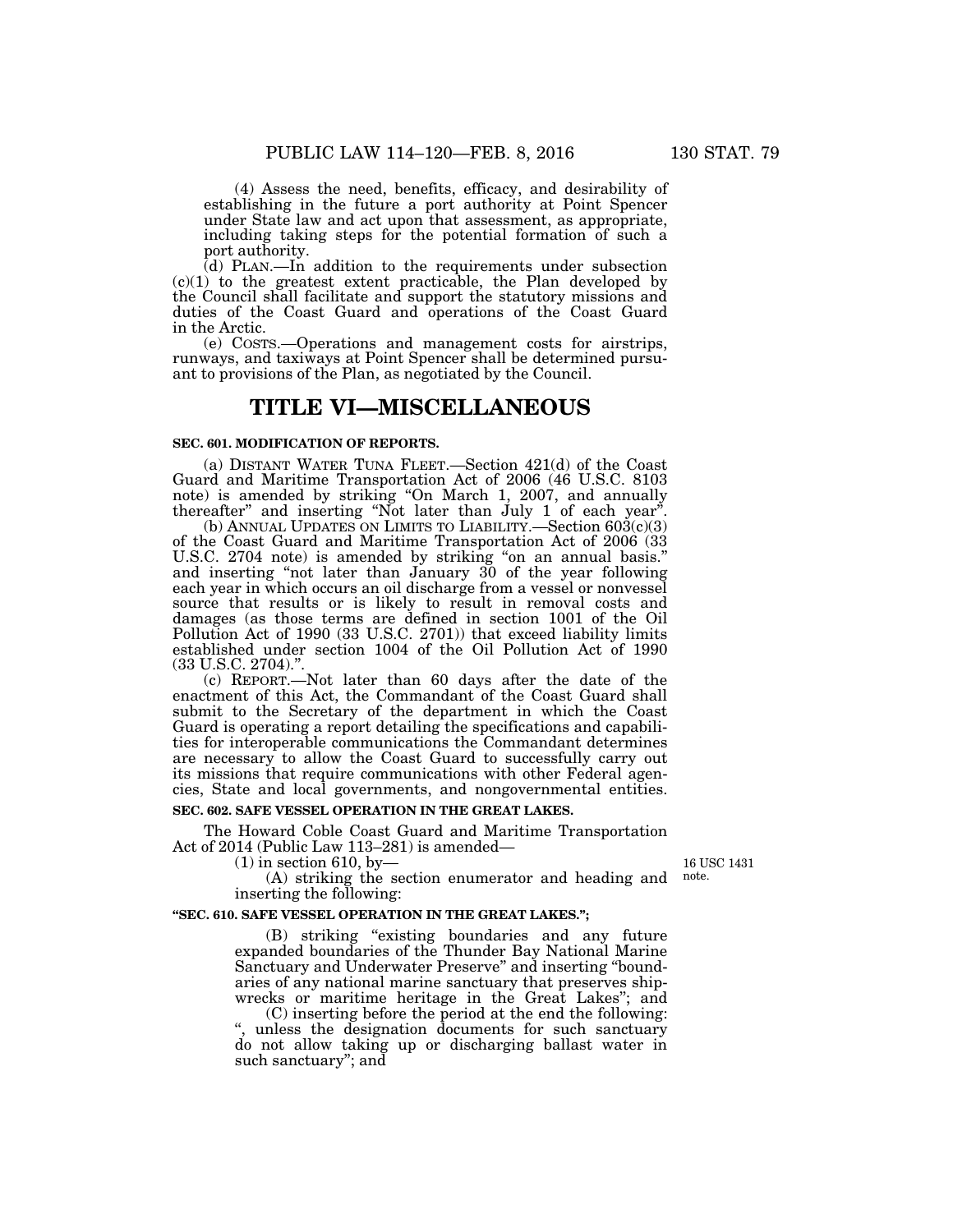(4) Assess the need, benefits, efficacy, and desirability of establishing in the future a port authority at Point Spencer under State law and act upon that assessment, as appropriate, including taking steps for the potential formation of such a port authority.

(d) PLAN.—In addition to the requirements under subsection  $(c)(1)$  to the greatest extent practicable, the Plan developed by the Council shall facilitate and support the statutory missions and duties of the Coast Guard and operations of the Coast Guard in the Arctic.

(e) COSTS.—Operations and management costs for airstrips, runways, and taxiways at Point Spencer shall be determined pursuant to provisions of the Plan, as negotiated by the Council.

# **TITLE VI—MISCELLANEOUS**

## **SEC. 601. MODIFICATION OF REPORTS.**

(a) DISTANT WATER TUNA FLEET.—Section 421(d) of the Coast Guard and Maritime Transportation Act of 2006 (46 U.S.C. 8103 note) is amended by striking "On March 1, 2007, and annually thereafter" and inserting "Not later than  $July 1$  of each year".

(b) ANNUAL UPDATES ON LIMITS TO LIABILITY.—Section  $603(c)(3)$ of the Coast Guard and Maritime Transportation Act of 2006 (33 U.S.C. 2704 note) is amended by striking "on an annual basis." and inserting ''not later than January 30 of the year following each year in which occurs an oil discharge from a vessel or nonvessel source that results or is likely to result in removal costs and damages (as those terms are defined in section 1001 of the Oil Pollution Act of 1990 (33 U.S.C. 2701)) that exceed liability limits established under section 1004 of the Oil Pollution Act of 1990 (33 U.S.C. 2704)."

(c) REPORT.—Not later than 60 days after the date of the enactment of this Act, the Commandant of the Coast Guard shall submit to the Secretary of the department in which the Coast Guard is operating a report detailing the specifications and capabilities for interoperable communications the Commandant determines are necessary to allow the Coast Guard to successfully carry out its missions that require communications with other Federal agencies, State and local governments, and nongovernmental entities.

#### **SEC. 602. SAFE VESSEL OPERATION IN THE GREAT LAKES.**

The Howard Coble Coast Guard and Maritime Transportation Act of 2014 (Public Law 113–281) is amended—

 $(1)$  in section 610, by-

16 USC 1431 note.

(A) striking the section enumerator and heading and inserting the following:

#### **''SEC. 610. SAFE VESSEL OPERATION IN THE GREAT LAKES.'';**

(B) striking "existing boundaries and any future expanded boundaries of the Thunder Bay National Marine Sanctuary and Underwater Preserve'' and inserting ''boundaries of any national marine sanctuary that preserves shipwrecks or maritime heritage in the Great Lakes''; and

(C) inserting before the period at the end the following: '', unless the designation documents for such sanctuary do not allow taking up or discharging ballast water in such sanctuary''; and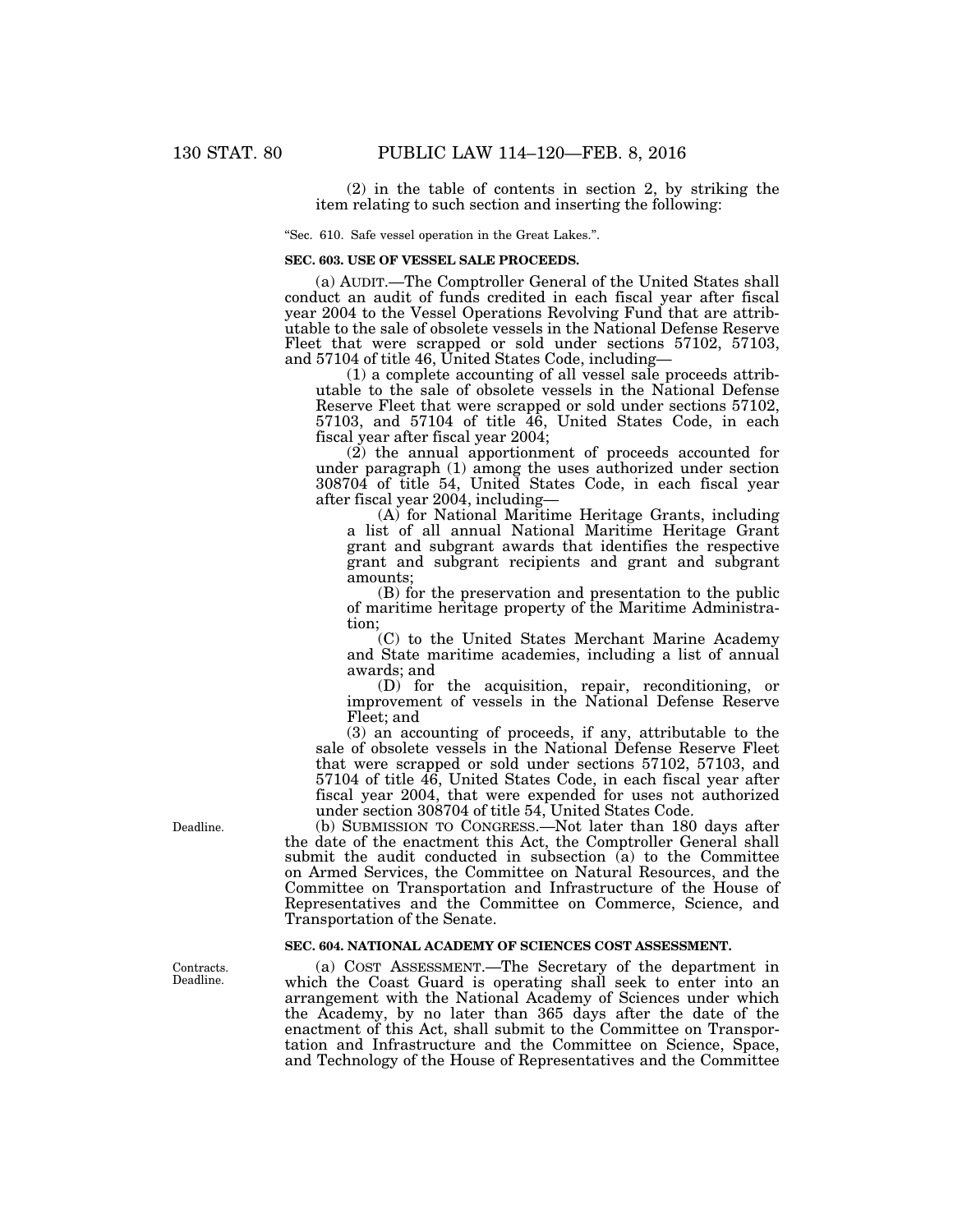(2) in the table of contents in section 2, by striking the item relating to such section and inserting the following:

''Sec. 610. Safe vessel operation in the Great Lakes.''.

## **SEC. 603. USE OF VESSEL SALE PROCEEDS.**

(a) AUDIT.—The Comptroller General of the United States shall conduct an audit of funds credited in each fiscal year after fiscal year 2004 to the Vessel Operations Revolving Fund that are attributable to the sale of obsolete vessels in the National Defense Reserve Fleet that were scrapped or sold under sections 57102, 57103, and 57104 of title 46, United States Code, including—

(1) a complete accounting of all vessel sale proceeds attributable to the sale of obsolete vessels in the National Defense Reserve Fleet that were scrapped or sold under sections 57102, 57103, and 57104 of title 46, United States Code, in each fiscal year after fiscal year 2004;

(2) the annual apportionment of proceeds accounted for under paragraph (1) among the uses authorized under section 308704 of title 54, United States Code, in each fiscal year after fiscal year 2004, including—

(A) for National Maritime Heritage Grants, including a list of all annual National Maritime Heritage Grant grant and subgrant awards that identifies the respective grant and subgrant recipients and grant and subgrant amounts;

(B) for the preservation and presentation to the public of maritime heritage property of the Maritime Administration;

(C) to the United States Merchant Marine Academy and State maritime academies, including a list of annual awards; and

(D) for the acquisition, repair, reconditioning, or improvement of vessels in the National Defense Reserve Fleet; and

(3) an accounting of proceeds, if any, attributable to the sale of obsolete vessels in the National Defense Reserve Fleet that were scrapped or sold under sections 57102, 57103, and 57104 of title 46, United States Code, in each fiscal year after fiscal year 2004, that were expended for uses not authorized under section 308704 of title 54, United States Code.

(b) SUBMISSION TO CONGRESS.—Not later than 180 days after the date of the enactment this Act, the Comptroller General shall submit the audit conducted in subsection (a) to the Committee on Armed Services, the Committee on Natural Resources, and the Committee on Transportation and Infrastructure of the House of Representatives and the Committee on Commerce, Science, and Transportation of the Senate.

## **SEC. 604. NATIONAL ACADEMY OF SCIENCES COST ASSESSMENT.**

(a) COST ASSESSMENT.—The Secretary of the department in which the Coast Guard is operating shall seek to enter into an arrangement with the National Academy of Sciences under which the Academy, by no later than 365 days after the date of the enactment of this Act, shall submit to the Committee on Transportation and Infrastructure and the Committee on Science, Space, and Technology of the House of Representatives and the Committee

Deadline.

Contracts. Deadline.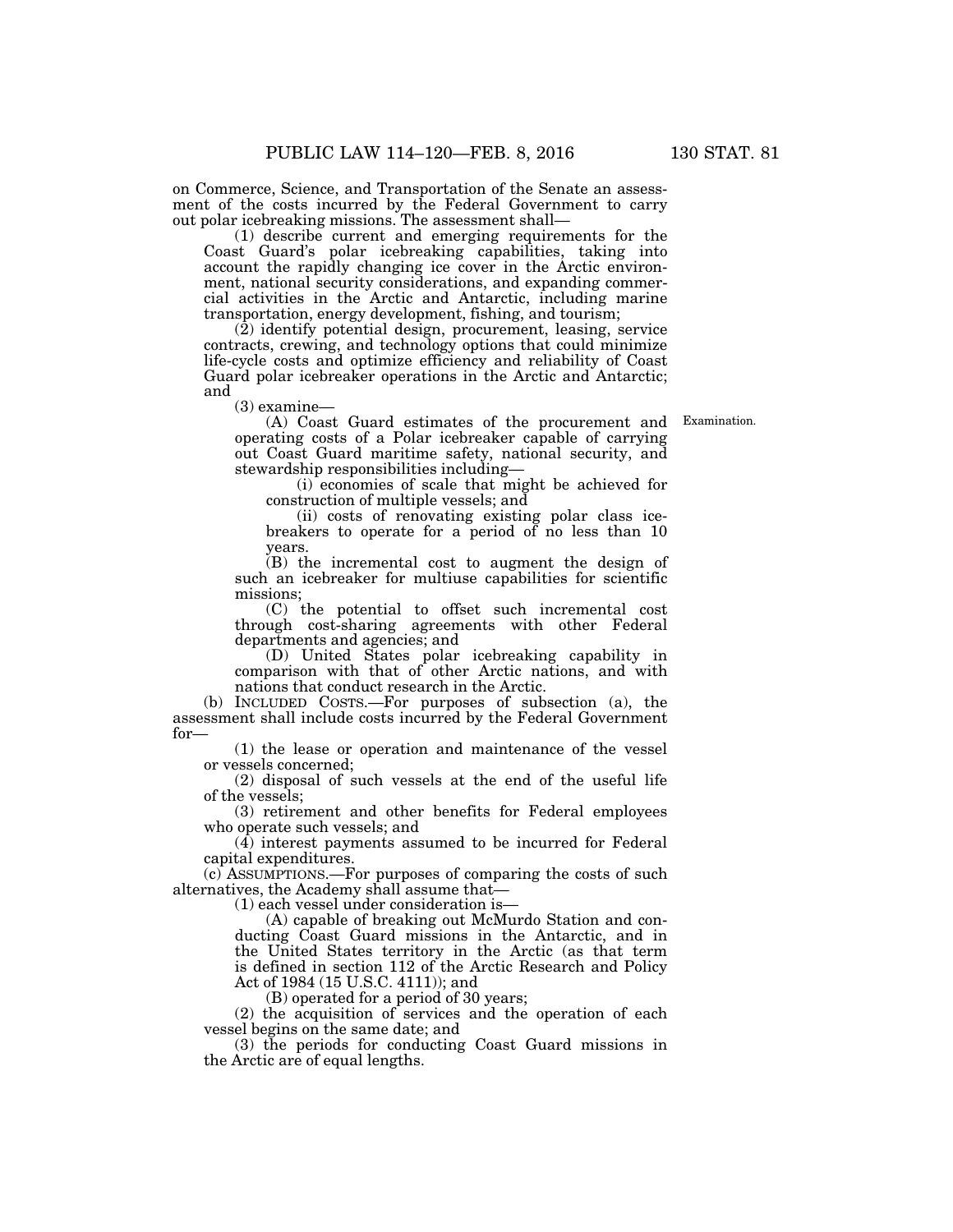on Commerce, Science, and Transportation of the Senate an assessment of the costs incurred by the Federal Government to carry out polar icebreaking missions. The assessment shall—

(1) describe current and emerging requirements for the Coast Guard's polar icebreaking capabilities, taking into account the rapidly changing ice cover in the Arctic environment, national security considerations, and expanding commercial activities in the Arctic and Antarctic, including marine transportation, energy development, fishing, and tourism;

 $(2)$  identify potential design, procurement, leasing, service contracts, crewing, and technology options that could minimize life-cycle costs and optimize efficiency and reliability of Coast Guard polar icebreaker operations in the Arctic and Antarctic; and

(3) examine—

(A) Coast Guard estimates of the procurement and operating costs of a Polar icebreaker capable of carrying out Coast Guard maritime safety, national security, and stewardship responsibilities including—

(i) economies of scale that might be achieved for construction of multiple vessels; and

(ii) costs of renovating existing polar class icebreakers to operate for a period of no less than 10 years.

(B) the incremental cost to augment the design of such an icebreaker for multiuse capabilities for scientific missions;

(C) the potential to offset such incremental cost through cost-sharing agreements with other Federal departments and agencies; and

(D) United States polar icebreaking capability in comparison with that of other Arctic nations, and with nations that conduct research in the Arctic.

(b) INCLUDED COSTS.—For purposes of subsection (a), the assessment shall include costs incurred by the Federal Government for—

(1) the lease or operation and maintenance of the vessel or vessels concerned;

(2) disposal of such vessels at the end of the useful life of the vessels;

(3) retirement and other benefits for Federal employees who operate such vessels; and

(4) interest payments assumed to be incurred for Federal capital expenditures.

(c) ASSUMPTIONS.—For purposes of comparing the costs of such alternatives, the Academy shall assume that—

(1) each vessel under consideration is—

(A) capable of breaking out McMurdo Station and conducting Coast Guard missions in the Antarctic, and in the United States territory in the Arctic (as that term is defined in section 112 of the Arctic Research and Policy Act of 1984 (15 U.S.C. 4111)); and

(B) operated for a period of 30 years;

(2) the acquisition of services and the operation of each vessel begins on the same date; and

(3) the periods for conducting Coast Guard missions in the Arctic are of equal lengths.

Examination.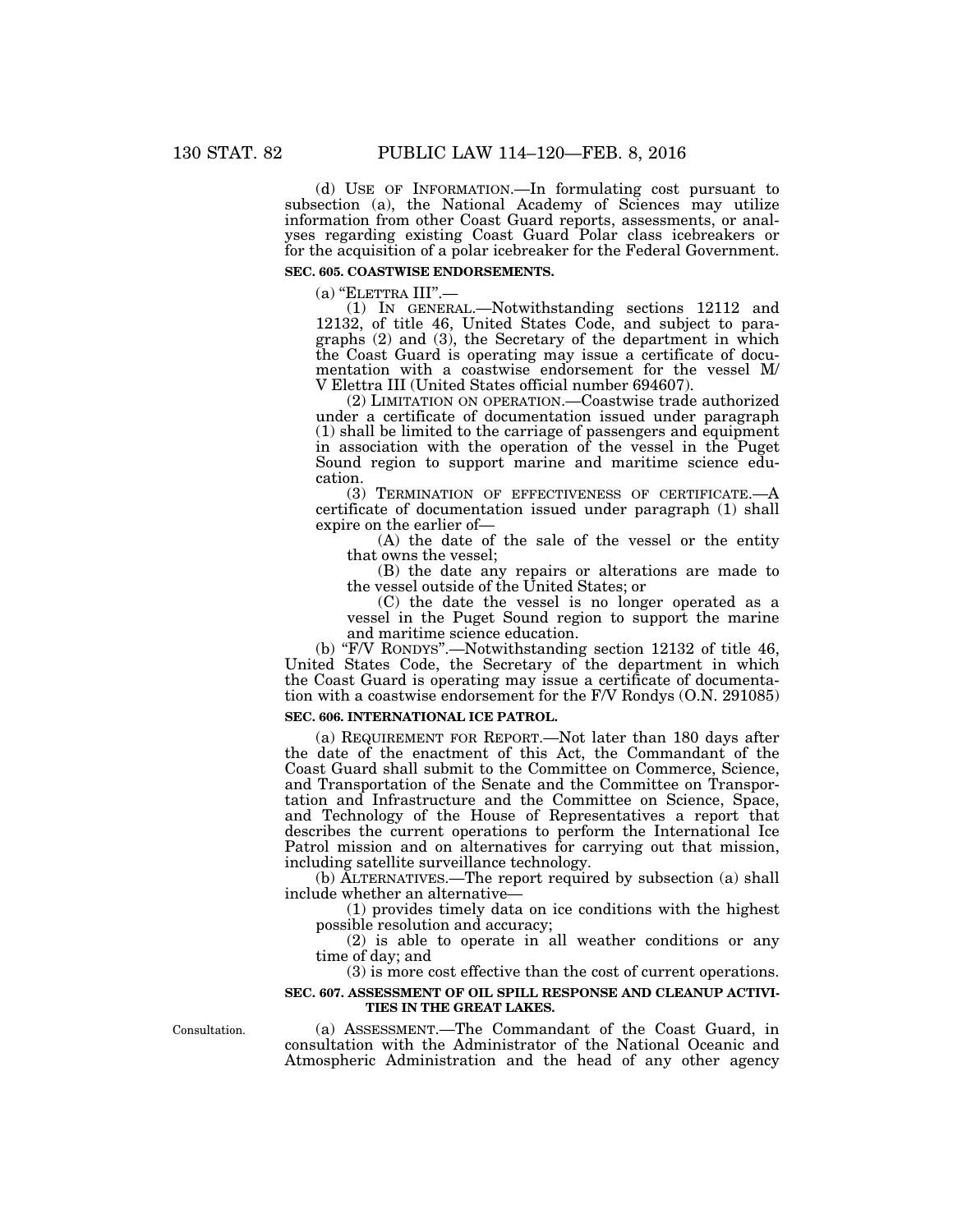(d) USE OF INFORMATION.—In formulating cost pursuant to subsection (a), the National Academy of Sciences may utilize information from other Coast Guard reports, assessments, or analyses regarding existing Coast Guard Polar class icebreakers or for the acquisition of a polar icebreaker for the Federal Government.

# **SEC. 605. COASTWISE ENDORSEMENTS.**

 $(a)$  "ELETTRA III".—

(1) IN GENERAL.—Notwithstanding sections 12112 and 12132, of title 46, United States Code, and subject to paragraphs (2) and (3), the Secretary of the department in which the Coast Guard is operating may issue a certificate of documentation with a coastwise endorsement for the vessel M/ V Elettra III (United States official number 694607).

(2) LIMITATION ON OPERATION.—Coastwise trade authorized under a certificate of documentation issued under paragraph (1) shall be limited to the carriage of passengers and equipment in association with the operation of the vessel in the Puget Sound region to support marine and maritime science education.

(3) TERMINATION OF EFFECTIVENESS OF CERTIFICATE.—A certificate of documentation issued under paragraph (1) shall expire on the earlier of—

(A) the date of the sale of the vessel or the entity that owns the vessel;

(B) the date any repairs or alterations are made to the vessel outside of the United States; or

(C) the date the vessel is no longer operated as a vessel in the Puget Sound region to support the marine and maritime science education.

(b) ''F/V RONDYS''.—Notwithstanding section 12132 of title 46, United States Code, the Secretary of the department in which the Coast Guard is operating may issue a certificate of documentation with a coastwise endorsement for the F/V Rondys (O.N. 291085)

# **SEC. 606. INTERNATIONAL ICE PATROL.**

(a) REQUIREMENT FOR REPORT.—Not later than 180 days after the date of the enactment of this Act, the Commandant of the Coast Guard shall submit to the Committee on Commerce, Science, and Transportation of the Senate and the Committee on Transportation and Infrastructure and the Committee on Science, Space, and Technology of the House of Representatives a report that describes the current operations to perform the International Ice Patrol mission and on alternatives for carrying out that mission, including satellite surveillance technology.

(b) ALTERNATIVES.—The report required by subsection (a) shall include whether an alternative—

(1) provides timely data on ice conditions with the highest possible resolution and accuracy;

(2) is able to operate in all weather conditions or any time of day; and

(3) is more cost effective than the cost of current operations.

# **SEC. 607. ASSESSMENT OF OIL SPILL RESPONSE AND CLEANUP ACTIVI-TIES IN THE GREAT LAKES.**

Consultation.

(a) ASSESSMENT.—The Commandant of the Coast Guard, in consultation with the Administrator of the National Oceanic and Atmospheric Administration and the head of any other agency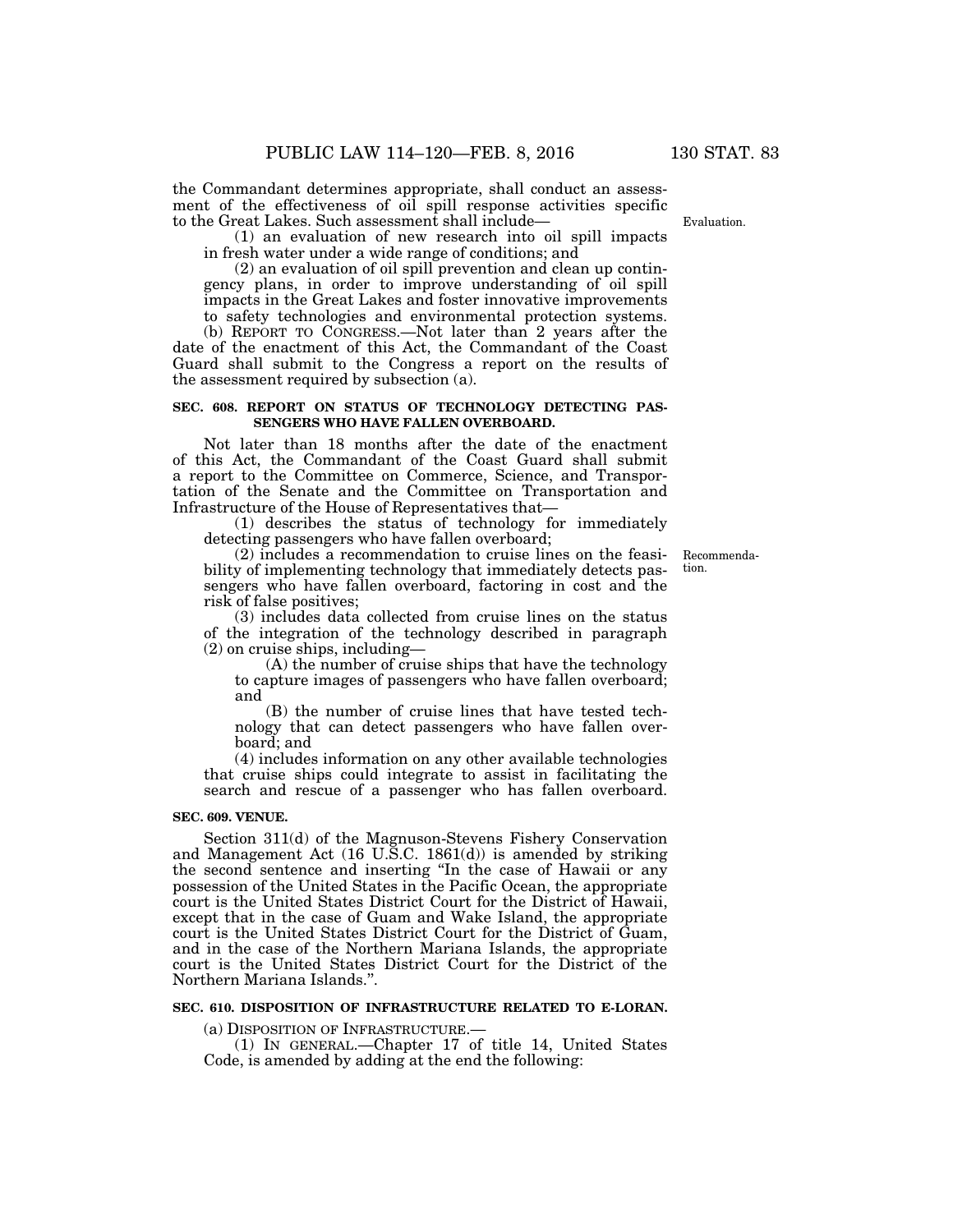the Commandant determines appropriate, shall conduct an assessment of the effectiveness of oil spill response activities specific to the Great Lakes. Such assessment shall include—

(1) an evaluation of new research into oil spill impacts in fresh water under a wide range of conditions; and

(2) an evaluation of oil spill prevention and clean up contingency plans, in order to improve understanding of oil spill impacts in the Great Lakes and foster innovative improvements to safety technologies and environmental protection systems.

(b) REPORT TO CONGRESS.—Not later than 2 years after the date of the enactment of this Act, the Commandant of the Coast Guard shall submit to the Congress a report on the results of the assessment required by subsection (a).

## **SEC. 608. REPORT ON STATUS OF TECHNOLOGY DETECTING PAS-SENGERS WHO HAVE FALLEN OVERBOARD.**

Not later than 18 months after the date of the enactment of this Act, the Commandant of the Coast Guard shall submit a report to the Committee on Commerce, Science, and Transportation of the Senate and the Committee on Transportation and Infrastructure of the House of Representatives that—

(1) describes the status of technology for immediately detecting passengers who have fallen overboard;

(2) includes a recommendation to cruise lines on the feasibility of implementing technology that immediately detects passengers who have fallen overboard, factoring in cost and the risk of false positives;

(3) includes data collected from cruise lines on the status of the integration of the technology described in paragraph (2) on cruise ships, including—

(A) the number of cruise ships that have the technology to capture images of passengers who have fallen overboard; and

(B) the number of cruise lines that have tested technology that can detect passengers who have fallen overboard; and

(4) includes information on any other available technologies that cruise ships could integrate to assist in facilitating the search and rescue of a passenger who has fallen overboard.

#### **SEC. 609. VENUE.**

Section 311(d) of the Magnuson-Stevens Fishery Conservation and Management Act (16 U.S.C. 1861(d)) is amended by striking the second sentence and inserting ''In the case of Hawaii or any possession of the United States in the Pacific Ocean, the appropriate court is the United States District Court for the District of Hawaii, except that in the case of Guam and Wake Island, the appropriate court is the United States District Court for the District of Guam, and in the case of the Northern Mariana Islands, the appropriate court is the United States District Court for the District of the Northern Mariana Islands.''.

## **SEC. 610. DISPOSITION OF INFRASTRUCTURE RELATED TO E-LORAN.**

(a) DISPOSITION OF INFRASTRUCTURE.—

(1) IN GENERAL.—Chapter 17 of title 14, United States Code, is amended by adding at the end the following:

Recommendation.

Evaluation.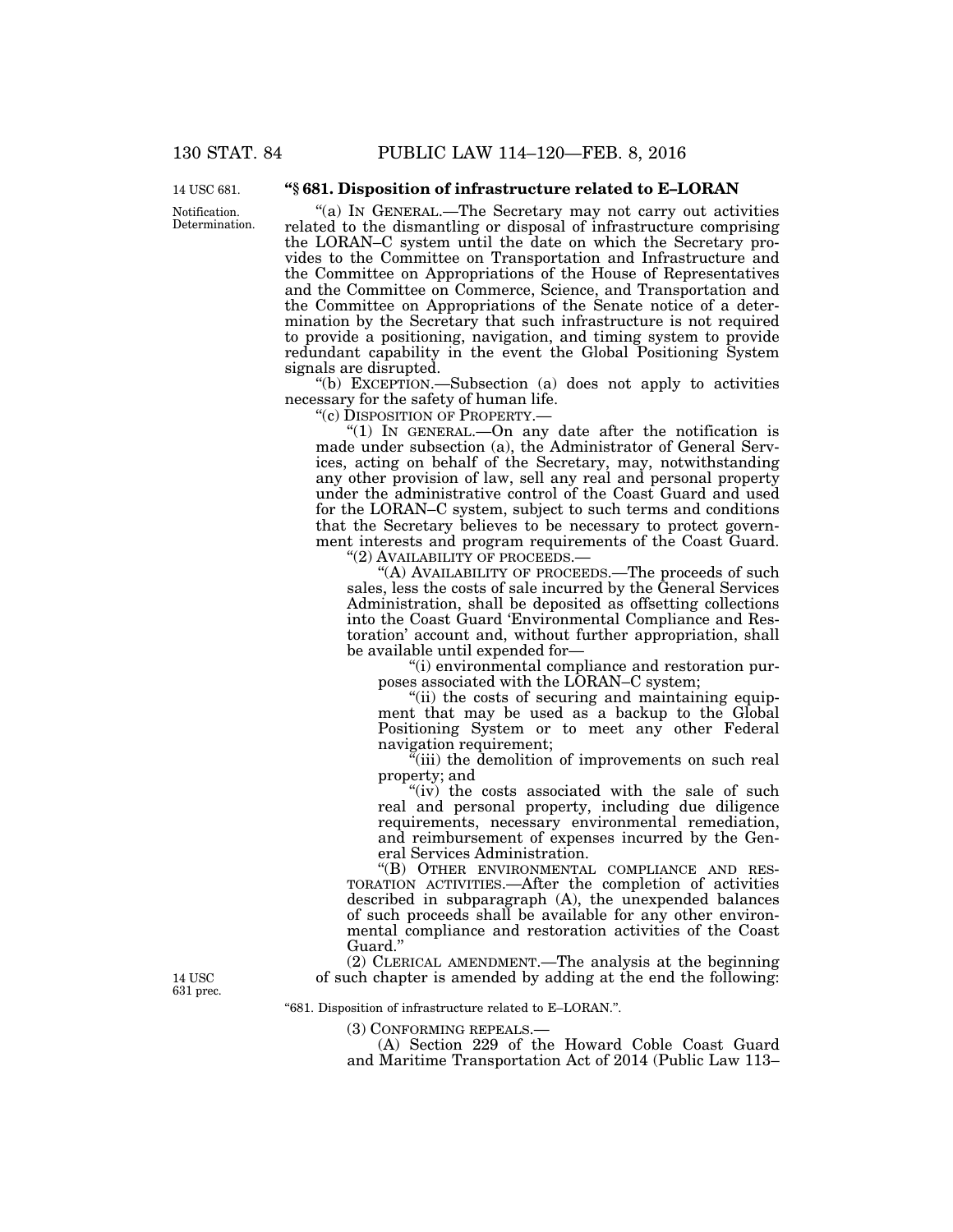Notification. Determination. 14 USC 681.

# **''§ 681. Disposition of infrastructure related to E–LORAN**

''(a) IN GENERAL.—The Secretary may not carry out activities related to the dismantling or disposal of infrastructure comprising the LORAN–C system until the date on which the Secretary provides to the Committee on Transportation and Infrastructure and the Committee on Appropriations of the House of Representatives and the Committee on Commerce, Science, and Transportation and the Committee on Appropriations of the Senate notice of a determination by the Secretary that such infrastructure is not required to provide a positioning, navigation, and timing system to provide redundant capability in the event the Global Positioning System signals are disrupted.

''(b) EXCEPTION.—Subsection (a) does not apply to activities necessary for the safety of human life.

''(c) DISPOSITION OF PROPERTY.—

"(1) IN GENERAL.—On any date after the notification is made under subsection (a), the Administrator of General Services, acting on behalf of the Secretary, may, notwithstanding any other provision of law, sell any real and personal property under the administrative control of the Coast Guard and used for the LORAN–C system, subject to such terms and conditions that the Secretary believes to be necessary to protect government interests and program requirements of the Coast Guard.

''(2) AVAILABILITY OF PROCEEDS.—

"(A) AVAILABILITY OF PROCEEDS.—The proceeds of such sales, less the costs of sale incurred by the General Services Administration, shall be deposited as offsetting collections into the Coast Guard 'Environmental Compliance and Restoration' account and, without further appropriation, shall be available until expended for—

''(i) environmental compliance and restoration purposes associated with the LORAN–C system;

"(ii) the costs of securing and maintaining equipment that may be used as a backup to the Global Positioning System or to meet any other Federal navigation requirement;

 $\tilde{f}$ (iii) the demolition of improvements on such real property; and

"(iv) the costs associated with the sale of such real and personal property, including due diligence requirements, necessary environmental remediation, and reimbursement of expenses incurred by the General Services Administration.

''(B) OTHER ENVIRONMENTAL COMPLIANCE AND RES-TORATION ACTIVITIES.—After the completion of activities described in subparagraph (A), the unexpended balances of such proceeds shall be available for any other environmental compliance and restoration activities of the Coast Guard.''

(2) CLERICAL AMENDMENT.—The analysis at the beginning of such chapter is amended by adding at the end the following:

14 USC 631 prec.

''681. Disposition of infrastructure related to E–LORAN.''.

(3) CONFORMING REPEALS.—

(A) Section 229 of the Howard Coble Coast Guard and Maritime Transportation Act of 2014 (Public Law 113–